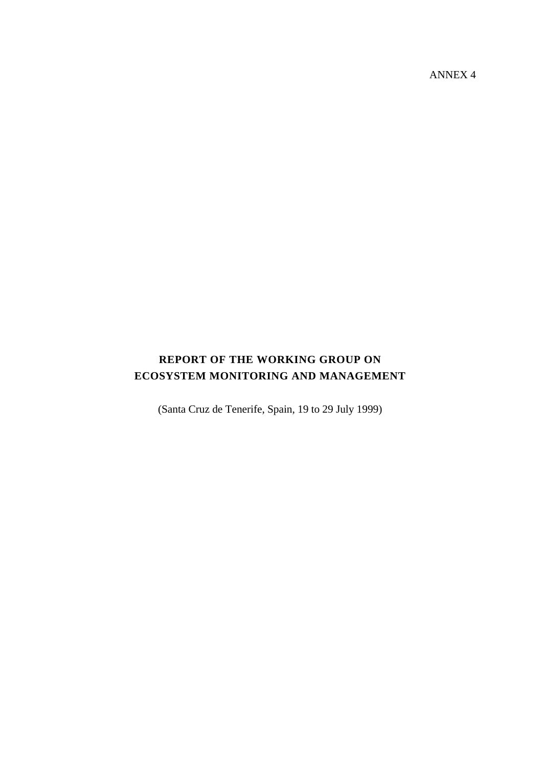ANNEX 4

# **REPORT OF THE WORKING GROUP ON ECOSYSTEM MONITORING AND MANAGEMENT**

(Santa Cruz de Tenerife, Spain, 19 to 29 July 1999)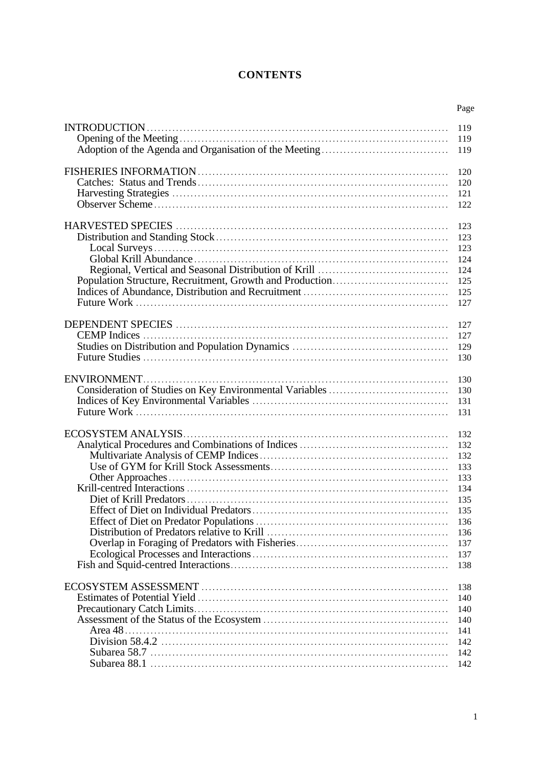# **CONTENTS**

| Page |
|------|
| 119  |
| 119  |
| 119  |
| 120  |
| 120  |
| 121  |
| 122  |
| 123  |
| 123  |
| 123  |
| 124  |
| 124  |
| 125  |
| 125  |
| 127  |
|      |
| 127  |
| 127  |
| 129  |
| 130  |
|      |
| 130  |
| 130  |
| 131  |
| 131  |
|      |
| 132  |
| 132  |
| 132  |
| 133  |
| 133  |
| 134  |
| 135  |
| 135  |
| 136  |
| 136  |
| 137  |
| 137  |
| 138  |
| 138  |
| 140  |
| 140  |
| 140  |
| 141  |
|      |
| 142  |
| 142  |
| 142  |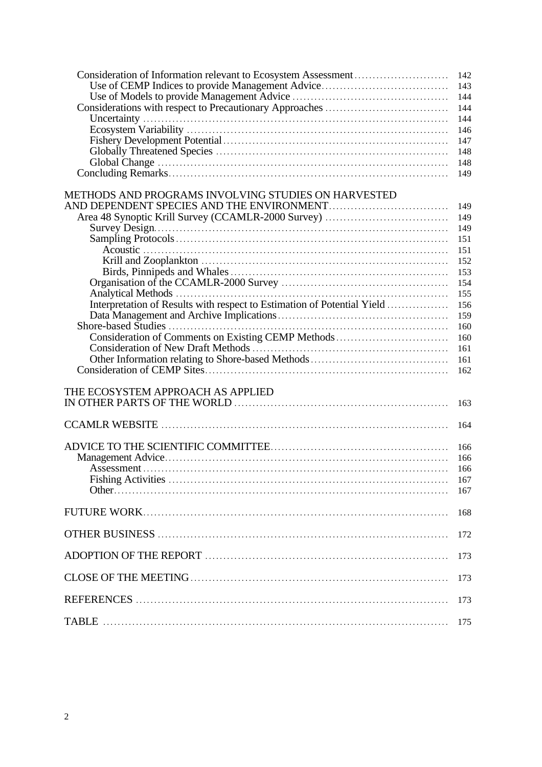| Use of CEMP Indices to provide Management Advice                        | 142<br>143 |
|-------------------------------------------------------------------------|------------|
|                                                                         | 144        |
|                                                                         | 144        |
|                                                                         | 144        |
|                                                                         | 146        |
|                                                                         | 147        |
|                                                                         | 148        |
|                                                                         | 148        |
|                                                                         | 149        |
|                                                                         |            |
| METHODS AND PROGRAMS INVOLVING STUDIES ON HARVESTED                     |            |
|                                                                         | 149        |
|                                                                         | 149        |
|                                                                         | 149        |
|                                                                         | 151        |
|                                                                         | 151        |
|                                                                         | 152        |
|                                                                         | 153        |
|                                                                         | 154        |
|                                                                         | 155        |
| Interpretation of Results with respect to Estimation of Potential Yield | 156        |
|                                                                         | 159        |
|                                                                         | 160        |
| Consideration of Comments on Existing CEMP Methods                      | 160        |
|                                                                         | 161        |
|                                                                         | 161        |
|                                                                         | 162        |
|                                                                         |            |
| THE ECOSYSTEM APPROACH AS APPLIED                                       |            |
|                                                                         | 163        |
|                                                                         |            |
|                                                                         | 164        |
|                                                                         |            |
|                                                                         | 166        |
|                                                                         | 166        |
|                                                                         | 166        |
|                                                                         | 167        |
|                                                                         | 167        |
|                                                                         |            |
|                                                                         | 168        |
|                                                                         |            |
|                                                                         | 172        |
|                                                                         |            |
|                                                                         | 173        |
|                                                                         |            |
|                                                                         | 173        |
|                                                                         |            |
|                                                                         | 173        |
|                                                                         |            |
|                                                                         | 175        |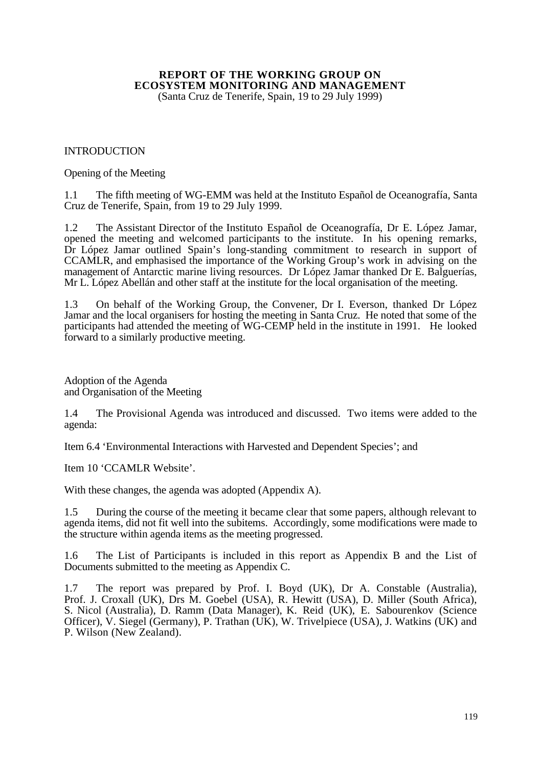# **REPORT OF THE WORKING GROUP ON ECOSYSTEM MONITORING AND MANAGEMENT**

(Santa Cruz de Tenerife, Spain, 19 to 29 July 1999)

#### INTRODUCTION

#### Opening of the Meeting

1.1 The fifth meeting of WG-EMM was held at the Instituto Español de Oceanografía, Santa Cruz de Tenerife, Spain, from 19 to 29 July 1999.

1.2 The Assistant Director of the Instituto Español de Oceanografía, Dr E. López Jamar, opened the meeting and welcomed participants to the institute. In his opening remarks, Dr López Jamar outlined Spain's long-standing commitment to research in support of CCAMLR, and emphasised the importance of the Working Group's work in advising on the management of Antarctic marine living resources. Dr López Jamar thanked Dr E. Balguerías, Mr L. López Abellán and other staff at the institute for the local organisation of the meeting.

1.3 On behalf of the Working Group, the Convener, Dr I. Everson, thanked Dr López Jamar and the local organisers for hosting the meeting in Santa Cruz. He noted that some of the participants had attended the meeting of WG-CEMP held in the institute in 1991. He looked forward to a similarly productive meeting.

Adoption of the Agenda and Organisation of the Meeting

1.4 The Provisional Agenda was introduced and discussed. Two items were added to the agenda:

Item 6.4 'Environmental Interactions with Harvested and Dependent Species'; and

Item 10 'CCAMLR Website'.

With these changes, the agenda was adopted (Appendix A).

1.5 During the course of the meeting it became clear that some papers, although relevant to agenda items, did not fit well into the subitems. Accordingly, some modifications were made to the structure within agenda items as the meeting progressed.

1.6 The List of Participants is included in this report as Appendix B and the List of Documents submitted to the meeting as Appendix C.

1.7 The report was prepared by Prof. I. Boyd (UK), Dr A. Constable (Australia), Prof. J. Croxall (UK), Drs M. Goebel (USA), R. Hewitt (USA), D. Miller (South Africa), S. Nicol (Australia), D. Ramm (Data Manager), K. Reid (UK), E. Sabourenkov (Science Officer), V. Siegel (Germany), P. Trathan (UK), W. Trivelpiece (USA), J. Watkins (UK) and P. Wilson (New Zealand).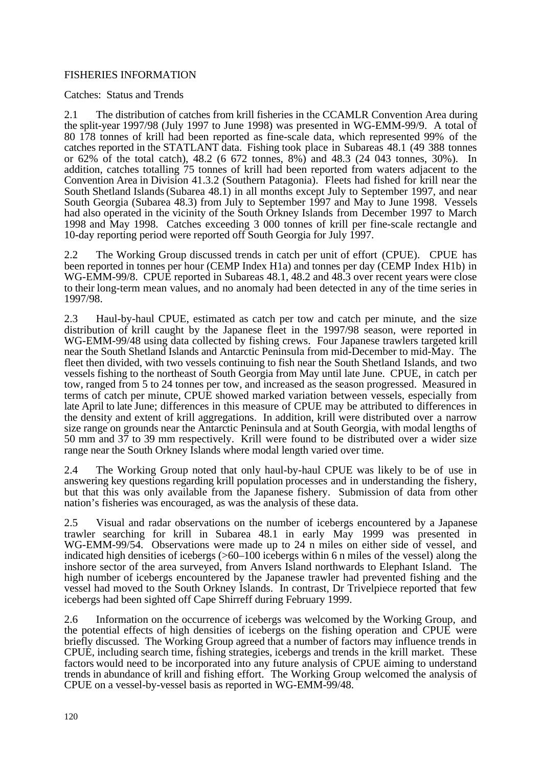# FISHERIES INFORMATION

Catches: Status and Trends

2.1 The distribution of catches from krill fisheries in the CCAMLR Convention Area during the split-year 1997/98 (July 1997 to June 1998) was presented in WG-EMM-99/9. A total of 80 178 tonnes of krill had been reported as fine-scale data, which represented 99% of the catches reported in the STATLANT data. Fishing took place in Subareas 48.1 (49 388 tonnes or 62% of the total catch), 48.2 (6 672 tonnes, 8%) and 48.3 (24 043 tonnes, 30%). In addition, catches totalling 75 tonnes of krill had been reported from waters adjacent to the Convention Area in Division 41.3.2 (Southern Patagonia). Fleets had fished for krill near the South Shetland Islands (Subarea 48.1) in all months except July to September 1997, and near South Georgia (Subarea 48.3) from July to September 1997 and May to June 1998. Vessels had also operated in the vicinity of the South Orkney Islands from December 1997 to March 1998 and May 1998. Catches exceeding 3 000 tonnes of krill per fine-scale rectangle and 10-day reporting period were reported off South Georgia for July 1997.

2.2 The Working Group discussed trends in catch per unit of effort (CPUE). CPUE has been reported in tonnes per hour (CEMP Index H1a) and tonnes per day (CEMP Index H1b) in WG-EMM-99/8. CPUE reported in Subareas 48.1, 48.2 and 48.3 over recent years were close to their long-term mean values, and no anomaly had been detected in any of the time series in 1997/98.

2.3 Haul-by-haul CPUE, estimated as catch per tow and catch per minute, and the size distribution of krill caught by the Japanese fleet in the 1997/98 season, were reported in WG-EMM-99/48 using data collected by fishing crews. Four Japanese trawlers targeted krill near the South Shetland Islands and Antarctic Peninsula from mid-December to mid-May. The fleet then divided, with two vessels continuing to fish near the South Shetland Islands, and two vessels fishing to the northeast of South Georgia from May until late June. CPUE, in catch per tow, ranged from 5 to 24 tonnes per tow, and increased as the season progressed. Measured in terms of catch per minute, CPUE showed marked variation between vessels, especially from late April to late June; differences in this measure of CPUE may be attributed to differences in the density and extent of krill aggregations. In addition, krill were distributed over a narrow size range on grounds near the Antarctic Peninsula and at South Georgia, with modal lengths of 50 mm and 37 to 39 mm respectively. Krill were found to be distributed over a wider size range near the South Orkney Islands where modal length varied over time.

2.4 The Working Group noted that only haul-by-haul CPUE was likely to be of use in answering key questions regarding krill population processes and in understanding the fishery, but that this was only available from the Japanese fishery. Submission of data from other nation's fisheries was encouraged, as was the analysis of these data.

2.5 Visual and radar observations on the number of icebergs encountered by a Japanese trawler searching for krill in Subarea 48.1 in early May 1999 was presented in WG-EMM-99/54. Observations were made up to 24 n miles on either side of vessel, and indicated high densities of icebergs (>60–100 icebergs within 6 n miles of the vessel) along the inshore sector of the area surveyed, from Anvers Island northwards to Elephant Island. The high number of icebergs encountered by the Japanese trawler had prevented fishing and the vessel had moved to the South Orkney Islands. In contrast, Dr Trivelpiece reported that few icebergs had been sighted off Cape Shirreff during February 1999.

2.6 Information on the occurrence of icebergs was welcomed by the Working Group, and the potential effects of high densities of icebergs on the fishing operation and CPUE were briefly discussed. The Working Group agreed that a number of factors may influence trends in CPUE, including search time, fishing strategies, icebergs and trends in the krill market. These factors would need to be incorporated into any future analysis of CPUE aiming to understand trends in abundance of krill and fishing effort. The Working Group welcomed the analysis of CPUE on a vessel-by-vessel basis as reported in WG-EMM-99/48.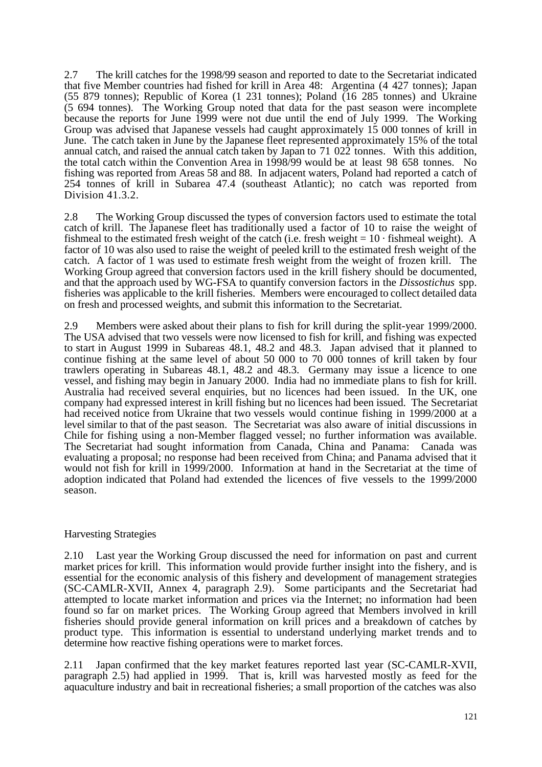2.7 The krill catches for the 1998/99 season and reported to date to the Secretariat indicated that five Member countries had fished for krill in Area 48: Argentina (4 427 tonnes); Japan (55 879 tonnes); Republic of Korea (1 231 tonnes); Poland (16 285 tonnes) and Ukraine (5 694 tonnes). The Working Group noted that data for the past season were incomplete because the reports for June 1999 were not due until the end of July 1999. The Working Group was advised that Japanese vessels had caught approximately 15 000 tonnes of krill in June. The catch taken in June by the Japanese fleet represented approximately 15% of the total annual catch, and raised the annual catch taken by Japan to 71 022 tonnes. With this addition, the total catch within the Convention Area in 1998/99 would be at least 98 658 tonnes. No fishing was reported from Areas 58 and 88. In adjacent waters, Poland had reported a catch of 254 tonnes of krill in Subarea 47.4 (southeast Atlantic); no catch was reported from Division 41.3.2.

2.8 The Working Group discussed the types of conversion factors used to estimate the total catch of krill. The Japanese fleet has traditionally used a factor of 10 to raise the weight of fishmeal to the estimated fresh weight of the catch (i.e. fresh weight  $= 10 \cdot$  fishmeal weight). A factor of 10 was also used to raise the weight of peeled krill to the estimated fresh weight of the catch. A factor of 1 was used to estimate fresh weight from the weight of frozen krill. The Working Group agreed that conversion factors used in the krill fishery should be documented, and that the approach used by WG-FSA to quantify conversion factors in the *Dissostichus* spp. fisheries was applicable to the krill fisheries. Members were encouraged to collect detailed data on fresh and processed weights, and submit this information to the Secretariat.

2.9 Members were asked about their plans to fish for krill during the split-year 1999/2000. The USA advised that two vessels were now licensed to fish for krill, and fishing was expected to start in August 1999 in Subareas 48.1, 48.2 and 48.3. Japan advised that it planned to continue fishing at the same level of about 50 000 to 70 000 tonnes of krill taken by four trawlers operating in Subareas 48.1, 48.2 and 48.3. Germany may issue a licence to one vessel, and fishing may begin in January 2000. India had no immediate plans to fish for krill. Australia had received several enquiries, but no licences had been issued. In the UK, one company had expressed interest in krill fishing but no licences had been issued. The Secretariat had received notice from Ukraine that two vessels would continue fishing in 1999/2000 at a level similar to that of the past season. The Secretariat was also aware of initial discussions in Chile for fishing using a non-Member flagged vessel; no further information was available. The Secretariat had sought information from Canada, China and Panama: Canada was evaluating a proposal; no response had been received from China; and Panama advised that it would not fish for krill in 1999/2000. Information at hand in the Secretariat at the time of adoption indicated that Poland had extended the licences of five vessels to the 1999/2000 season.

## Harvesting Strategies

2.10 Last year the Working Group discussed the need for information on past and current market prices for krill. This information would provide further insight into the fishery, and is essential for the economic analysis of this fishery and development of management strategies (SC-CAMLR-XVII, Annex 4, paragraph 2.9). Some participants and the Secretariat had attempted to locate market information and prices via the Internet; no information had been found so far on market prices. The Working Group agreed that Members involved in krill fisheries should provide general information on krill prices and a breakdown of catches by product type. This information is essential to understand underlying market trends and to determine how reactive fishing operations were to market forces.

2.11 Japan confirmed that the key market features reported last year (SC-CAMLR-XVII, paragraph 2.5) had applied in 1999. That is, krill was harvested mostly as feed for the aquaculture industry and bait in recreational fisheries; a small proportion of the catches was also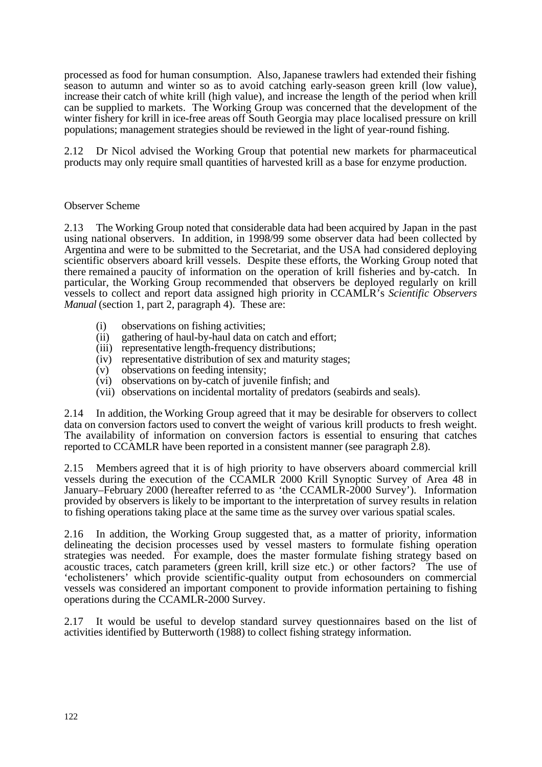processed as food for human consumption. Also, Japanese trawlers had extended their fishing season to autumn and winter so as to avoid catching early-season green krill (low value), increase their catch of white krill (high value), and increase the length of the period when krill can be supplied to markets. The Working Group was concerned that the development of the winter fishery for krill in ice-free areas off South Georgia may place localised pressure on krill populations; management strategies should be reviewed in the light of year-round fishing.

2.12 Dr Nicol advised the Working Group that potential new markets for pharmaceutical products may only require small quantities of harvested krill as a base for enzyme production.

## Observer Scheme

2.13 The Working Group noted that considerable data had been acquired by Japan in the past using national observers. In addition, in 1998/99 some observer data had been collected by Argentina and were to be submitted to the Secretariat, and the USA had considered deploying scientific observers aboard krill vessels. Despite these efforts, the Working Group noted that there remained a paucity of information on the operation of krill fisheries and by-catch. In particular, the Working Group recommended that observers be deployed regularly on krill vessels to collect and report data assigned high priority in CCAMLR's *Scientific Observers Manual* (section 1, part 2, paragraph 4). These are:

- 
- (i) observations on fishing activities;<br>(ii) gathering of haul-by-haul data on gathering of haul-by-haul data on catch and effort;
- (iii) representative length-frequency distributions;
- (iv) representative distribution of sex and maturity stages;
- (v) observations on feeding intensity;
- (vi) observations on by-catch of juvenile finfish; and
- (vii) observations on incidental mortality of predators (seabirds and seals).

2.14 In addition, the Working Group agreed that it may be desirable for observers to collect data on conversion factors used to convert the weight of various krill products to fresh weight. The availability of information on conversion factors is essential to ensuring that catches reported to CCAMLR have been reported in a consistent manner (see paragraph 2.8).

2.15 Members agreed that it is of high priority to have observers aboard commercial krill vessels during the execution of the CCAMLR 2000 Krill Synoptic Survey of Area 48 in January–February 2000 (hereafter referred to as 'the CCAMLR-2000 Survey'). Information provided by observers is likely to be important to the interpretation of survey results in relation to fishing operations taking place at the same time as the survey over various spatial scales.

2.16 In addition, the Working Group suggested that, as a matter of priority, information delineating the decision processes used by vessel masters to formulate fishing operation strategies was needed. For example, does the master formulate fishing strategy based on acoustic traces, catch parameters (green krill, krill size etc.) or other factors? The use of 'echolisteners' which provide scientific-quality output from echosounders on commercial vessels was considered an important component to provide information pertaining to fishing operations during the CCAMLR-2000 Survey.

2.17 It would be useful to develop standard survey questionnaires based on the list of activities identified by Butterworth (1988) to collect fishing strategy information.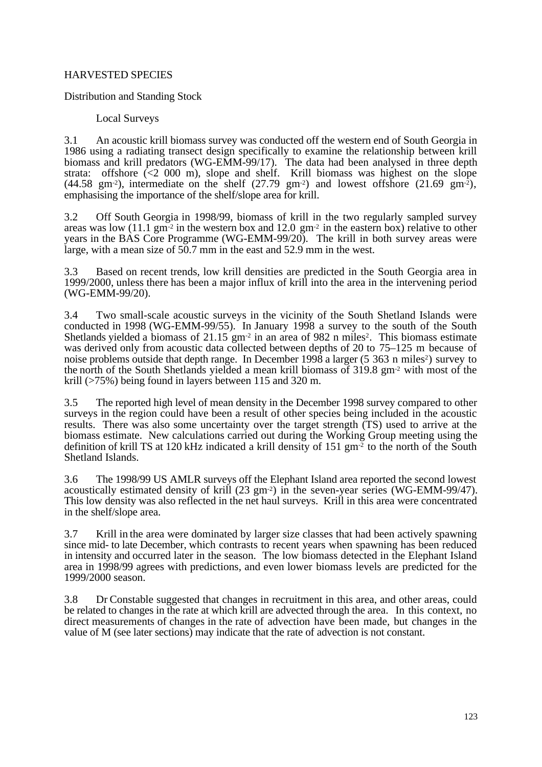# HARVESTED SPECIES

Distribution and Standing Stock

Local Surveys

3.1 An acoustic krill biomass survey was conducted off the western end of South Georgia in 1986 using a radiating transect design specifically to examine the relationship between krill biomass and krill predators (WG-EMM-99/17). The data had been analysed in three depth strata: offshore (<2 000 m), slope and shelf. Krill biomass was highest on the slope  $(44.58 \text{ gm}^{-2})$ , intermediate on the shelf  $(27.79 \text{ gm}^{-2})$  and lowest offshore  $(21.69 \text{ gm}^{-2})$ , emphasising the importance of the shelf/slope area for krill.

3.2 Off South Georgia in 1998/99, biomass of krill in the two regularly sampled survey areas was low  $(11.1 \text{ gm}^2 \text{ in the western box and } 12.0 \text{ gm}^2 \text{ in the eastern box})$  relative to other years in the BAS Core Programme (WG-EMM-99/20). The krill in both survey areas were large, with a mean size of 50.7 mm in the east and 52.9 mm in the west.

3.3 Based on recent trends, low krill densities are predicted in the South Georgia area in 1999/2000, unless there has been a major influx of krill into the area in the intervening period (WG-EMM-99/20).

3.4 Two small-scale acoustic surveys in the vicinity of the South Shetland Islands were conducted in 1998 (WG-EMM-99/55). In January 1998 a survey to the south of the South Shetlands yielded a biomass of  $21.15 \text{ gm}^2$  in an area of 982 n miles<sup>2</sup>. This biomass estimate was derived only from acoustic data collected between depths of 20 to 75–125 m because of noise problems outside that depth range. In December 1998 a larger (5 363 n miles<sup>2</sup>) survey to the north of the South Shetlands yielded a mean krill biomass of 319.8 gm-2 with most of the krill (>75%) being found in layers between 115 and 320 m.

3.5 The reported high level of mean density in the December 1998 survey compared to other surveys in the region could have been a result of other species being included in the acoustic results. There was also some uncertainty over the target strength (TS) used to arrive at the biomass estimate. New calculations carried out during the Working Group meeting using the definition of krill TS at 120 kHz indicated a krill density of 151 gm-2 to the north of the South Shetland Islands.

3.6 The 1998/99 US AMLR surveys off the Elephant Island area reported the second lowest acoustically estimated density of krill (23 gm-2) in the seven-year series (WG-EMM-99/47). This low density was also reflected in the net haul surveys. Krill in this area were concentrated in the shelf/slope area.

3.7 Krill in the area were dominated by larger size classes that had been actively spawning since mid- to late December, which contrasts to recent years when spawning has been reduced in intensity and occurred later in the season. The low biomass detected in the Elephant Island area in 1998/99 agrees with predictions, and even lower biomass levels are predicted for the 1999/2000 season.

3.8 Dr Constable suggested that changes in recruitment in this area, and other areas, could be related to changes in the rate at which krill are advected through the area. In this context, no direct measurements of changes in the rate of advection have been made, but changes in the value of M (see later sections) may indicate that the rate of advection is not constant.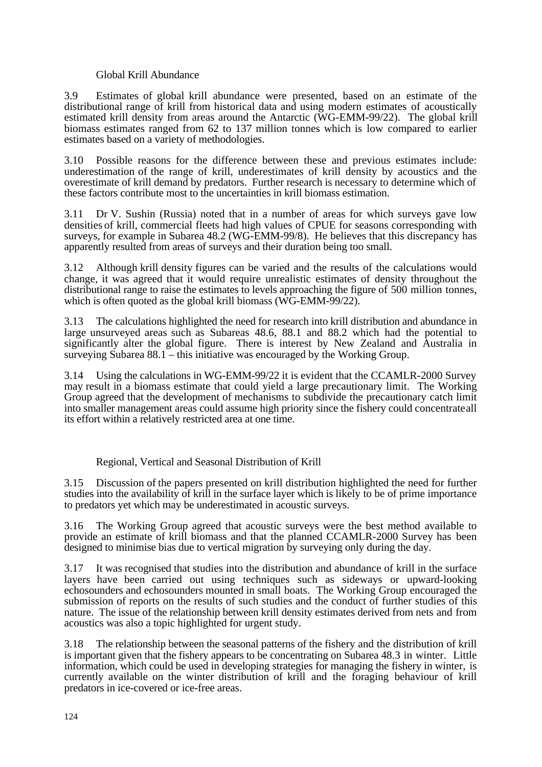#### Global Krill Abundance

3.9 Estimates of global krill abundance were presented, based on an estimate of the distributional range of krill from historical data and using modern estimates of acoustically estimated krill density from areas around the Antarctic (WG-EMM-99/22). The global krill biomass estimates ranged from 62 to 137 million tonnes which is low compared to earlier estimates based on a variety of methodologies.

3.10 Possible reasons for the difference between these and previous estimates include: underestimation of the range of krill, underestimates of krill density by acoustics and the overestimate of krill demand by predators. Further research is necessary to determine which of these factors contribute most to the uncertainties in krill biomass estimation.

3.11 Dr V. Sushin (Russia) noted that in a number of areas for which surveys gave low densities of krill, commercial fleets had high values of CPUE for seasons corresponding with surveys, for example in Subarea 48.2 (WG-EMM-99/8). He believes that this discrepancy has apparently resulted from areas of surveys and their duration being too small.

3.12 Although krill density figures can be varied and the results of the calculations would change, it was agreed that it would require unrealistic estimates of density throughout the distributional range to raise the estimates to levels approaching the figure of 500 million tonnes, which is often quoted as the global krill biomass (WG-EMM-99/22).

3.13 The calculations highlighted the need for research into krill distribution and abundance in large unsurveyed areas such as Subareas 48.6, 88.1 and 88.2 which had the potential to significantly alter the global figure. There is interest by New Zealand and Australia in surveying Subarea 88.1 – this initiative was encouraged by the Working Group.

3.14 Using the calculations in WG-EMM-99/22 it is evident that the CCAMLR-2000 Survey may result in a biomass estimate that could yield a large precautionary limit. The Working Group agreed that the development of mechanisms to subdivide the precautionary catch limit into smaller management areas could assume high priority since the fishery could concentrate all its effort within a relatively restricted area at one time.

## Regional, Vertical and Seasonal Distribution of Krill

3.15 Discussion of the papers presented on krill distribution highlighted the need for further studies into the availability of krill in the surface layer which is likely to be of prime importance to predators yet which may be underestimated in acoustic surveys.

3.16 The Working Group agreed that acoustic surveys were the best method available to provide an estimate of krill biomass and that the planned CCAMLR-2000 Survey has been designed to minimise bias due to vertical migration by surveying only during the day.

3.17 It was recognised that studies into the distribution and abundance of krill in the surface layers have been carried out using techniques such as sideways or upward-looking echosounders and echosounders mounted in small boats. The Working Group encouraged the submission of reports on the results of such studies and the conduct of further studies of this nature. The issue of the relationship between krill density estimates derived from nets and from acoustics was also a topic highlighted for urgent study.

3.18 The relationship between the seasonal patterns of the fishery and the distribution of krill is important given that the fishery appears to be concentrating on Subarea 48.3 in winter. Little information, which could be used in developing strategies for managing the fishery in winter, is currently available on the winter distribution of krill and the foraging behaviour of krill predators in ice-covered or ice-free areas.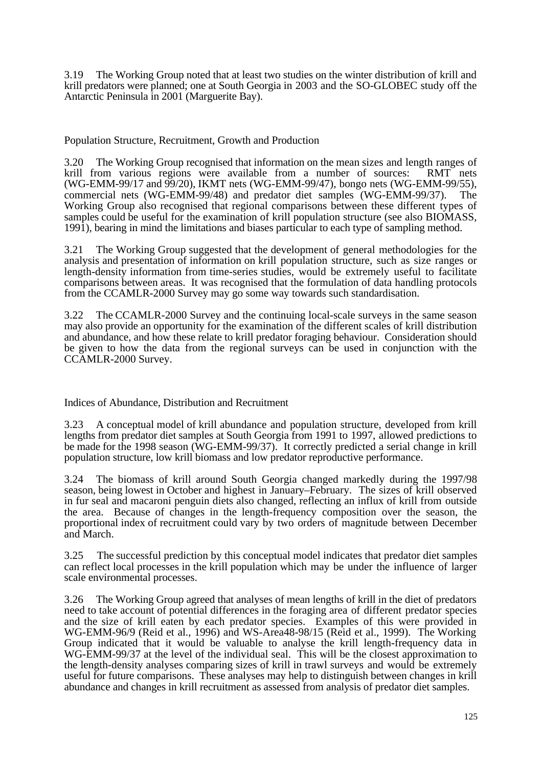3.19 The Working Group noted that at least two studies on the winter distribution of krill and krill predators were planned; one at South Georgia in 2003 and the SO-GLOBEC study off the Antarctic Peninsula in 2001 (Marguerite Bay).

Population Structure, Recruitment, Growth and Production

3.20 The Working Group recognised that information on the mean sizes and length ranges of krill from various regions were available from a number of sources: RMT nets (WG-EMM-99/17 and 99/20), IKMT nets (WG-EMM-99/47), bongo nets (WG-EMM-99/55), commercial nets (WG-EMM-99/48) and predator diet samples (WG-EMM-99/37). The Working Group also recognised that regional comparisons between these different types of samples could be useful for the examination of krill population structure (see also BIOMASS, 1991), bearing in mind the limitations and biases particular to each type of sampling method.

3.21 The Working Group suggested that the development of general methodologies for the analysis and presentation of information on krill population structure, such as size ranges or length-density information from time-series studies, would be extremely useful to facilitate comparisons between areas. It was recognised that the formulation of data handling protocols from the CCAMLR-2000 Survey may go some way towards such standardisation.

3.22 The CCAMLR-2000 Survey and the continuing local-scale surveys in the same season may also provide an opportunity for the examination of the different scales of krill distribution and abundance, and how these relate to krill predator foraging behaviour. Consideration should be given to how the data from the regional surveys can be used in conjunction with the CCAMLR-2000 Survey.

Indices of Abundance, Distribution and Recruitment

3.23 A conceptual model of krill abundance and population structure, developed from krill lengths from predator diet samples at South Georgia from 1991 to 1997, allowed predictions to be made for the 1998 season (WG-EMM-99/37). It correctly predicted a serial change in krill population structure, low krill biomass and low predator reproductive performance.

3.24 The biomass of krill around South Georgia changed markedly during the 1997/98 season, being lowest in October and highest in January–February. The sizes of krill observed in fur seal and macaroni penguin diets also changed, reflecting an influx of krill from outside the area. Because of changes in the length-frequency composition over the season, the proportional index of recruitment could vary by two orders of magnitude between December and March.

3.25 The successful prediction by this conceptual model indicates that predator diet samples can reflect local processes in the krill population which may be under the influence of larger scale environmental processes.

3.26 The Working Group agreed that analyses of mean lengths of krill in the diet of predators need to take account of potential differences in the foraging area of different predator species and the size of krill eaten by each predator species. Examples of this were provided in WG-EMM-96/9 (Reid et al., 1996) and WS-Area48-98/15 (Reid et al., 1999). The Working Group indicated that it would be valuable to analyse the krill length-frequency data in WG-EMM-99/37 at the level of the individual seal. This will be the closest approximation to the length-density analyses comparing sizes of krill in trawl surveys and would be extremely useful for future comparisons. These analyses may help to distinguish between changes in krill abundance and changes in krill recruitment as assessed from analysis of predator diet samples.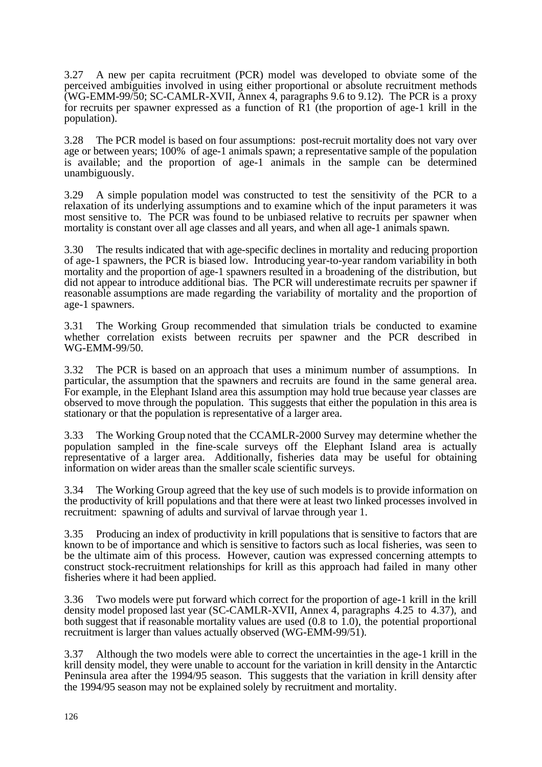3.27 A new per capita recruitment (PCR) model was developed to obviate some of the perceived ambiguities involved in using either proportional or absolute recruitment methods (WG-EMM-99/50; SC-CAMLR-XVII, Annex 4, paragraphs 9.6 to 9.12). The PCR is a proxy for recruits per spawner expressed as a function of R1 (the proportion of age-1 krill in the population).

3.28 The PCR model is based on four assumptions: post-recruit mortality does not vary over age or between years; 100% of age-1 animals spawn; a representative sample of the population is available; and the proportion of age-1 animals in the sample can be determined unambiguously.

3.29 A simple population model was constructed to test the sensitivity of the PCR to a relaxation of its underlying assumptions and to examine which of the input parameters it was most sensitive to. The PCR was found to be unbiased relative to recruits per spawner when mortality is constant over all age classes and all years, and when all age-1 animals spawn.

3.30 The results indicated that with age-specific declines in mortality and reducing proportion of age-1 spawners, the PCR is biased low. Introducing year-to-year random variability in both mortality and the proportion of age-1 spawners resulted in a broadening of the distribution, but did not appear to introduce additional bias. The PCR will underestimate recruits per spawner if reasonable assumptions are made regarding the variability of mortality and the proportion of age-1 spawners.

3.31 The Working Group recommended that simulation trials be conducted to examine whether correlation exists between recruits per spawner and the PCR described in WG-EMM-99/50.

3.32 The PCR is based on an approach that uses a minimum number of assumptions. In particular, the assumption that the spawners and recruits are found in the same general area. For example, in the Elephant Island area this assumption may hold true because year classes are observed to move through the population. This suggests that either the population in this area is stationary or that the population is representative of a larger area.

3.33 The Working Group noted that the CCAMLR-2000 Survey may determine whether the population sampled in the fine-scale surveys off the Elephant Island area is actually representative of a larger area. Additionally, fisheries data may be useful for obtaining information on wider areas than the smaller scale scientific surveys.

3.34 The Working Group agreed that the key use of such models is to provide information on the productivity of krill populations and that there were at least two linked processes involved in recruitment: spawning of adults and survival of larvae through year 1.

3.35 Producing an index of productivity in krill populations that is sensitive to factors that are known to be of importance and which is sensitive to factors such as local fisheries, was seen to be the ultimate aim of this process. However, caution was expressed concerning attempts to construct stock-recruitment relationships for krill as this approach had failed in many other fisheries where it had been applied.

3.36 Two models were put forward which correct for the proportion of age-1 krill in the krill density model proposed last year (SC-CAMLR-XVII, Annex 4, paragraphs 4.25 to 4.37), and both suggest that if reasonable mortality values are used (0.8 to 1.0), the potential proportional recruitment is larger than values actually observed (WG-EMM-99/51).

3.37 Although the two models were able to correct the uncertainties in the age-1 krill in the krill density model, they were unable to account for the variation in krill density in the Antarctic Peninsula area after the 1994/95 season. This suggests that the variation in krill density after the 1994/95 season may not be explained solely by recruitment and mortality.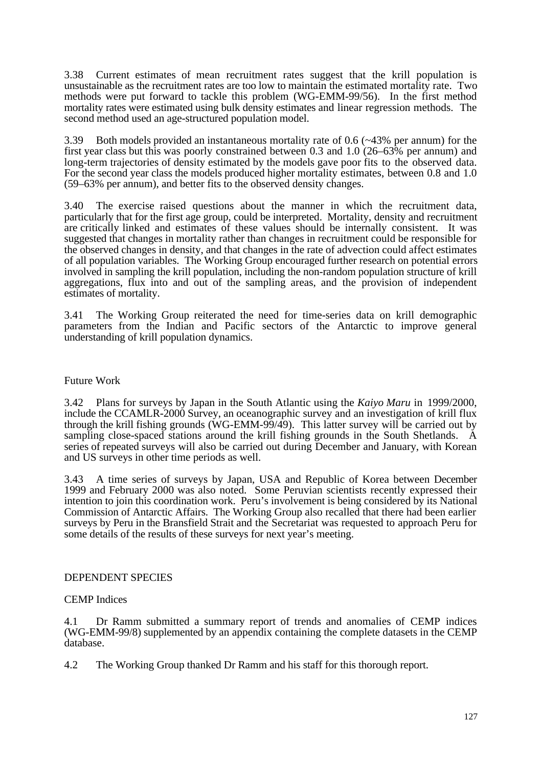3.38 Current estimates of mean recruitment rates suggest that the krill population is unsustainable as the recruitment rates are too low to maintain the estimated mortality rate. Two methods were put forward to tackle this problem (WG-EMM-99/56). In the first method mortality rates were estimated using bulk density estimates and linear regression methods. The second method used an age-structured population model.

3.39 Both models provided an instantaneous mortality rate of 0.6 (~43% per annum) for the first year class but this was poorly constrained between 0.3 and 1.0 (26–63% per annum) and long-term trajectories of density estimated by the models gave poor fits to the observed data. For the second year class the models produced higher mortality estimates, between 0.8 and 1.0 (59–63% per annum), and better fits to the observed density changes.

3.40 The exercise raised questions about the manner in which the recruitment data, particularly that for the first age group, could be interpreted. Mortality, density and recruitment are critically linked and estimates of these values should be internally consistent. It was suggested that changes in mortality rather than changes in recruitment could be responsible for the observed changes in density, and that changes in the rate of advection could affect estimates of all population variables. The Working Group encouraged further research on potential errors involved in sampling the krill population, including the non-random population structure of krill aggregations, flux into and out of the sampling areas, and the provision of independent estimates of mortality.

3.41 The Working Group reiterated the need for time-series data on krill demographic parameters from the Indian and Pacific sectors of the Antarctic to improve general understanding of krill population dynamics.

## Future Work

3.42 Plans for surveys by Japan in the South Atlantic using the *Kaiyo Maru* in 1999/2000, include the CCAMLR-2000 Survey, an oceanographic survey and an investigation of krill flux through the krill fishing grounds (WG-EMM-99/49). This latter survey will be carried out by sampling close-spaced stations around the krill fishing grounds in the South Shetlands. A series of repeated surveys will also be carried out during December and January, with Korean and US surveys in other time periods as well.

3.43 A time series of surveys by Japan, USA and Republic of Korea between December 1999 and February 2000 was also noted. Some Peruvian scientists recently expressed their intention to join this coordination work. Peru's involvement is being considered by its National Commission of Antarctic Affairs. The Working Group also recalled that there had been earlier surveys by Peru in the Bransfield Strait and the Secretariat was requested to approach Peru for some details of the results of these surveys for next year's meeting.

## DEPENDENT SPECIES

# CEMP Indices

4.1 Dr Ramm submitted a summary report of trends and anomalies of CEMP indices (WG-EMM-99/8) supplemented by an appendix containing the complete datasets in the CEMP database.

4.2 The Working Group thanked Dr Ramm and his staff for this thorough report.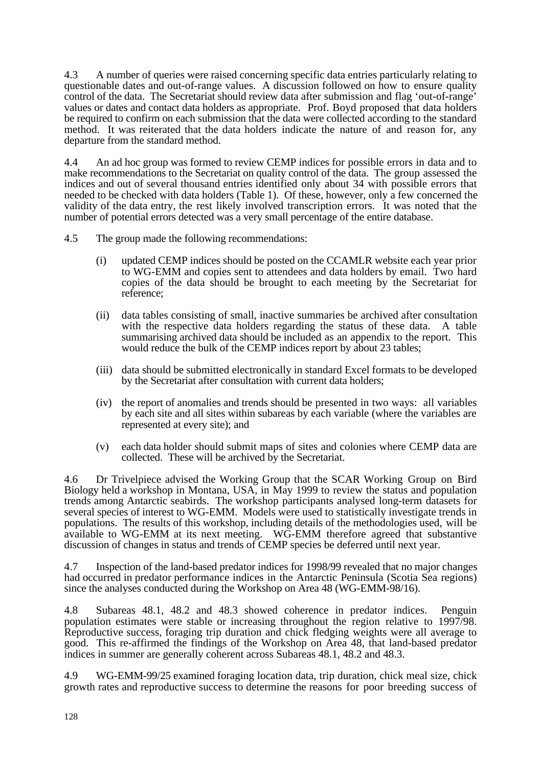4.3 A number of queries were raised concerning specific data entries particularly relating to questionable dates and out-of-range values. A discussion followed on how to ensure quality control of the data. The Secretariat should review data after submission and flag 'out-of-range' values or dates and contact data holders as appropriate. Prof. Boyd proposed that data holders be required to confirm on each submission that the data were collected according to the standard method. It was reiterated that the data holders indicate the nature of and reason for, any departure from the standard method.

4.4 An ad hoc group was formed to review CEMP indices for possible errors in data and to make recommendations to the Secretariat on quality control of the data. The group assessed the indices and out of several thousand entries identified only about 34 with possible errors that needed to be checked with data holders (Table 1). Of these, however, only a few concerned the validity of the data entry, the rest likely involved transcription errors. It was noted that the number of potential errors detected was a very small percentage of the entire database.

4.5 The group made the following recommendations:

- (i) updated CEMP indices should be posted on the CCAMLR website each year prior to WG-EMM and copies sent to attendees and data holders by email. Two hard copies of the data should be brought to each meeting by the Secretariat for reference;
- (ii) data tables consisting of small, inactive summaries be archived after consultation with the respective data holders regarding the status of these data. A table summarising archived data should be included as an appendix to the report. This would reduce the bulk of the CEMP indices report by about 23 tables;
- (iii) data should be submitted electronically in standard Excel formats to be developed by the Secretariat after consultation with current data holders;
- (iv) the report of anomalies and trends should be presented in two ways: all variables by each site and all sites within subareas by each variable (where the variables are represented at every site); and
- (v) each data holder should submit maps of sites and colonies where CEMP data are collected. These will be archived by the Secretariat.

4.6 Dr Trivelpiece advised the Working Group that the SCAR Working Group on Bird Biology held a workshop in Montana, USA, in May 1999 to review the status and population trends among Antarctic seabirds. The workshop participants analysed long-term datasets for several species of interest to WG-EMM. Models were used to statistically investigate trends in populations. The results of this workshop, including details of the methodologies used, will be available to WG-EMM at its next meeting. WG-EMM therefore agreed that substantive discussion of changes in status and trends of CEMP species be deferred until next year.

4.7 Inspection of the land-based predator indices for 1998/99 revealed that no major changes had occurred in predator performance indices in the Antarctic Peninsula (Scotia Sea regions) since the analyses conducted during the Workshop on Area 48 (WG-EMM-98/16).

4.8 Subareas 48.1, 48.2 and 48.3 showed coherence in predator indices. Penguin population estimates were stable or increasing throughout the region relative to 1997/98. Reproductive success, foraging trip duration and chick fledging weights were all average to good. This re-affirmed the findings of the Workshop on Area 48, that land-based predator indices in summer are generally coherent across Subareas 48.1, 48.2 and 48.3.

4.9 WG-EMM-99/25 examined foraging location data, trip duration, chick meal size, chick growth rates and reproductive success to determine the reasons for poor breeding success of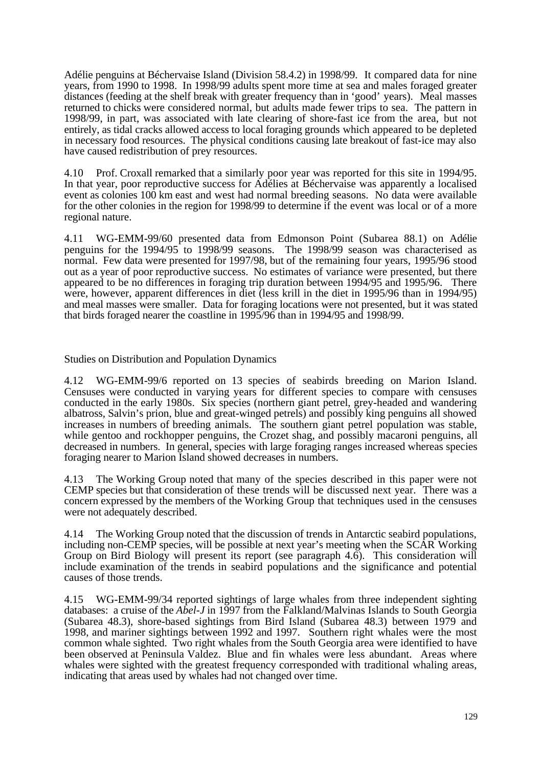Adélie penguins at Béchervaise Island (Division 58.4.2) in 1998/99. It compared data for nine years, from 1990 to 1998. In 1998/99 adults spent more time at sea and males foraged greater distances (feeding at the shelf break with greater frequency than in 'good' years). Meal masses returned to chicks were considered normal, but adults made fewer trips to sea. The pattern in 1998/99, in part, was associated with late clearing of shore-fast ice from the area, but not entirely, as tidal cracks allowed access to local foraging grounds which appeared to be depleted in necessary food resources. The physical conditions causing late breakout of fast-ice may also have caused redistribution of prey resources.

4.10 Prof. Croxall remarked that a similarly poor year was reported for this site in 1994/95. In that year, poor reproductive success for Adélies at Béchervaise was apparently a localised event as colonies 100 km east and west had normal breeding seasons. No data were available for the other colonies in the region for 1998/99 to determine if the event was local or of a more regional nature.

4.11 WG-EMM-99/60 presented data from Edmonson Point (Subarea 88.1) on Adélie penguins for the 1994/95 to 1998/99 seasons. The 1998/99 season was characterised as normal. Few data were presented for 1997/98, but of the remaining four years, 1995/96 stood out as a year of poor reproductive success. No estimates of variance were presented, but there appeared to be no differences in foraging trip duration between 1994/95 and 1995/96. There were, however, apparent differences in diet (less krill in the diet in 1995/96 than in 1994/95) and meal masses were smaller. Data for foraging locations were not presented, but it was stated that birds foraged nearer the coastline in 1995/96 than in 1994/95 and 1998/99.

Studies on Distribution and Population Dynamics

4.12 WG-EMM-99/6 reported on 13 species of seabirds breeding on Marion Island. Censuses were conducted in varying years for different species to compare with censuses conducted in the early 1980s. Six species (northern giant petrel, grey-headed and wandering albatross, Salvin's prion, blue and great-winged petrels) and possibly king penguins all showed increases in numbers of breeding animals. The southern giant petrel population was stable, while gentoo and rockhopper penguins, the Crozet shag, and possibly macaroni penguins, all decreased in numbers. In general, species with large foraging ranges increased whereas species foraging nearer to Marion Island showed decreases in numbers.

4.13 The Working Group noted that many of the species described in this paper were not CEMP species but that consideration of these trends will be discussed next year. There was a concern expressed by the members of the Working Group that techniques used in the censuses were not adequately described.

4.14 The Working Group noted that the discussion of trends in Antarctic seabird populations, including non-CEMP species, will be possible at next year's meeting when the SCAR Working Group on Bird Biology will present its report (see paragraph 4.6). This consideration will include examination of the trends in seabird populations and the significance and potential causes of those trends.

4.15 WG-EMM-99/34 reported sightings of large whales from three independent sighting databases: a cruise of the *Abel-J* in 1997 from the Falkland/Malvinas Islands to South Georgia (Subarea 48.3), shore-based sightings from Bird Island (Subarea 48.3) between 1979 and 1998, and mariner sightings between 1992 and 1997. Southern right whales were the most common whale sighted. Two right whales from the South Georgia area were identified to have been observed at Peninsula Valdez. Blue and fin whales were less abundant. Areas where whales were sighted with the greatest frequency corresponded with traditional whaling areas, indicating that areas used by whales had not changed over time.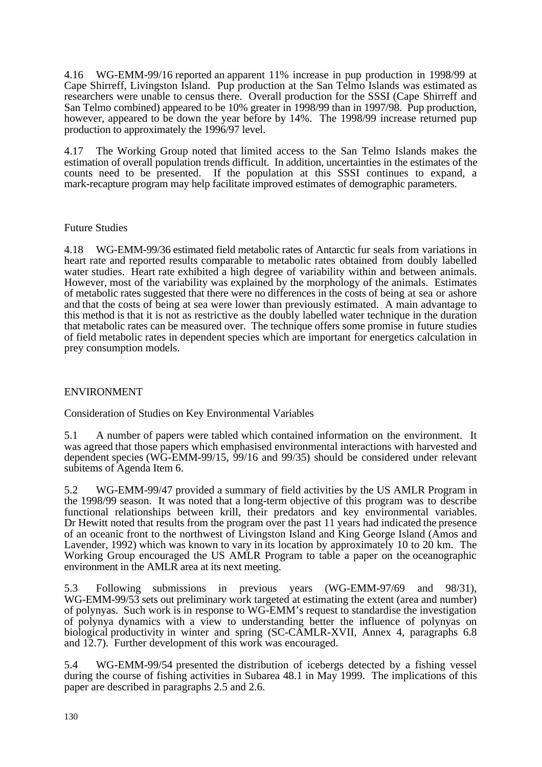4.16 WG-EMM-99/16 reported an apparent 11% increase in pup production in 1998/99 at Cape Shirreff, Livingston Island. Pup production at the San Telmo Islands was estimated as researchers were unable to census there. Overall production for the SSSI (Cape Shirreff and San Telmo combined) appeared to be 10% greater in 1998/99 than in 1997/98. Pup production, however, appeared to be down the year before by 14%. The 1998/99 increase returned pup production to approximately the 1996/97 level.

4.17 The Working Group noted that limited access to the San Telmo Islands makes the estimation of overall population trends difficult. In addition, uncertainties in the estimates of the counts need to be presented. If the population at this SSSI continues to expand, a mark-recapture program may help facilitate improved estimates of demographic parameters.

# Future Studies

4.18 WG-EMM-99/36 estimated field metabolic rates of Antarctic fur seals from variations in heart rate and reported results comparable to metabolic rates obtained from doubly labelled water studies. Heart rate exhibited a high degree of variability within and between animals. However, most of the variability was explained by the morphology of the animals. Estimates of metabolic rates suggested that there were no differences in the costs of being at sea or ashore and that the costs of being at sea were lower than previously estimated. A main advantage to this method is that it is not as restrictive as the doubly labelled water technique in the duration that metabolic rates can be measured over. The technique offers some promise in future studies of field metabolic rates in dependent species which are important for energetics calculation in prey consumption models.

# ENVIRONMENT

Consideration of Studies on Key Environmental Variables

5.1 A number of papers were tabled which contained information on the environment. It was agreed that those papers which emphasised environmental interactions with harvested and dependent species (WG-EMM-99/15, 99/16 and 99/35) should be considered under relevant subitems of Agenda Item 6.

5.2 WG-EMM-99/47 provided a summary of field activities by the US AMLR Program in the 1998/99 season. It was noted that a long-term objective of this program was to describe functional relationships between krill, their predators and key environmental variables. Dr Hewitt noted that results from the program over the past 11 years had indicated the presence of an oceanic front to the northwest of Livingston Island and King George Island (Amos and Lavender, 1992) which was known to vary in its location by approximately 10 to 20 km. The Working Group encouraged the US AMLR Program to table a paper on the oceanographic environment in the AMLR area at its next meeting.

5.3 Following submissions in previous years (WG-EMM-97/69 and 98/31), WG-EMM-99/53 sets out preliminary work targeted at estimating the extent (area and number) of polynyas. Such work is in response to WG-EMM's request to standardise the investigation of polynya dynamics with a view to understanding better the influence of polynyas on biological productivity in winter and spring (SC-CAMLR-XVII, Annex 4, paragraphs 6.8 and 12.7). Further development of this work was encouraged.

5.4 WG-EMM-99/54 presented the distribution of icebergs detected by a fishing vessel during the course of fishing activities in Subarea 48.1 in May 1999. The implications of this paper are described in paragraphs 2.5 and 2.6.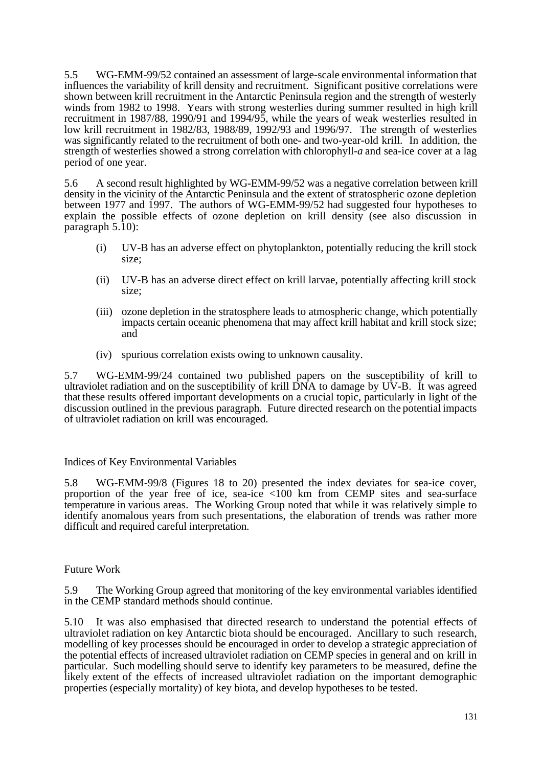5.5 WG-EMM-99/52 contained an assessment of large-scale environmental information that influences the variability of krill density and recruitment. Significant positive correlations were shown between krill recruitment in the Antarctic Peninsula region and the strength of westerly winds from 1982 to 1998. Years with strong westerlies during summer resulted in high krill recruitment in 1987/88, 1990/91 and 1994/95, while the years of weak westerlies resulted in low krill recruitment in 1982/83, 1988/89, 1992/93 and 1996/97. The strength of westerlies was significantly related to the recruitment of both one- and two-year-old krill. In addition, the strength of westerlies showed a strong correlation with chlorophyll-*a* and sea-ice cover at a lag period of one year.

5.6 A second result highlighted by WG-EMM-99/52 was a negative correlation between krill density in the vicinity of the Antarctic Peninsula and the extent of stratospheric ozone depletion between 1977 and 1997. The authors of WG-EMM-99/52 had suggested four hypotheses to explain the possible effects of ozone depletion on krill density (see also discussion in paragraph 5.10):

- (i) UV-B has an adverse effect on phytoplankton, potentially reducing the krill stock size;
- (ii) UV-B has an adverse direct effect on krill larvae, potentially affecting krill stock size;
- (iii) ozone depletion in the stratosphere leads to atmospheric change, which potentially impacts certain oceanic phenomena that may affect krill habitat and krill stock size; and
- (iv) spurious correlation exists owing to unknown causality.

5.7 WG-EMM-99/24 contained two published papers on the susceptibility of krill to ultraviolet radiation and on the susceptibility of krill  $\overrightarrow{DNA}$  to damage by UV-B. It was agreed that these results offered important developments on a crucial topic, particularly in light of the discussion outlined in the previous paragraph. Future directed research on the potential impacts of ultraviolet radiation on krill was encouraged.

## Indices of Key Environmental Variables

5.8 WG-EMM-99/8 (Figures 18 to 20) presented the index deviates for sea-ice cover, proportion of the year free of ice, sea-ice <100 km from CEMP sites and sea-surface temperature in various areas. The Working Group noted that while it was relatively simple to identify anomalous years from such presentations, the elaboration of trends was rather more difficult and required careful interpretation.

## Future Work

5.9 The Working Group agreed that monitoring of the key environmental variables identified in the CEMP standard methods should continue.

5.10 It was also emphasised that directed research to understand the potential effects of ultraviolet radiation on key Antarctic biota should be encouraged. Ancillary to such research, modelling of key processes should be encouraged in order to develop a strategic appreciation of the potential effects of increased ultraviolet radiation on CEMP species in general and on krill in particular. Such modelling should serve to identify key parameters to be measured, define the likely extent of the effects of increased ultraviolet radiation on the important demographic properties (especially mortality) of key biota, and develop hypotheses to be tested.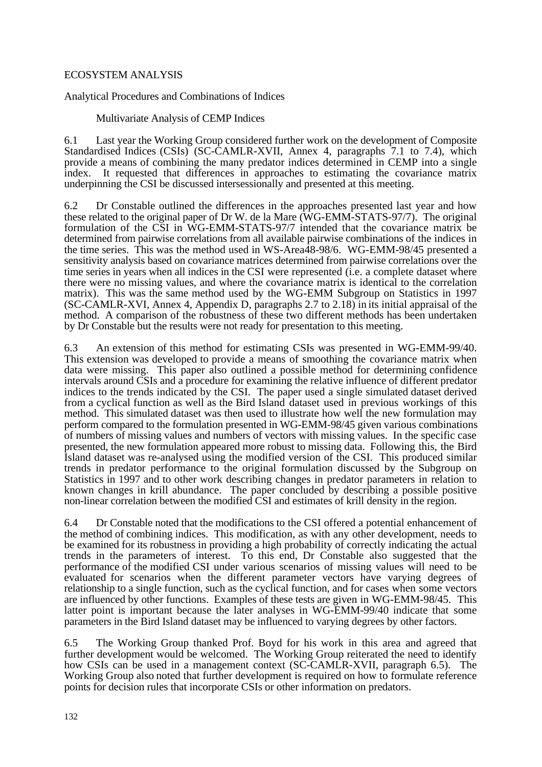# ECOSYSTEM ANALYSIS

Analytical Procedures and Combinations of Indices

Multivariate Analysis of CEMP Indices

6.1 Last year the Working Group considered further work on the development of Composite Standardised Indices (CSIs) (SC-CAMLR-XVII, Annex 4, paragraphs 7.1 to 7.4), which provide a means of combining the many predator indices determined in CEMP into a single index. It requested that differences in approaches to estimating the covariance matrix underpinning the CSI be discussed intersessionally and presented at this meeting.

6.2 Dr Constable outlined the differences in the approaches presented last year and how these related to the original paper of Dr W. de la Mare (WG-EMM-STATS-97/7). The original formulation of the CSI in WG-EMM-STATS-97/7 intended that the covariance matrix be determined from pairwise correlations from all available pairwise combinations of the indices in the time series. This was the method used in WS-Area48-98/6. WG-EMM-98/45 presented a sensitivity analysis based on covariance matrices determined from pairwise correlations over the time series in years when all indices in the CSI were represented (i.e. a complete dataset where there were no missing values, and where the covariance matrix is identical to the correlation matrix). This was the same method used by the WG-EMM Subgroup on Statistics in 1997 (SC-CAMLR-XVI, Annex 4, Appendix D, paragraphs 2.7 to 2.18) in its initial appraisal of the method. A comparison of the robustness of these two different methods has been undertaken by Dr Constable but the results were not ready for presentation to this meeting.

6.3 An extension of this method for estimating CSIs was presented in WG-EMM-99/40. This extension was developed to provide a means of smoothing the covariance matrix when data were missing. This paper also outlined a possible method for determining confidence intervals around CSIs and a procedure for examining the relative influence of different predator indices to the trends indicated by the CSI. The paper used a single simulated dataset derived from a cyclical function as well as the Bird Island dataset used in previous workings of this method. This simulated dataset was then used to illustrate how well the new formulation may perform compared to the formulation presented in WG-EMM-98/45 given various combinations of numbers of missing values and numbers of vectors with missing values. In the specific case presented, the new formulation appeared more robust to missing data. Following this, the Bird Island dataset was re-analysed using the modified version of the CSI. This produced similar trends in predator performance to the original formulation discussed by the Subgroup on Statistics in 1997 and to other work describing changes in predator parameters in relation to known changes in krill abundance. The paper concluded by describing a possible positive non-linear correlation between the modified CSI and estimates of krill density in the region.

6.4 Dr Constable noted that the modifications to the CSI offered a potential enhancement of the method of combining indices. This modification, as with any other development, needs to be examined for its robustness in providing a high probability of correctly indicating the actual trends in the parameters of interest. To this end, Dr Constable also suggested that the performance of the modified CSI under various scenarios of missing values will need to be evaluated for scenarios when the different parameter vectors have varying degrees of relationship to a single function, such as the cyclical function, and for cases when some vectors are influenced by other functions. Examples of these tests are given in WG-EMM-98/45. This latter point is important because the later analyses in WG-EMM-99/40 indicate that some parameters in the Bird Island dataset may be influenced to varying degrees by other factors.

6.5 The Working Group thanked Prof. Boyd for his work in this area and agreed that further development would be welcomed. The Working Group reiterated the need to identify how CSIs can be used in a management context (SC-CAMLR-XVII, paragraph 6.5). The Working Group also noted that further development is required on how to formulate reference points for decision rules that incorporate CSIs or other information on predators.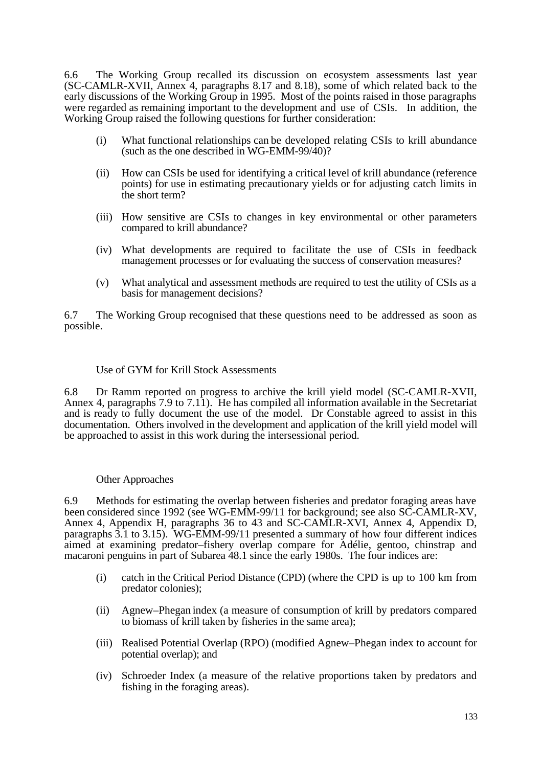6.6 The Working Group recalled its discussion on ecosystem assessments last year (SC-CAMLR-XVII, Annex 4, paragraphs 8.17 and 8.18), some of which related back to the early discussions of the Working Group in 1995. Most of the points raised in those paragraphs were regarded as remaining important to the development and use of CSIs. In addition, the Working Group raised the following questions for further consideration:

- (i) What functional relationships can be developed relating CSIs to krill abundance (such as the one described in WG-EMM-99/40)?
- (ii) How can CSIs be used for identifying a critical level of krill abundance (reference points) for use in estimating precautionary yields or for adjusting catch limits in the short term?
- (iii) How sensitive are CSIs to changes in key environmental or other parameters compared to krill abundance?
- (iv) What developments are required to facilitate the use of CSIs in feedback management processes or for evaluating the success of conservation measures?
- (v) What analytical and assessment methods are required to test the utility of CSIs as a basis for management decisions?

6.7 The Working Group recognised that these questions need to be addressed as soon as possible.

#### Use of GYM for Krill Stock Assessments

6.8 Dr Ramm reported on progress to archive the krill yield model (SC-CAMLR-XVII, Annex 4, paragraphs 7.9 to 7.11). He has compiled all information available in the Secretariat and is ready to fully document the use of the model. Dr Constable agreed to assist in this documentation. Others involved in the development and application of the krill yield model will be approached to assist in this work during the intersessional period.

## Other Approaches

6.9 Methods for estimating the overlap between fisheries and predator foraging areas have been considered since 1992 (see WG-EMM-99/11 for background; see also SC-CAMLR-XV, Annex 4, Appendix H, paragraphs 36 to 43 and SC-CAMLR-XVI, Annex 4, Appendix D, paragraphs 3.1 to 3.15). WG-EMM-99/11 presented a summary of how four different indices aimed at examining predator–fishery overlap compare for Adélie, gentoo, chinstrap and macaroni penguins in part of Subarea 48.1 since the early 1980s. The four indices are:

- (i) catch in the Critical Period Distance (CPD) (where the CPD is up to 100 km from predator colonies);
- (ii) Agnew–Phegan index (a measure of consumption of krill by predators compared to biomass of krill taken by fisheries in the same area);
- (iii) Realised Potential Overlap (RPO) (modified Agnew–Phegan index to account for potential overlap); and
- (iv) Schroeder Index (a measure of the relative proportions taken by predators and fishing in the foraging areas).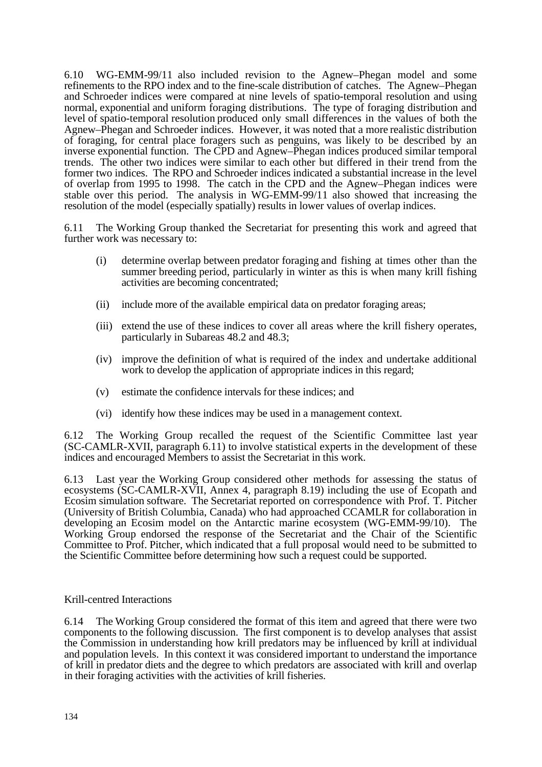6.10 WG-EMM-99/11 also included revision to the Agnew–Phegan model and some refinements to the RPO index and to the fine-scale distribution of catches. The Agnew–Phegan and Schroeder indices were compared at nine levels of spatio-temporal resolution and using normal, exponential and uniform foraging distributions. The type of foraging distribution and level of spatio-temporal resolution produced only small differences in the values of both the Agnew–Phegan and Schroeder indices. However, it was noted that a more realistic distribution of foraging, for central place foragers such as penguins, was likely to be described by an inverse exponential function. The CPD and Agnew–Phegan indices produced similar temporal trends. The other two indices were similar to each other but differed in their trend from the former two indices. The RPO and Schroeder indices indicated a substantial increase in the level of overlap from 1995 to 1998. The catch in the CPD and the Agnew–Phegan indices were stable over this period. The analysis in WG-EMM-99/11 also showed that increasing the resolution of the model (especially spatially) results in lower values of overlap indices.

6.11 The Working Group thanked the Secretariat for presenting this work and agreed that further work was necessary to:

- (i) determine overlap between predator foraging and fishing at times other than the summer breeding period, particularly in winter as this is when many krill fishing activities are becoming concentrated;
- (ii) include more of the available empirical data on predator foraging areas;
- (iii) extend the use of these indices to cover all areas where the krill fishery operates, particularly in Subareas 48.2 and 48.3;
- (iv) improve the definition of what is required of the index and undertake additional work to develop the application of appropriate indices in this regard;
- (v) estimate the confidence intervals for these indices; and
- (vi) identify how these indices may be used in a management context.

6.12 The Working Group recalled the request of the Scientific Committee last year (SC-CAMLR-XVII, paragraph 6.11) to involve statistical experts in the development of these indices and encouraged Members to assist the Secretariat in this work.

6.13 Last year the Working Group considered other methods for assessing the status of ecosystems (SC-CAMLR-XVII, Annex 4, paragraph 8.19) including the use of Ecopath and Ecosim simulation software. The Secretariat reported on correspondence with Prof. T. Pitcher (University of British Columbia, Canada) who had approached CCAMLR for collaboration in developing an Ecosim model on the Antarctic marine ecosystem (WG-EMM-99/10). The Working Group endorsed the response of the Secretariat and the Chair of the Scientific Committee to Prof. Pitcher, which indicated that a full proposal would need to be submitted to the Scientific Committee before determining how such a request could be supported.

## Krill-centred Interactions

6.14 The Working Group considered the format of this item and agreed that there were two components to the following discussion. The first component is to develop analyses that assist the Commission in understanding how krill predators may be influenced by krill at individual and population levels. In this context it was considered important to understand the importance of krill in predator diets and the degree to which predators are associated with krill and overlap in their foraging activities with the activities of krill fisheries.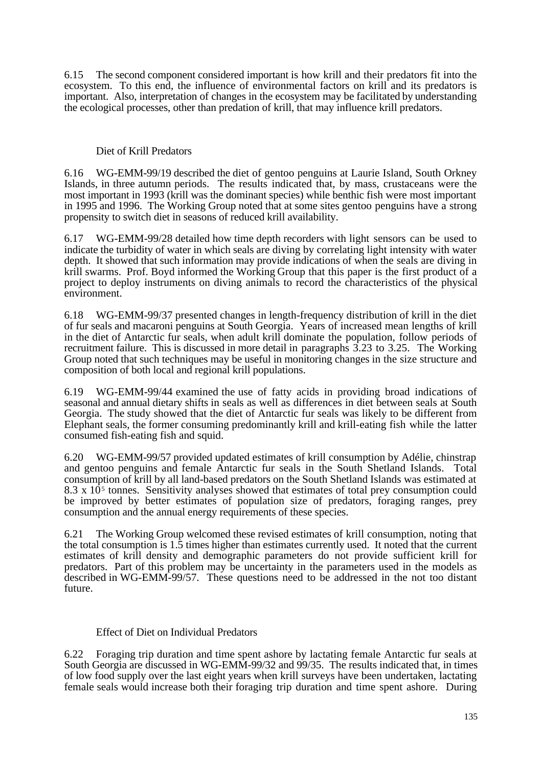6.15 The second component considered important is how krill and their predators fit into the ecosystem. To this end, the influence of environmental factors on krill and its predators is important. Also, interpretation of changes in the ecosystem may be facilitated by understanding the ecological processes, other than predation of krill, that may influence krill predators.

## Diet of Krill Predators

6.16 WG-EMM-99/19 described the diet of gentoo penguins at Laurie Island, South Orkney Islands, in three autumn periods. The results indicated that, by mass, crustaceans were the most important in 1993 (krill was the dominant species) while benthic fish were most important in 1995 and 1996. The Working Group noted that at some sites gentoo penguins have a strong propensity to switch diet in seasons of reduced krill availability.

6.17 WG-EMM-99/28 detailed how time depth recorders with light sensors can be used to indicate the turbidity of water in which seals are diving by correlating light intensity with water depth. It showed that such information may provide indications of when the seals are diving in krill swarms. Prof. Boyd informed the Working Group that this paper is the first product of a project to deploy instruments on diving animals to record the characteristics of the physical environment.

6.18 WG-EMM-99/37 presented changes in length-frequency distribution of krill in the diet of fur seals and macaroni penguins at South Georgia. Years of increased mean lengths of krill in the diet of Antarctic fur seals, when adult krill dominate the population, follow periods of recruitment failure. This is discussed in more detail in paragraphs 3.23 to 3.25. The Working Group noted that such techniques may be useful in monitoring changes in the size structure and composition of both local and regional krill populations.

6.19 WG-EMM-99/44 examined the use of fatty acids in providing broad indications of seasonal and annual dietary shifts in seals as well as differences in diet between seals at South Georgia. The study showed that the diet of Antarctic fur seals was likely to be different from Elephant seals, the former consuming predominantly krill and krill-eating fish while the latter consumed fish-eating fish and squid.

6.20 WG-EMM-99/57 provided updated estimates of krill consumption by Adélie, chinstrap and gentoo penguins and female Antarctic fur seals in the South Shetland Islands. Total consumption of krill by all land-based predators on the South Shetland Islands was estimated at  $8.3 \times 10<sup>5</sup>$  tonnes. Sensitivity analyses showed that estimates of total prey consumption could be improved by better estimates of population size of predators, foraging ranges, prey consumption and the annual energy requirements of these species.

6.21 The Working Group welcomed these revised estimates of krill consumption, noting that the total consumption is 1.5 times higher than estimates currently used. It noted that the current estimates of krill density and demographic parameters do not provide sufficient krill for predators. Part of this problem may be uncertainty in the parameters used in the models as described in WG-EMM-99/57. These questions need to be addressed in the not too distant future.

# Effect of Diet on Individual Predators

6.22 Foraging trip duration and time spent ashore by lactating female Antarctic fur seals at South Georgia are discussed in WG-EMM-99/32 and 99/35. The results indicated that, in times of low food supply over the last eight years when krill surveys have been undertaken, lactating female seals would increase both their foraging trip duration and time spent ashore. During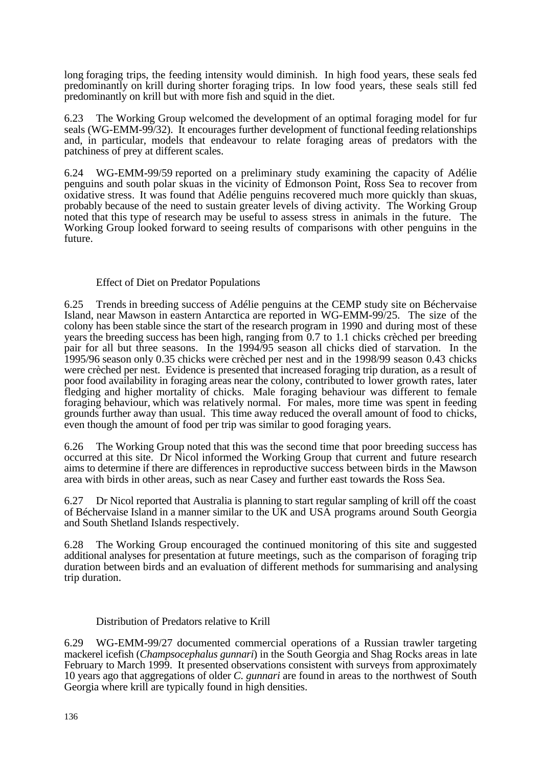long foraging trips, the feeding intensity would diminish. In high food years, these seals fed predominantly on krill during shorter foraging trips. In low food years, these seals still fed predominantly on krill but with more fish and squid in the diet.

6.23 The Working Group welcomed the development of an optimal foraging model for fur seals (WG-EMM-99/32). It encourages further development of functional feeding relationships and, in particular, models that endeavour to relate foraging areas of predators with the patchiness of prey at different scales.

6.24 WG-EMM-99/59 reported on a preliminary study examining the capacity of Adélie penguins and south polar skuas in the vicinity of Edmonson Point, Ross Sea to recover from oxidative stress. It was found that Adélie penguins recovered much more quickly than skuas, probably because of the need to sustain greater levels of diving activity. The Working Group noted that this type of research may be useful to assess stress in animals in the future. The Working Group looked forward to seeing results of comparisons with other penguins in the future.

# Effect of Diet on Predator Populations

6.25 Trends in breeding success of Adélie penguins at the CEMP study site on Béchervaise Island, near Mawson in eastern Antarctica are reported in WG-EMM-99/25. The size of the colony has been stable since the start of the research program in 1990 and during most of these years the breeding success has been high, ranging from 0.7 to 1.1 chicks crèched per breeding pair for all but three seasons. In the 1994/95 season all chicks died of starvation. In the 1995/96 season only 0.35 chicks were crèched per nest and in the 1998/99 season 0.43 chicks were crèched per nest. Evidence is presented that increased foraging trip duration, as a result of poor food availability in foraging areas near the colony, contributed to lower growth rates, later fledging and higher mortality of chicks. Male foraging behaviour was different to female foraging behaviour, which was relatively normal. For males, more time was spent in feeding grounds further away than usual. This time away reduced the overall amount of food to chicks, even though the amount of food per trip was similar to good foraging years.

6.26 The Working Group noted that this was the second time that poor breeding success has occurred at this site. Dr Nicol informed the Working Group that current and future research aims to determine if there are differences in reproductive success between birds in the Mawson area with birds in other areas, such as near Casey and further east towards the Ross Sea.

6.27 Dr Nicol reported that Australia is planning to start regular sampling of krill off the coast of Béchervaise Island in a manner similar to the UK and USA programs around South Georgia and South Shetland Islands respectively.

6.28 The Working Group encouraged the continued monitoring of this site and suggested additional analyses for presentation at future meetings, such as the comparison of foraging trip duration between birds and an evaluation of different methods for summarising and analysing trip duration.

## Distribution of Predators relative to Krill

6.29 WG-EMM-99/27 documented commercial operations of a Russian trawler targeting mackerel icefish (*Champsocephalus gunnari*) in the South Georgia and Shag Rocks areas in late February to March 1999. It presented observations consistent with surveys from approximately 10 years ago that aggregations of older *C. gunnari* are found in areas to the northwest of South Georgia where krill are typically found in high densities.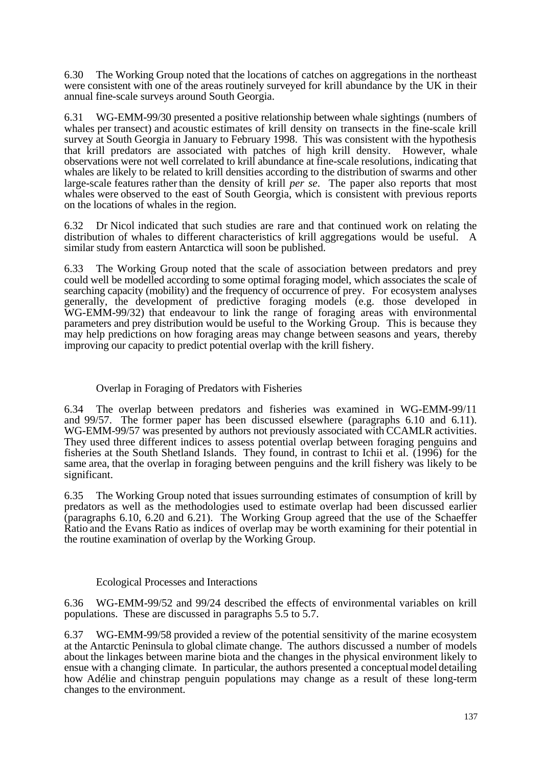6.30 The Working Group noted that the locations of catches on aggregations in the northeast were consistent with one of the areas routinely surveyed for krill abundance by the UK in their annual fine-scale surveys around South Georgia.

6.31 WG-EMM-99/30 presented a positive relationship between whale sightings (numbers of whales per transect) and acoustic estimates of krill density on transects in the fine-scale krill survey at South Georgia in January to February 1998. This was consistent with the hypothesis that krill predators are associated with patches of high krill density. However, whale observations were not well correlated to krill abundance at fine-scale resolutions, indicating that whales are likely to be related to krill densities according to the distribution of swarms and other large-scale features rather than the density of krill *per se*. The paper also reports that most whales were observed to the east of South Georgia, which is consistent with previous reports on the locations of whales in the region.

6.32 Dr Nicol indicated that such studies are rare and that continued work on relating the distribution of whales to different characteristics of krill aggregations would be useful. A similar study from eastern Antarctica will soon be published.

6.33 The Working Group noted that the scale of association between predators and prey could well be modelled according to some optimal foraging model, which associates the scale of searching capacity (mobility) and the frequency of occurrence of prey. For ecosystem analyses generally, the development of predictive foraging models (e.g. those developed in WG-EMM-99/32) that endeavour to link the range of foraging areas with environmental parameters and prey distribution would be useful to the Working Group. This is because they may help predictions on how foraging areas may change between seasons and years, thereby improving our capacity to predict potential overlap with the krill fishery.

# Overlap in Foraging of Predators with Fisheries

6.34 The overlap between predators and fisheries was examined in WG-EMM-99/11 and 99/57. The former paper has been discussed elsewhere (paragraphs 6.10 and 6.11). WG-EMM-99/57 was presented by authors not previously associated with CCAMLR activities. They used three different indices to assess potential overlap between foraging penguins and fisheries at the South Shetland Islands. They found, in contrast to Ichii et al. (1996) for the same area, that the overlap in foraging between penguins and the krill fishery was likely to be significant.

6.35 The Working Group noted that issues surrounding estimates of consumption of krill by predators as well as the methodologies used to estimate overlap had been discussed earlier (paragraphs 6.10, 6.20 and 6.21). The Working Group agreed that the use of the Schaeffer Ratio and the Evans Ratio as indices of overlap may be worth examining for their potential in the routine examination of overlap by the Working Group.

## Ecological Processes and Interactions

6.36 WG-EMM-99/52 and 99/24 described the effects of environmental variables on krill populations. These are discussed in paragraphs 5.5 to 5.7.

6.37 WG-EMM-99/58 provided a review of the potential sensitivity of the marine ecosystem at the Antarctic Peninsula to global climate change. The authors discussed a number of models about the linkages between marine biota and the changes in the physical environment likely to ensue with a changing climate. In particular, the authors presented a conceptual model detailing how Adélie and chinstrap penguin populations may change as a result of these long-term changes to the environment.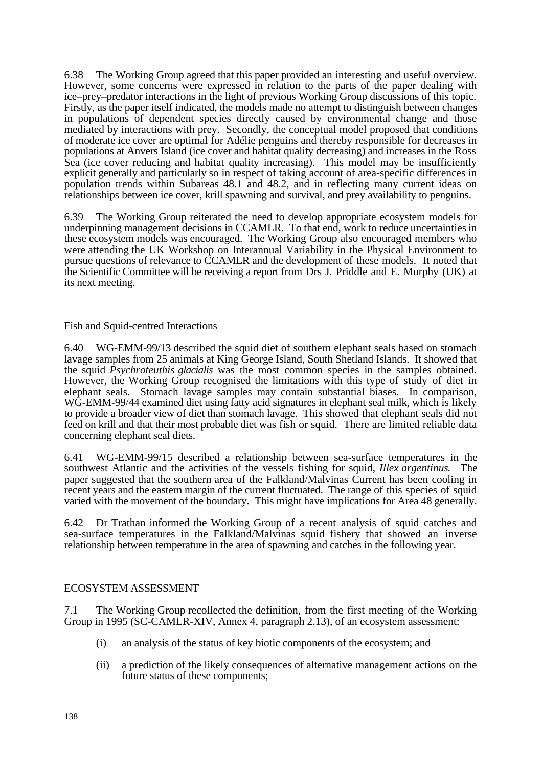6.38 The Working Group agreed that this paper provided an interesting and useful overview. However, some concerns were expressed in relation to the parts of the paper dealing with ice–prey–predator interactions in the light of previous Working Group discussions of this topic. Firstly, as the paper itself indicated, the models made no attempt to distinguish between changes in populations of dependent species directly caused by environmental change and those mediated by interactions with prey. Secondly, the conceptual model proposed that conditions of moderate ice cover are optimal for Adélie penguins and thereby responsible for decreases in populations at Anvers Island (ice cover and habitat quality decreasing) and increases in the Ross Sea (ice cover reducing and habitat quality increasing). This model may be insufficiently explicit generally and particularly so in respect of taking account of area-specific differences in population trends within Subareas 48.1 and 48.2, and in reflecting many current ideas on relationships between ice cover, krill spawning and survival, and prey availability to penguins.

6.39 The Working Group reiterated the need to develop appropriate ecosystem models for underpinning management decisions in CCAMLR. To that end, work to reduce uncertainties in these ecosystem models was encouraged. The Working Group also encouraged members who were attending the UK Workshop on Interannual Variability in the Physical Environment to pursue questions of relevance to CCAMLR and the development of these models. It noted that the Scientific Committee will be receiving a report from Drs J. Priddle and E. Murphy (UK) at its next meeting.

Fish and Squid-centred Interactions

6.40 WG-EMM-99/13 described the squid diet of southern elephant seals based on stomach lavage samples from 25 animals at King George Island, South Shetland Islands. It showed that the squid *Psychroteuthis glacialis* was the most common species in the samples obtained. However, the Working Group recognised the limitations with this type of study of diet in elephant seals. Stomach lavage samples may contain substantial biases. In comparison, WG-EMM-99/44 examined diet using fatty acid signatures in elephant seal milk, which is likely to provide a broader view of diet than stomach lavage. This showed that elephant seals did not feed on krill and that their most probable diet was fish or squid. There are limited reliable data concerning elephant seal diets.

6.41 WG-EMM-99/15 described a relationship between sea-surface temperatures in the southwest Atlantic and the activities of the vessels fishing for squid, *Illex argentinus*. The paper suggested that the southern area of the Falkland/Malvinas Current has been cooling in recent years and the eastern margin of the current fluctuated. The range of this species of squid varied with the movement of the boundary. This might have implications for Area 48 generally.

6.42 Dr Trathan informed the Working Group of a recent analysis of squid catches and sea-surface temperatures in the Falkland/Malvinas squid fishery that showed an inverse relationship between temperature in the area of spawning and catches in the following year.

## ECOSYSTEM ASSESSMENT

7.1 The Working Group recollected the definition, from the first meeting of the Working Group in 1995 (SC-CAMLR-XIV, Annex 4, paragraph 2.13), of an ecosystem assessment:

- (i) an analysis of the status of key biotic components of the ecosystem; and
- (ii) a prediction of the likely consequences of alternative management actions on the future status of these components;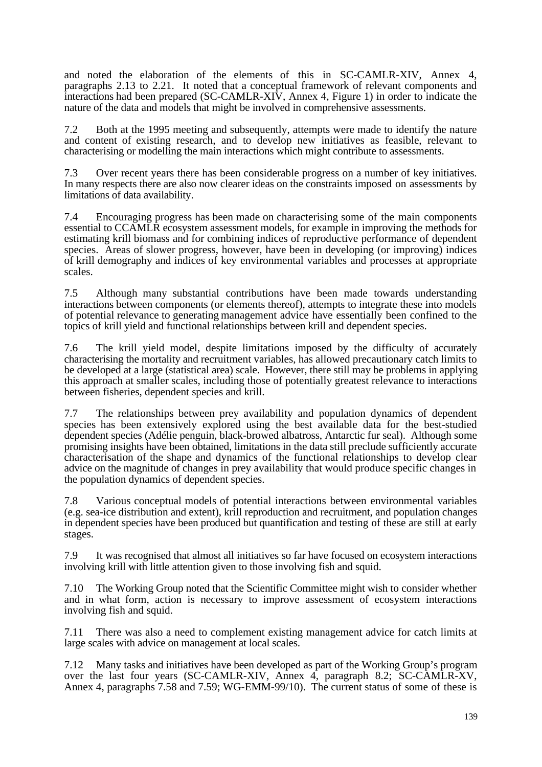and noted the elaboration of the elements of this in SC-CAMLR-XIV, Annex 4, paragraphs 2.13 to 2.21. It noted that a conceptual framework of relevant components and interactions had been prepared (SC-CAMLR-XIV, Annex 4, Figure 1) in order to indicate the nature of the data and models that might be involved in comprehensive assessments.

7.2 Both at the 1995 meeting and subsequently, attempts were made to identify the nature and content of existing research, and to develop new initiatives as feasible, relevant to characterising or modelling the main interactions which might contribute to assessments.

7.3 Over recent years there has been considerable progress on a number of key initiatives. In many respects there are also now clearer ideas on the constraints imposed on assessments by limitations of data availability.

7.4 Encouraging progress has been made on characterising some of the main components essential to CCAMLR ecosystem assessment models, for example in improving the methods for estimating krill biomass and for combining indices of reproductive performance of dependent species. Areas of slower progress, however, have been in developing (or improving) indices of krill demography and indices of key environmental variables and processes at appropriate scales.

7.5 Although many substantial contributions have been made towards understanding interactions between components (or elements thereof), attempts to integrate these into models of potential relevance to generating management advice have essentially been confined to the topics of krill yield and functional relationships between krill and dependent species.

7.6 The krill yield model, despite limitations imposed by the difficulty of accurately characterising the mortality and recruitment variables, has allowed precautionary catch limits to be developed at a large (statistical area) scale. However, there still may be problems in applying this approach at smaller scales, including those of potentially greatest relevance to interactions between fisheries, dependent species and krill.

7.7 The relationships between prey availability and population dynamics of dependent species has been extensively explored using the best available data for the best-studied dependent species (Adélie penguin, black-browed albatross, Antarctic fur seal). Although some promising insights have been obtained, limitations in the data still preclude sufficiently accurate characterisation of the shape and dynamics of the functional relationships to develop clear advice on the magnitude of changes in prey availability that would produce specific changes in the population dynamics of dependent species.

7.8 Various conceptual models of potential interactions between environmental variables (e.g. sea-ice distribution and extent), krill reproduction and recruitment, and population changes in dependent species have been produced but quantification and testing of these are still at early stages.

7.9 It was recognised that almost all initiatives so far have focused on ecosystem interactions involving krill with little attention given to those involving fish and squid.

7.10 The Working Group noted that the Scientific Committee might wish to consider whether and in what form, action is necessary to improve assessment of ecosystem interactions involving fish and squid.

7.11 There was also a need to complement existing management advice for catch limits at large scales with advice on management at local scales.

7.12 Many tasks and initiatives have been developed as part of the Working Group's program over the last four years (SC-CAMLR-XIV, Annex 4, paragraph 8.2; SC-CAMLR-XV, Annex 4, paragraphs 7.58 and 7.59; WG-EMM-99/10). The current status of some of these is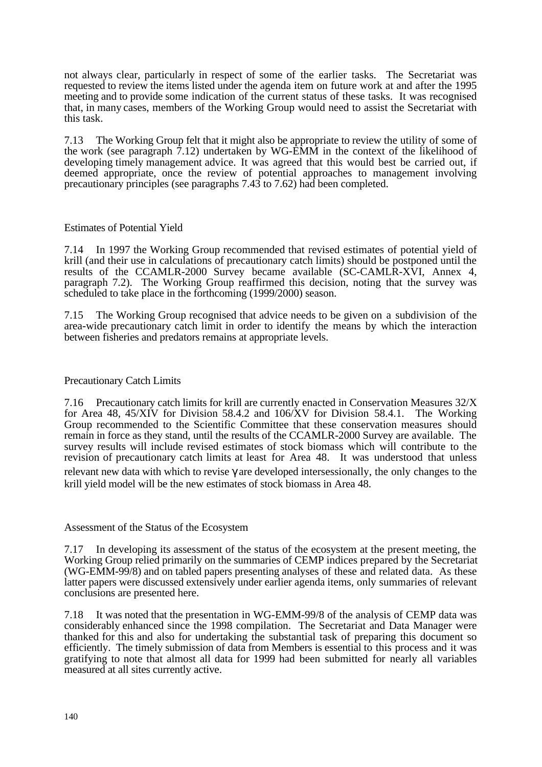not always clear, particularly in respect of some of the earlier tasks. The Secretariat was requested to review the items listed under the agenda item on future work at and after the 1995 meeting and to provide some indication of the current status of these tasks. It was recognised that, in many cases, members of the Working Group would need to assist the Secretariat with this task.

7.13 The Working Group felt that it might also be appropriate to review the utility of some of the work (see paragraph 7.12) undertaken by WG-EMM in the context of the likelihood of developing timely management advice. It was agreed that this would best be carried out, if deemed appropriate, once the review of potential approaches to management involving precautionary principles (see paragraphs 7.43 to 7.62) had been completed.

## Estimates of Potential Yield

7.14 In 1997 the Working Group recommended that revised estimates of potential yield of krill (and their use in calculations of precautionary catch limits) should be postponed until the results of the CCAMLR-2000 Survey became available (SC-CAMLR-XVI, Annex 4, paragraph 7.2). The Working Group reaffirmed this decision, noting that the survey was scheduled to take place in the forthcoming (1999/2000) season.

7.15 The Working Group recognised that advice needs to be given on a subdivision of the area-wide precautionary catch limit in order to identify the means by which the interaction between fisheries and predators remains at appropriate levels.

#### Precautionary Catch Limits

7.16 Precautionary catch limits for krill are currently enacted in Conservation Measures 32/X for Area 48, 45/XIV for Division 58.4.2 and 106/XV for Division 58.4.1. The Working Group recommended to the Scientific Committee that these conservation measures should remain in force as they stand, until the results of the CCAMLR-2000 Survey are available. The survey results will include revised estimates of stock biomass which will contribute to the revision of precautionary catch limits at least for Area 48. It was understood that unless relevant new data with which to revise are developed intersessionally, the only changes to the krill yield model will be the new estimates of stock biomass in Area 48.

Assessment of the Status of the Ecosystem

7.17 In developing its assessment of the status of the ecosystem at the present meeting, the Working Group relied primarily on the summaries of CEMP indices prepared by the Secretariat (WG-EMM-99/8) and on tabled papers presenting analyses of these and related data. As these latter papers were discussed extensively under earlier agenda items, only summaries of relevant conclusions are presented here.

7.18 It was noted that the presentation in WG-EMM-99/8 of the analysis of CEMP data was considerably enhanced since the 1998 compilation. The Secretariat and Data Manager were thanked for this and also for undertaking the substantial task of preparing this document so efficiently. The timely submission of data from Members is essential to this process and it was gratifying to note that almost all data for 1999 had been submitted for nearly all variables measured at all sites currently active.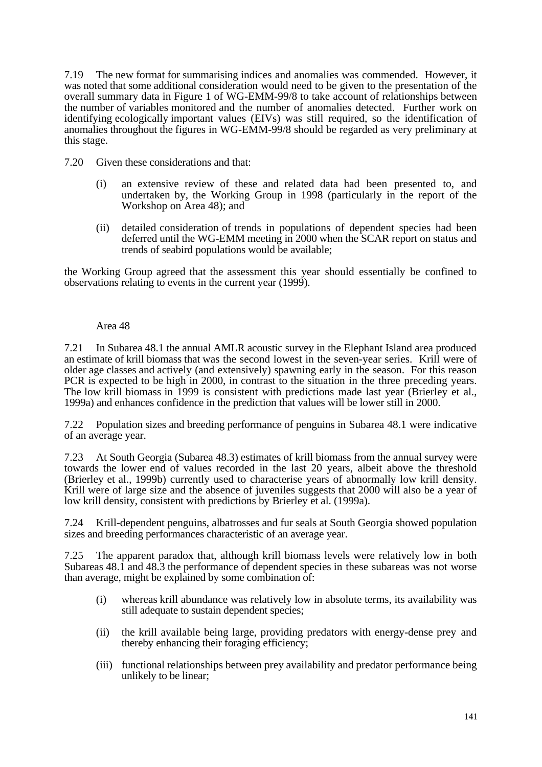7.19 The new format for summarising indices and anomalies was commended. However, it was noted that some additional consideration would need to be given to the presentation of the overall summary data in Figure 1 of WG-EMM-99/8 to take account of relationships between the number of variables monitored and the number of anomalies detected. Further work on identifying ecologically important values (EIVs) was still required, so the identification of anomalies throughout the figures in WG-EMM-99/8 should be regarded as very preliminary at this stage.

7.20 Given these considerations and that:

- (i) an extensive review of these and related data had been presented to, and undertaken by, the Working Group in 1998 (particularly in the report of the Workshop on Area 48); and
- (ii) detailed consideration of trends in populations of dependent species had been deferred until the WG-EMM meeting in 2000 when the SCAR report on status and trends of seabird populations would be available;

the Working Group agreed that the assessment this year should essentially be confined to observations relating to events in the current year (1999).

#### Area 48

7.21 In Subarea 48.1 the annual AMLR acoustic survey in the Elephant Island area produced an estimate of krill biomass that was the second lowest in the seven-year series. Krill were of older age classes and actively (and extensively) spawning early in the season. For this reason PCR is expected to be high in 2000, in contrast to the situation in the three preceding years. The low krill biomass in 1999 is consistent with predictions made last year (Brierley et al., 1999a) and enhances confidence in the prediction that values will be lower still in 2000.

7.22 Population sizes and breeding performance of penguins in Subarea 48.1 were indicative of an average year.

7.23 At South Georgia (Subarea 48.3) estimates of krill biomass from the annual survey were towards the lower end of values recorded in the last 20 years, albeit above the threshold (Brierley et al., 1999b) currently used to characterise years of abnormally low krill density. Krill were of large size and the absence of juveniles suggests that 2000 will also be a year of low krill density, consistent with predictions by Brierley et al. (1999a).

7.24 Krill-dependent penguins, albatrosses and fur seals at South Georgia showed population sizes and breeding performances characteristic of an average year.

7.25 The apparent paradox that, although krill biomass levels were relatively low in both Subareas 48.1 and 48.3 the performance of dependent species in these subareas was not worse than average, might be explained by some combination of:

- (i) whereas krill abundance was relatively low in absolute terms, its availability was still adequate to sustain dependent species;
- (ii) the krill available being large, providing predators with energy-dense prey and thereby enhancing their foraging efficiency;
- (iii) functional relationships between prey availability and predator performance being unlikely to be linear;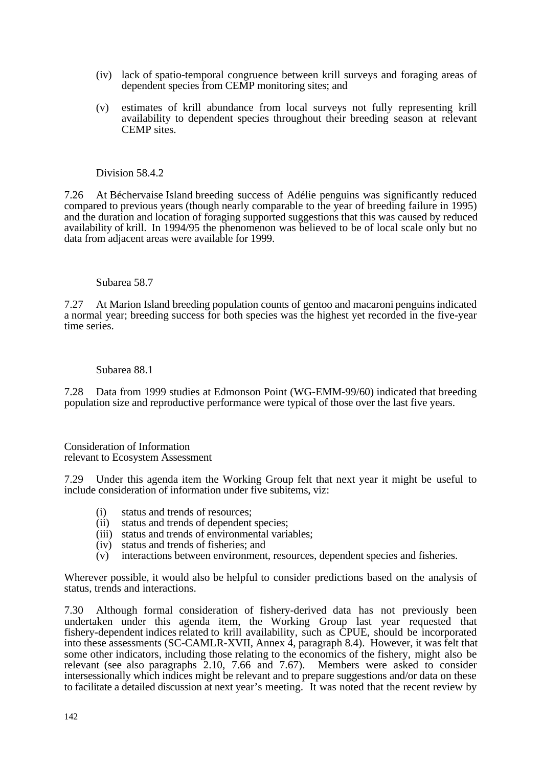- (iv) lack of spatio-temporal congruence between krill surveys and foraging areas of dependent species from CEMP monitoring sites; and
- (v) estimates of krill abundance from local surveys not fully representing krill availability to dependent species throughout their breeding season at relevant CEMP sites.

#### Division 58.4.2

7.26 At Béchervaise Island breeding success of Adélie penguins was significantly reduced compared to previous years (though nearly comparable to the year of breeding failure in 1995) and the duration and location of foraging supported suggestions that this was caused by reduced availability of krill. In 1994/95 the phenomenon was believed to be of local scale only but no data from adjacent areas were available for 1999.

#### Subarea 58.7

7.27 At Marion Island breeding population counts of gentoo and macaroni penguins indicated a normal year; breeding success for both species was the highest yet recorded in the five-year time series.

#### Subarea 88.1

7.28 Data from 1999 studies at Edmonson Point (WG-EMM-99/60) indicated that breeding population size and reproductive performance were typical of those over the last five years.

Consideration of Information relevant to Ecosystem Assessment

7.29 Under this agenda item the Working Group felt that next year it might be useful to include consideration of information under five subitems, viz:

- (i) status and trends of resources;
- (ii) status and trends of dependent species;
- (iii) status and trends of environmental variables;
- (iv) status and trends of fisheries; and
- (v) interactions between environment, resources, dependent species and fisheries.

Wherever possible, it would also be helpful to consider predictions based on the analysis of status, trends and interactions.

7.30 Although formal consideration of fishery-derived data has not previously been undertaken under this agenda item, the Working Group last year requested that fishery-dependent indices related to krill availability, such as CPUE, should be incorporated into these assessments (SC-CAMLR-XVII, Annex 4, paragraph 8.4). However, it was felt that some other indicators, including those relating to the economics of the fishery, might also be relevant (see also paragraphs 2.10, 7.66 and 7.67). Members were asked to consider intersessionally which indices might be relevant and to prepare suggestions and/or data on these to facilitate a detailed discussion at next year's meeting. It was noted that the recent review by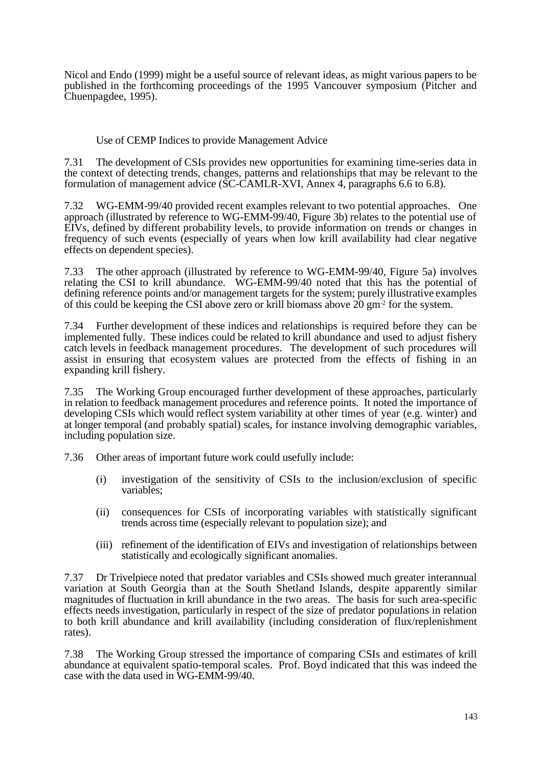Nicol and Endo (1999) might be a useful source of relevant ideas, as might various papers to be published in the forthcoming proceedings of the 1995 Vancouver symposium (Pitcher and Chuenpagdee, 1995).

# Use of CEMP Indices to provide Management Advice

7.31 The development of CSIs provides new opportunities for examining time-series data in the context of detecting trends, changes, patterns and relationships that may be relevant to the formulation of management advice (SC-CAMLR-XVI, Annex 4, paragraphs 6.6 to 6.8).

7.32 WG-EMM-99/40 provided recent examples relevant to two potential approaches. One approach (illustrated by reference to WG-EMM-99/40, Figure 3b) relates to the potential use of EIVs, defined by different probability levels, to provide information on trends or changes in frequency of such events (especially of years when low krill availability had clear negative effects on dependent species).

7.33 The other approach (illustrated by reference to WG-EMM-99/40, Figure 5a) involves relating the CSI to krill abundance. WG-EMM-99/40 noted that this has the potential of defining reference points and/or management targets for the system; purely illustrative examples of this could be keeping the CSI above zero or krill biomass above 20 gm-2 for the system.

7.34 Further development of these indices and relationships is required before they can be implemented fully. These indices could be related to krill abundance and used to adjust fishery catch levels in feedback management procedures. The development of such procedures will assist in ensuring that ecosystem values are protected from the effects of fishing in an expanding krill fishery.

7.35 The Working Group encouraged further development of these approaches, particularly in relation to feedback management procedures and reference points. It noted the importance of developing CSIs which would reflect system variability at other times of year (e.g. winter) and at longer temporal (and probably spatial) scales, for instance involving demographic variables, including population size.

7.36 Other areas of important future work could usefully include:

- (i) investigation of the sensitivity of CSIs to the inclusion/exclusion of specific variables;
- (ii) consequences for CSIs of incorporating variables with statistically significant trends across time (especially relevant to population size); and
- (iii) refinement of the identification of EIVs and investigation of relationships between statistically and ecologically significant anomalies.

7.37 Dr Trivelpiece noted that predator variables and CSIs showed much greater interannual variation at South Georgia than at the South Shetland Islands, despite apparently similar magnitudes of fluctuation in krill abundance in the two areas. The basis for such area-specific effects needs investigation, particularly in respect of the size of predator populations in relation to both krill abundance and krill availability (including consideration of flux/replenishment rates).

7.38 The Working Group stressed the importance of comparing CSIs and estimates of krill abundance at equivalent spatio-temporal scales. Prof. Boyd indicated that this was indeed the case with the data used in WG-EMM-99/40.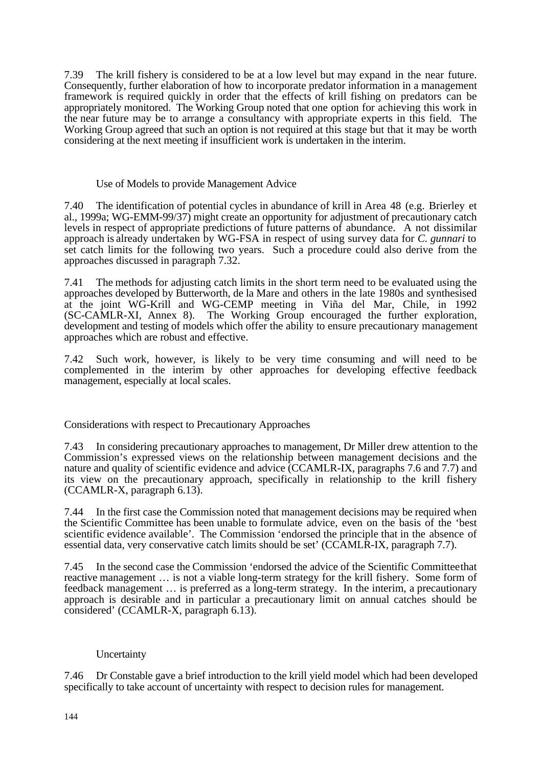7.39 The krill fishery is considered to be at a low level but may expand in the near future. Consequently, further elaboration of how to incorporate predator information in a management framework is required quickly in order that the effects of krill fishing on predators can be appropriately monitored. The Working Group noted that one option for achieving this work in the near future may be to arrange a consultancy with appropriate experts in this field. The Working Group agreed that such an option is not required at this stage but that it may be worth considering at the next meeting if insufficient work is undertaken in the interim.

#### Use of Models to provide Management Advice

7.40 The identification of potential cycles in abundance of krill in Area 48 (e.g. Brierley et al., 1999a; WG-EMM-99/37) might create an opportunity for adjustment of precautionary catch levels in respect of appropriate predictions of future patterns of abundance. A not dissimilar approach is already undertaken by WG-FSA in respect of using survey data for *C. gunnari* to set catch limits for the following two years. Such a procedure could also derive from the approaches discussed in paragraph 7.32.

7.41 The methods for adjusting catch limits in the short term need to be evaluated using the approaches developed by Butterworth, de la Mare and others in the late 1980s and synthesised at the joint WG-Krill and WG-CEMP meeting in Viña del Mar, Chile, in 1992 (SC-CAMLR-XI, Annex 8). The Working Group encouraged the further exploration, development and testing of models which offer the ability to ensure precautionary management approaches which are robust and effective.

7.42 Such work, however, is likely to be very time consuming and will need to be complemented in the interim by other approaches for developing effective feedback management, especially at local scales.

## Considerations with respect to Precautionary Approaches

7.43 In considering precautionary approaches to management, Dr Miller drew attention to the Commission's expressed views on the relationship between management decisions and the nature and quality of scientific evidence and advice (CCAMLR-IX, paragraphs 7.6 and 7.7) and its view on the precautionary approach, specifically in relationship to the krill fishery (CCAMLR-X, paragraph 6.13).

7.44 In the first case the Commission noted that management decisions may be required when the Scientific Committee has been unable to formulate advice, even on the basis of the 'best scientific evidence available'. The Commission 'endorsed the principle that in the absence of essential data, very conservative catch limits should be set' (CCAMLR-IX, paragraph 7.7).

7.45 In the second case the Commission 'endorsed the advice of the Scientific Committee that reactive management … is not a viable long-term strategy for the krill fishery. Some form of feedback management … is preferred as a long-term strategy. In the interim, a precautionary approach is desirable and in particular a precautionary limit on annual catches should be considered' (CCAMLR-X, paragraph 6.13).

## Uncertainty

7.46 Dr Constable gave a brief introduction to the krill yield model which had been developed specifically to take account of uncertainty with respect to decision rules for management.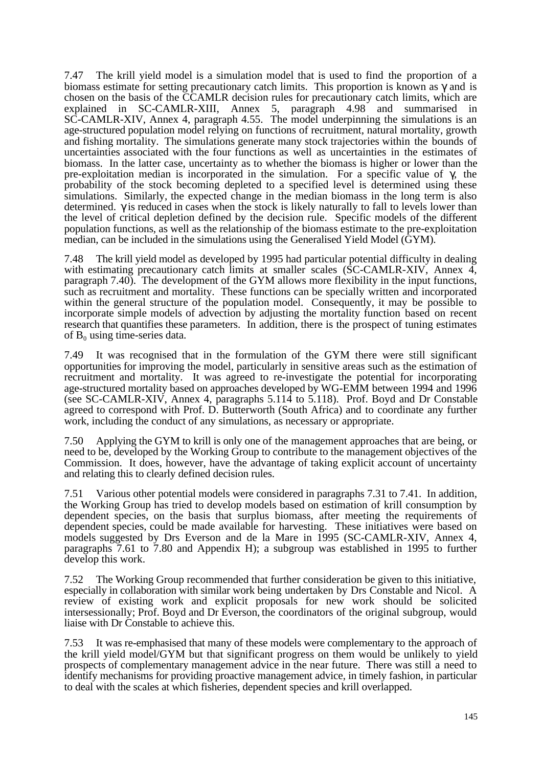7.47 The krill yield model is a simulation model that is used to find the proportion of a biomass estimate for setting precautionary catch limits. This proportion is known as and is chosen on the basis of the CCAMLR decision rules for precautionary catch limits, which are explained in SC-CAMLR-XIII, Annex 5, paragraph 4.98 and summarised in SC-CAMLR-XIV, Annex 4, paragraph 4.55. The model underpinning the simulations is an age-structured population model relying on functions of recruitment, natural mortality, growth and fishing mortality. The simulations generate many stock trajectories within the bounds of uncertainties associated with the four functions as well as uncertainties in the estimates of biomass. In the latter case, uncertainty as to whether the biomass is higher or lower than the pre-exploitation median is incorporated in the simulation. For a specific value of , the probability of the stock becoming depleted to a specified level is determined using these simulations. Similarly, the expected change in the median biomass in the long term is also determined. is reduced in cases when the stock is likely naturally to fall to levels lower than the level of critical depletion defined by the decision rule. Specific models of the different population functions, as well as the relationship of the biomass estimate to the pre-exploitation median, can be included in the simulations using the Generalised Yield Model (GYM).

7.48 The krill yield model as developed by 1995 had particular potential difficulty in dealing with estimating precautionary catch limits at smaller scales ( $\overline{SC}\text{-CAMLR-XIV}$ , Annex 4, paragraph 7.40). The development of the GYM allows more flexibility in the input functions, such as recruitment and mortality. These functions can be specially written and incorporated within the general structure of the population model. Consequently, it may be possible to incorporate simple models of advection by adjusting the mortality function based on recent research that quantifies these parameters. In addition, there is the prospect of tuning estimates of  $B_0$  using time-series data.

7.49 It was recognised that in the formulation of the GYM there were still significant opportunities for improving the model, particularly in sensitive areas such as the estimation of recruitment and mortality. It was agreed to re-investigate the potential for incorporating age-structured mortality based on approaches developed by WG-EMM between 1994 and 1996 (see SC-CAMLR-XIV, Annex 4, paragraphs 5.114 to 5.118). Prof. Boyd and Dr Constable agreed to correspond with Prof. D. Butterworth (South Africa) and to coordinate any further work, including the conduct of any simulations, as necessary or appropriate.

7.50 Applying the GYM to krill is only one of the management approaches that are being, or need to be, developed by the Working Group to contribute to the management objectives of the Commission. It does, however, have the advantage of taking explicit account of uncertainty and relating this to clearly defined decision rules.

7.51 Various other potential models were considered in paragraphs 7.31 to 7.41. In addition, the Working Group has tried to develop models based on estimation of krill consumption by dependent species, on the basis that surplus biomass, after meeting the requirements of dependent species, could be made available for harvesting. These initiatives were based on models suggested by Drs Everson and de la Mare in 1995 (SC-CAMLR-XIV, Annex 4, paragraphs 7.61 to 7.80 and Appendix H); a subgroup was established in 1995 to further develop this work.

7.52 The Working Group recommended that further consideration be given to this initiative, especially in collaboration with similar work being undertaken by Drs Constable and Nicol. A review of existing work and explicit proposals for new work should be solicited intersessionally; Prof. Boyd and Dr Everson, the coordinators of the original subgroup, would liaise with Dr Constable to achieve this.

7.53 It was re-emphasised that many of these models were complementary to the approach of the krill yield model/GYM but that significant progress on them would be unlikely to yield prospects of complementary management advice in the near future. There was still a need to identify mechanisms for providing proactive management advice, in timely fashion, in particular to deal with the scales at which fisheries, dependent species and krill overlapped.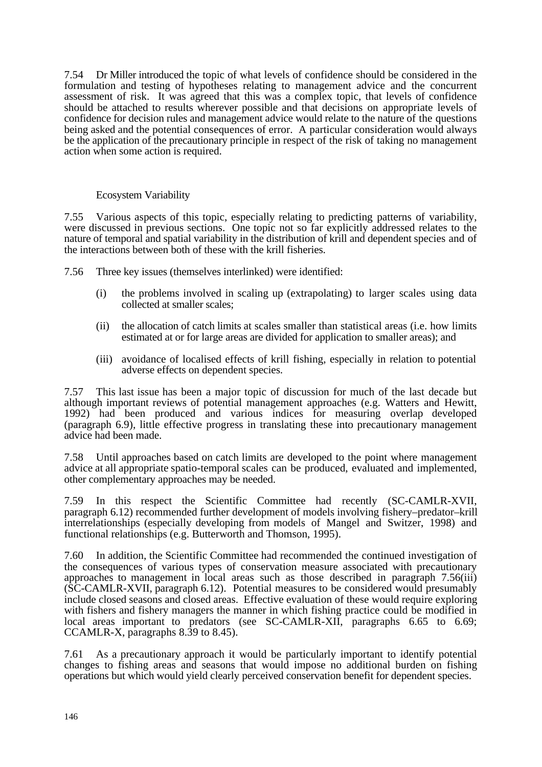7.54 Dr Miller introduced the topic of what levels of confidence should be considered in the formulation and testing of hypotheses relating to management advice and the concurrent assessment of risk. It was agreed that this was a complex topic, that levels of confidence should be attached to results wherever possible and that decisions on appropriate levels of confidence for decision rules and management advice would relate to the nature of the questions being asked and the potential consequences of error. A particular consideration would always be the application of the precautionary principle in respect of the risk of taking no management action when some action is required.

# Ecosystem Variability

7.55 Various aspects of this topic, especially relating to predicting patterns of variability, were discussed in previous sections. One topic not so far explicitly addressed relates to the nature of temporal and spatial variability in the distribution of krill and dependent species and of the interactions between both of these with the krill fisheries.

7.56 Three key issues (themselves interlinked) were identified:

- (i) the problems involved in scaling up (extrapolating) to larger scales using data collected at smaller scales;
- (ii) the allocation of catch limits at scales smaller than statistical areas (i.e. how limits estimated at or for large areas are divided for application to smaller areas); and
- (iii) avoidance of localised effects of krill fishing, especially in relation to potential adverse effects on dependent species.

7.57 This last issue has been a major topic of discussion for much of the last decade but although important reviews of potential management approaches (e.g. Watters and Hewitt, 1992) had been produced and various indices for measuring overlap developed (paragraph 6.9), little effective progress in translating these into precautionary management advice had been made.

7.58 Until approaches based on catch limits are developed to the point where management advice at all appropriate spatio-temporal scales can be produced, evaluated and implemented, other complementary approaches may be needed.

7.59 In this respect the Scientific Committee had recently (SC-CAMLR-XVII, paragraph 6.12) recommended further development of models involving fishery–predator–krill interrelationships (especially developing from models of Mangel and Switzer, 1998) and functional relationships (e.g. Butterworth and Thomson, 1995).

7.60 In addition, the Scientific Committee had recommended the continued investigation of the consequences of various types of conservation measure associated with precautionary approaches to management in local areas such as those described in paragraph 7.56(iii) (SC-CAMLR-XVII, paragraph 6.12). Potential measures to be considered would presumably include closed seasons and closed areas. Effective evaluation of these would require exploring with fishers and fishery managers the manner in which fishing practice could be modified in local areas important to predators (see SC-CAMLR-XII, paragraphs 6.65 to 6.69; CCAMLR-X, paragraphs 8.39 to 8.45).

7.61 As a precautionary approach it would be particularly important to identify potential changes to fishing areas and seasons that would impose no additional burden on fishing operations but which would yield clearly perceived conservation benefit for dependent species.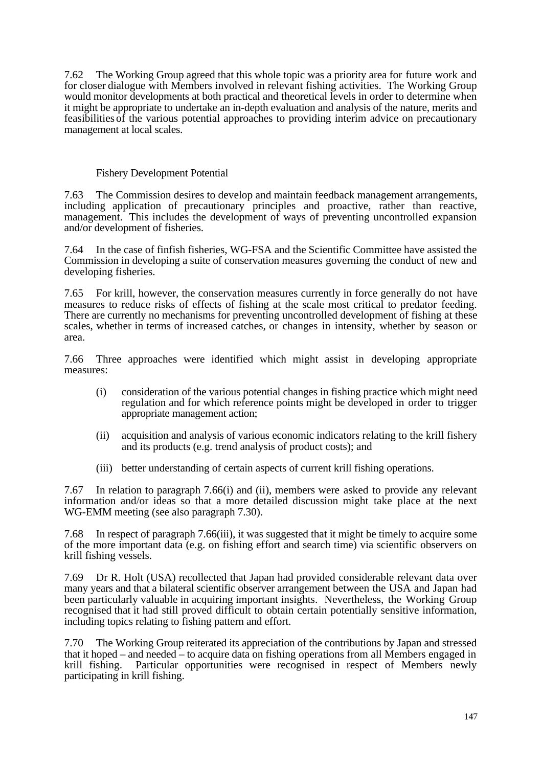7.62 The Working Group agreed that this whole topic was a priority area for future work and for closer dialogue with Members involved in relevant fishing activities. The Working Group would monitor developments at both practical and theoretical levels in order to determine when it might be appropriate to undertake an in-depth evaluation and analysis of the nature, merits and feasibilities of the various potential approaches to providing interim advice on precautionary management at local scales.

## Fishery Development Potential

7.63 The Commission desires to develop and maintain feedback management arrangements, including application of precautionary principles and proactive, rather than reactive, management. This includes the development of ways of preventing uncontrolled expansion and/or development of fisheries.

7.64 In the case of finfish fisheries, WG-FSA and the Scientific Committee have assisted the Commission in developing a suite of conservation measures governing the conduct of new and developing fisheries.

7.65 For krill, however, the conservation measures currently in force generally do not have measures to reduce risks of effects of fishing at the scale most critical to predator feeding. There are currently no mechanisms for preventing uncontrolled development of fishing at these scales, whether in terms of increased catches, or changes in intensity, whether by season or area.

7.66 Three approaches were identified which might assist in developing appropriate measures:

- (i) consideration of the various potential changes in fishing practice which might need regulation and for which reference points might be developed in order to trigger appropriate management action;
- (ii) acquisition and analysis of various economic indicators relating to the krill fishery and its products (e.g. trend analysis of product costs); and
- (iii) better understanding of certain aspects of current krill fishing operations.

7.67 In relation to paragraph 7.66(i) and (ii), members were asked to provide any relevant information and/or ideas so that a more detailed discussion might take place at the next WG-EMM meeting (see also paragraph 7.30).

7.68 In respect of paragraph 7.66(iii), it was suggested that it might be timely to acquire some of the more important data (e.g. on fishing effort and search time) via scientific observers on krill fishing vessels.

7.69 Dr R. Holt (USA) recollected that Japan had provided considerable relevant data over many years and that a bilateral scientific observer arrangement between the USA and Japan had been particularly valuable in acquiring important insights. Nevertheless, the Working Group recognised that it had still proved difficult to obtain certain potentially sensitive information, including topics relating to fishing pattern and effort.

7.70 The Working Group reiterated its appreciation of the contributions by Japan and stressed that it hoped – and needed – to acquire data on fishing operations from all Members engaged in krill fishing. Particular opportunities were recognised in respect of Members newly participating in krill fishing.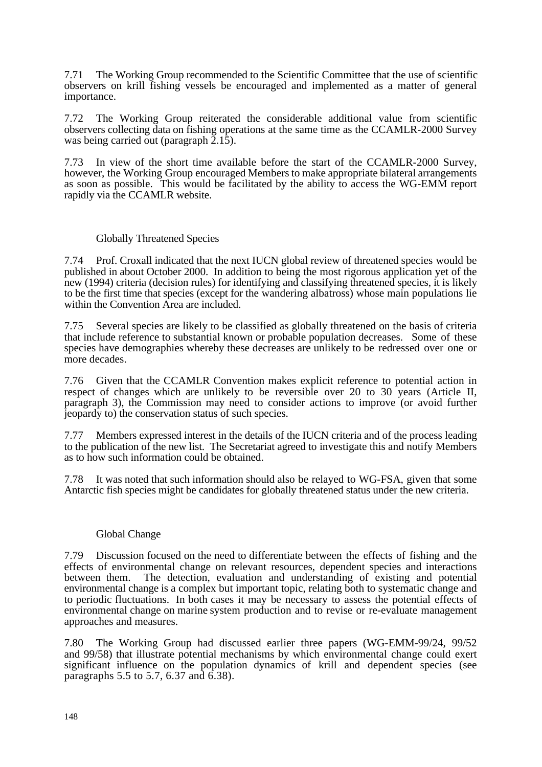7.71 The Working Group recommended to the Scientific Committee that the use of scientific observers on krill fishing vessels be encouraged and implemented as a matter of general importance.

7.72 The Working Group reiterated the considerable additional value from scientific observers collecting data on fishing operations at the same time as the CCAMLR-2000 Survey was being carried out (paragraph 2.15).

7.73 In view of the short time available before the start of the CCAMLR-2000 Survey, however, the Working Group encouraged Members to make appropriate bilateral arrangements as soon as possible. This would be facilitated by the ability to access the WG-EMM report rapidly via the CCAMLR website.

## Globally Threatened Species

7.74 Prof. Croxall indicated that the next IUCN global review of threatened species would be published in about October 2000. In addition to being the most rigorous application yet of the new (1994) criteria (decision rules) for identifying and classifying threatened species, it is likely to be the first time that species (except for the wandering albatross) whose main populations lie within the Convention Area are included.

7.75 Several species are likely to be classified as globally threatened on the basis of criteria that include reference to substantial known or probable population decreases. Some of these species have demographies whereby these decreases are unlikely to be redressed over one or more decades.

7.76 Given that the CCAMLR Convention makes explicit reference to potential action in respect of changes which are unlikely to be reversible over 20 to 30 years (Article II, paragraph 3), the Commission may need to consider actions to improve (or avoid further jeopardy to) the conservation status of such species.

7.77 Members expressed interest in the details of the IUCN criteria and of the process leading to the publication of the new list. The Secretariat agreed to investigate this and notify Members as to how such information could be obtained.

7.78 It was noted that such information should also be relayed to WG-FSA, given that some Antarctic fish species might be candidates for globally threatened status under the new criteria.

#### Global Change

7.79 Discussion focused on the need to differentiate between the effects of fishing and the effects of environmental change on relevant resources, dependent species and interactions between them. The detection, evaluation and understanding of existing and potential environmental change is a complex but important topic, relating both to systematic change and to periodic fluctuations. In both cases it may be necessary to assess the potential effects of environmental change on marine system production and to revise or re-evaluate management approaches and measures.

7.80 The Working Group had discussed earlier three papers (WG-EMM-99/24, 99/52 and 99/58) that illustrate potential mechanisms by which environmental change could exert significant influence on the population dynamics of krill and dependent species (see paragraphs 5.5 to 5.7, 6.37 and 6.38).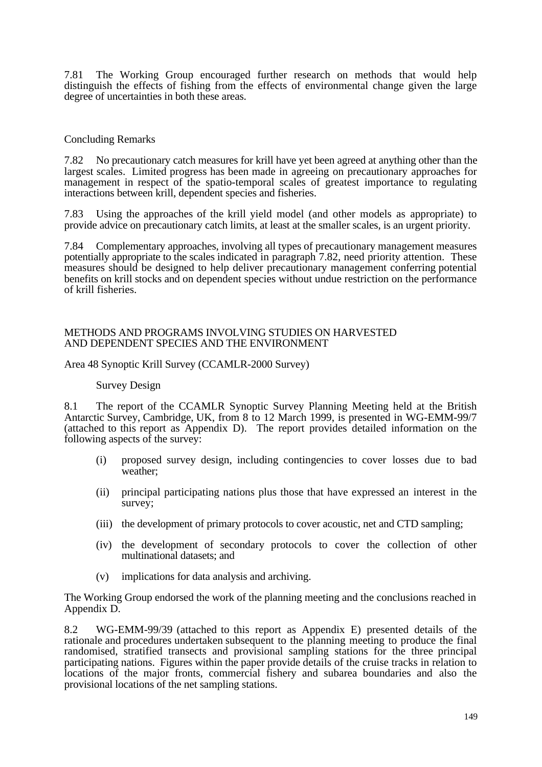7.81 The Working Group encouraged further research on methods that would help distinguish the effects of fishing from the effects of environmental change given the large degree of uncertainties in both these areas.

## Concluding Remarks

7.82 No precautionary catch measures for krill have yet been agreed at anything other than the largest scales. Limited progress has been made in agreeing on precautionary approaches for management in respect of the spatio-temporal scales of greatest importance to regulating interactions between krill, dependent species and fisheries.

7.83 Using the approaches of the krill yield model (and other models as appropriate) to provide advice on precautionary catch limits, at least at the smaller scales, is an urgent priority.

7.84 Complementary approaches, involving all types of precautionary management measures potentially appropriate to the scales indicated in paragraph 7.82, need priority attention. These measures should be designed to help deliver precautionary management conferring potential benefits on krill stocks and on dependent species without undue restriction on the performance of krill fisheries.

#### METHODS AND PROGRAMS INVOLVING STUDIES ON HARVESTED AND DEPENDENT SPECIES AND THE ENVIRONMENT

## Area 48 Synoptic Krill Survey (CCAMLR-2000 Survey)

#### Survey Design

8.1 The report of the CCAMLR Synoptic Survey Planning Meeting held at the British Antarctic Survey, Cambridge, UK, from 8 to 12 March 1999, is presented in WG-EMM-99/7 (attached to this report as Appendix D). The report provides detailed information on the following aspects of the survey:

- (i) proposed survey design, including contingencies to cover losses due to bad weather;
- (ii) principal participating nations plus those that have expressed an interest in the survey;
- (iii) the development of primary protocols to cover acoustic, net and CTD sampling;
- (iv) the development of secondary protocols to cover the collection of other multinational datasets; and
- (v) implications for data analysis and archiving.

The Working Group endorsed the work of the planning meeting and the conclusions reached in Appendix D.

8.2 WG-EMM-99/39 (attached to this report as Appendix E) presented details of the rationale and procedures undertaken subsequent to the planning meeting to produce the final randomised, stratified transects and provisional sampling stations for the three principal participating nations. Figures within the paper provide details of the cruise tracks in relation to locations of the major fronts, commercial fishery and subarea boundaries and also the provisional locations of the net sampling stations.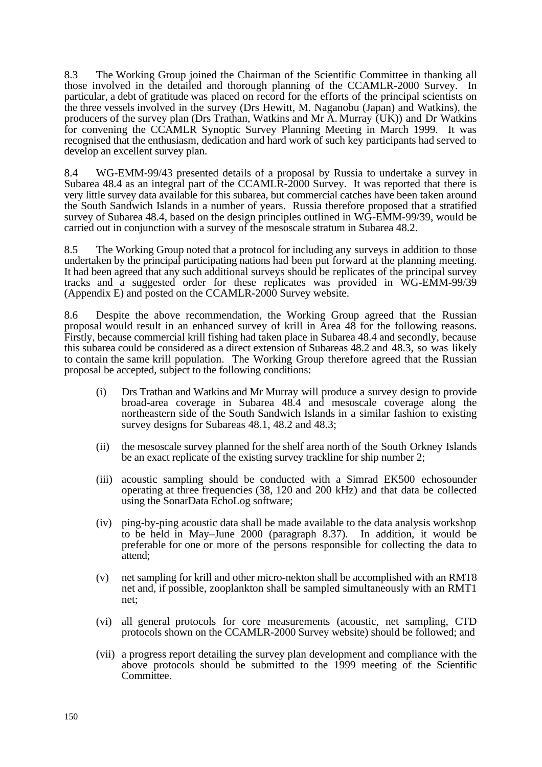8.3 The Working Group joined the Chairman of the Scientific Committee in thanking all those involved in the detailed and thorough planning of the CCAMLR-2000 Survey. In particular, a debt of gratitude was placed on record for the efforts of the principal scientists on the three vessels involved in the survey (Drs Hewitt, M. Naganobu (Japan) and Watkins), the producers of the survey plan (Drs Trathan, Watkins and Mr A. Murray (UK)) and Dr Watkins for convening the CCAMLR Synoptic Survey Planning Meeting in March 1999. It was recognised that the enthusiasm, dedication and hard work of such key participants had served to develop an excellent survey plan.

8.4 WG-EMM-99/43 presented details of a proposal by Russia to undertake a survey in Subarea 48.4 as an integral part of the CCAMLR-2000 Survey. It was reported that there is very little survey data available for this subarea, but commercial catches have been taken around the South Sandwich Islands in a number of years. Russia therefore proposed that a stratified survey of Subarea 48.4, based on the design principles outlined in WG-EMM-99/39, would be carried out in conjunction with a survey of the mesoscale stratum in Subarea 48.2.

8.5 The Working Group noted that a protocol for including any surveys in addition to those undertaken by the principal participating nations had been put forward at the planning meeting. It had been agreed that any such additional surveys should be replicates of the principal survey tracks and a suggested order for these replicates was provided in WG-EMM-99/39 (Appendix E) and posted on the CCAMLR-2000 Survey website.

8.6 Despite the above recommendation, the Working Group agreed that the Russian proposal would result in an enhanced survey of krill in Area 48 for the following reasons. Firstly, because commercial krill fishing had taken place in Subarea 48.4 and secondly, because this subarea could be considered as a direct extension of Subareas 48.2 and 48.3, so was likely to contain the same krill population. The Working Group therefore agreed that the Russian proposal be accepted, subject to the following conditions:

- (i) Drs Trathan and Watkins and Mr Murray will produce a survey design to provide broad-area coverage in Subarea 48.4 and mesoscale coverage along the northeastern side of the South Sandwich Islands in a similar fashion to existing survey designs for Subareas 48.1, 48.2 and 48.3;
- (ii) the mesoscale survey planned for the shelf area north of the South Orkney Islands be an exact replicate of the existing survey trackline for ship number 2;
- (iii) acoustic sampling should be conducted with a Simrad EK500 echosounder operating at three frequencies (38, 120 and 200 kHz) and that data be collected using the SonarData EchoLog software;
- (iv) ping-by-ping acoustic data shall be made available to the data analysis workshop to be held in May–June 2000 (paragraph 8.37). In addition, it would be preferable for one or more of the persons responsible for collecting the data to attend;
- (v) net sampling for krill and other micro-nekton shall be accomplished with an RMT8 net and, if possible, zooplankton shall be sampled simultaneously with an RMT1 net;
- (vi) all general protocols for core measurements (acoustic, net sampling, CTD protocols shown on the CCAMLR-2000 Survey website) should be followed; and
- (vii) a progress report detailing the survey plan development and compliance with the above protocols should be submitted to the 1999 meeting of the Scientific Committee.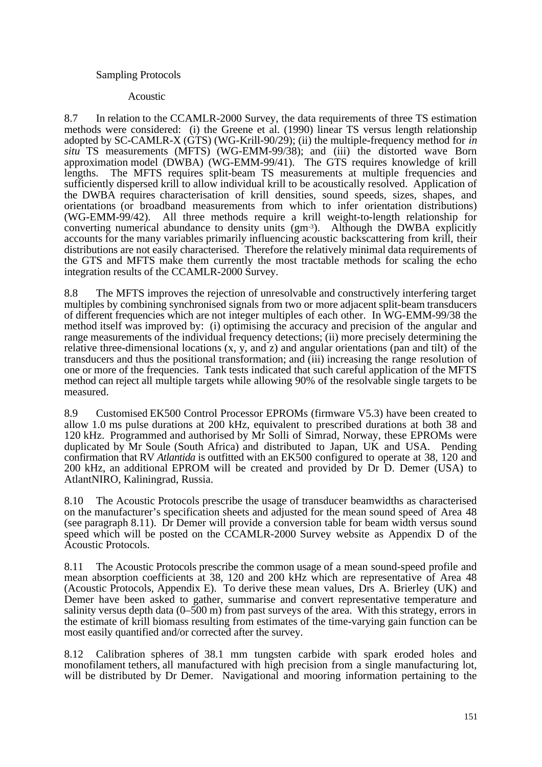# Sampling Protocols

#### Acoustic

8.7 In relation to the CCAMLR-2000 Survey, the data requirements of three TS estimation methods were considered: (i) the Greene et al. (1990) linear TS versus length relationship adopted by SC-CAMLR-X (GTS) (WG-Krill-90/29); (ii) the multiple-frequency method for *in situ* TS measurements (MFTS) (WG-EMM-99/38); and (iii) the distorted wave Born approximation model (DWBA) (WG-EMM-99/41). The GTS requires knowledge of krill lengths. The MFTS requires split-beam TS measurements at multiple frequencies and sufficiently dispersed krill to allow individual krill to be acoustically resolved. Application of the DWBA requires characterisation of krill densities, sound speeds, sizes, shapes, and orientations (or broadband measurements from which to infer orientation distributions) (WG-EMM-99/42). All three methods require a krill weight-to-length relationship for converting numerical abundance to density units (gm-3). Although the DWBA explicitly accounts for the many variables primarily influencing acoustic backscattering from krill, their distributions are not easily characterised. Therefore the relatively minimal data requirements of the GTS and MFTS make them currently the most tractable methods for scaling the echo integration results of the CCAMLR-2000 Survey.

8.8 The MFTS improves the rejection of unresolvable and constructively interfering target multiples by combining synchronised signals from two or more adjacent split-beam transducers of different frequencies which are not integer multiples of each other. In WG-EMM-99/38 the method itself was improved by: (i) optimising the accuracy and precision of the angular and range measurements of the individual frequency detections; (ii) more precisely determining the relative three-dimensional locations (x, y, and z) and angular orientations (pan and tilt) of the transducers and thus the positional transformation; and (iii) increasing the range resolution of one or more of the frequencies. Tank tests indicated that such careful application of the MFTS method can reject all multiple targets while allowing 90% of the resolvable single targets to be measured.

8.9 Customised EK500 Control Processor EPROMs (firmware V5.3) have been created to allow 1.0 ms pulse durations at 200 kHz, equivalent to prescribed durations at both 38 and 120 kHz. Programmed and authorised by Mr Solli of Simrad, Norway, these EPROMs were duplicated by Mr Soule (South Africa) and distributed to Japan, UK and USA. Pending confirmation that RV *Atlantida* is outfitted with an EK500 configured to operate at 38, 120 and 200 kHz, an additional EPROM will be created and provided by Dr D. Demer (USA) to AtlantNIRO, Kaliningrad, Russia.

8.10 The Acoustic Protocols prescribe the usage of transducer beamwidths as characterised on the manufacturer's specification sheets and adjusted for the mean sound speed of Area 48 (see paragraph 8.11). Dr Demer will provide a conversion table for beam width versus sound speed which will be posted on the CCAMLR-2000 Survey website as Appendix D of the Acoustic Protocols.

8.11 The Acoustic Protocols prescribe the common usage of a mean sound-speed profile and mean absorption coefficients at 38, 120 and 200 kHz which are representative of Area 48 (Acoustic Protocols, Appendix E). To derive these mean values, Drs A. Brierley (UK) and Demer have been asked to gather, summarise and convert representative temperature and salinity versus depth data (0–500 m) from past surveys of the area. With this strategy, errors in the estimate of krill biomass resulting from estimates of the time-varying gain function can be most easily quantified and/or corrected after the survey.

8.12 Calibration spheres of 38.1 mm tungsten carbide with spark eroded holes and monofilament tethers, all manufactured with high precision from a single manufacturing lot, will be distributed by Dr Demer. Navigational and mooring information pertaining to the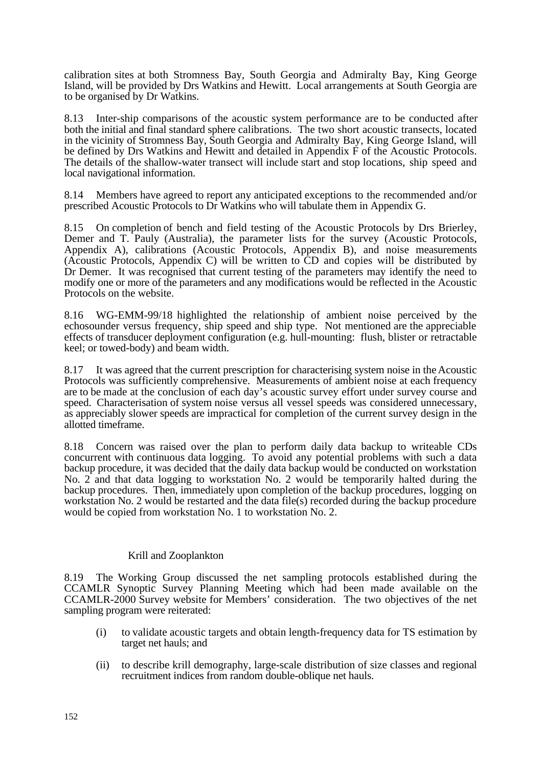calibration sites at both Stromness Bay, South Georgia and Admiralty Bay, King George Island, will be provided by Drs Watkins and Hewitt. Local arrangements at South Georgia are to be organised by Dr Watkins.

8.13 Inter-ship comparisons of the acoustic system performance are to be conducted after both the initial and final standard sphere calibrations. The two short acoustic transects, located in the vicinity of Stromness Bay, South Georgia and Admiralty Bay, King George Island, will be defined by Drs Watkins and Hewitt and detailed in Appendix F of the Acoustic Protocols. The details of the shallow-water transect will include start and stop locations, ship speed and local navigational information.

8.14 Members have agreed to report any anticipated exceptions to the recommended and/or prescribed Acoustic Protocols to Dr Watkins who will tabulate them in Appendix G.

8.15 On completion of bench and field testing of the Acoustic Protocols by Drs Brierley, Demer and T. Pauly (Australia), the parameter lists for the survey (Acoustic Protocols, Appendix A), calibrations (Acoustic Protocols, Appendix B), and noise measurements (Acoustic Protocols, Appendix C) will be written to CD and copies will be distributed by Dr Demer. It was recognised that current testing of the parameters may identify the need to modify one or more of the parameters and any modifications would be reflected in the Acoustic Protocols on the website.

8.16 WG-EMM-99/18 highlighted the relationship of ambient noise perceived by the echosounder versus frequency, ship speed and ship type. Not mentioned are the appreciable effects of transducer deployment configuration (e.g. hull-mounting: flush, blister or retractable keel; or towed-body) and beam width.

8.17 It was agreed that the current prescription for characterising system noise in the Acoustic Protocols was sufficiently comprehensive. Measurements of ambient noise at each frequency are to be made at the conclusion of each day's acoustic survey effort under survey course and speed. Characterisation of system noise versus all vessel speeds was considered unnecessary, as appreciably slower speeds are impractical for completion of the current survey design in the allotted timeframe.

8.18 Concern was raised over the plan to perform daily data backup to writeable CDs concurrent with continuous data logging. To avoid any potential problems with such a data backup procedure, it was decided that the daily data backup would be conducted on workstation No. 2 and that data logging to workstation No. 2 would be temporarily halted during the backup procedures. Then, immediately upon completion of the backup procedures, logging on workstation No. 2 would be restarted and the data file(s) recorded during the backup procedure would be copied from workstation No. 1 to workstation No. 2.

# Krill and Zooplankton

8.19 The Working Group discussed the net sampling protocols established during the CCAMLR Synoptic Survey Planning Meeting which had been made available on the CCAMLR-2000 Survey website for Members' consideration. The two objectives of the net sampling program were reiterated:

- (i) to validate acoustic targets and obtain length-frequency data for TS estimation by target net hauls; and
- (ii) to describe krill demography, large-scale distribution of size classes and regional recruitment indices from random double-oblique net hauls.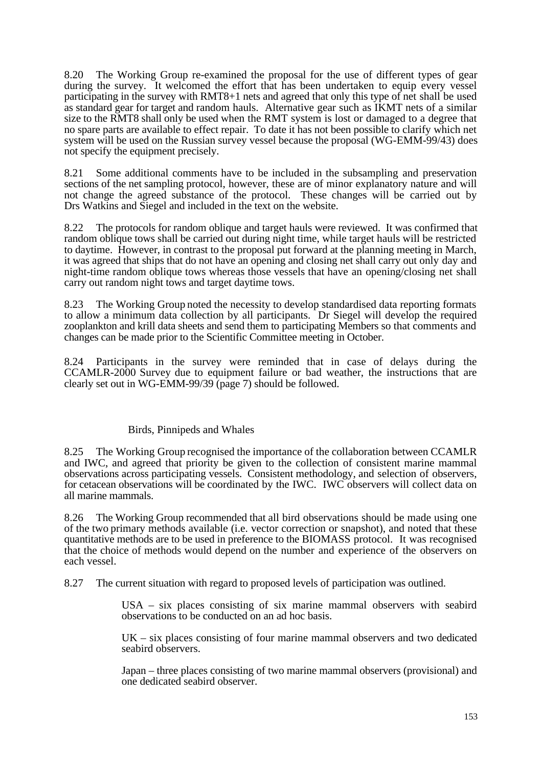8.20 The Working Group re-examined the proposal for the use of different types of gear during the survey. It welcomed the effort that has been undertaken to equip every vessel participating in the survey with RMT8+1 nets and agreed that only this type of net shall be used as standard gear for target and random hauls. Alternative gear such as IKMT nets of a similar size to the RMT8 shall only be used when the RMT system is lost or damaged to a degree that no spare parts are available to effect repair. To date it has not been possible to clarify which net system will be used on the Russian survey vessel because the proposal (WG-EMM-99/43) does not specify the equipment precisely.

8.21 Some additional comments have to be included in the subsampling and preservation sections of the net sampling protocol, however, these are of minor explanatory nature and will not change the agreed substance of the protocol. These changes will be carried out by Drs Watkins and Siegel and included in the text on the website.

8.22 The protocols for random oblique and target hauls were reviewed. It was confirmed that random oblique tows shall be carried out during night time, while target hauls will be restricted to daytime. However, in contrast to the proposal put forward at the planning meeting in March, it was agreed that ships that do not have an opening and closing net shall carry out only day and night-time random oblique tows whereas those vessels that have an opening/closing net shall carry out random night tows and target daytime tows.

8.23 The Working Group noted the necessity to develop standardised data reporting formats to allow a minimum data collection by all participants. Dr Siegel will develop the required zooplankton and krill data sheets and send them to participating Members so that comments and changes can be made prior to the Scientific Committee meeting in October.

8.24 Participants in the survey were reminded that in case of delays during the CCAMLR-2000 Survey due to equipment failure or bad weather, the instructions that are clearly set out in WG-EMM-99/39 (page 7) should be followed.

# Birds, Pinnipeds and Whales

8.25 The Working Group recognised the importance of the collaboration between CCAMLR and IWC, and agreed that priority be given to the collection of consistent marine mammal observations across participating vessels. Consistent methodology, and selection of observers, for cetacean observations will be coordinated by the IWC. IWC observers will collect data on all marine mammals.

8.26 The Working Group recommended that all bird observations should be made using one of the two primary methods available (i.e. vector correction or snapshot), and noted that these quantitative methods are to be used in preference to the BIOMASS protocol. It was recognised that the choice of methods would depend on the number and experience of the observers on each vessel.

8.27 The current situation with regard to proposed levels of participation was outlined.

USA – six places consisting of six marine mammal observers with seabird observations to be conducted on an ad hoc basis.

 $UK - six places consisting of four marine mammal observers and two dedicated$ seabird observers.

Japan – three places consisting of two marine mammal observers (provisional) and one dedicated seabird observer.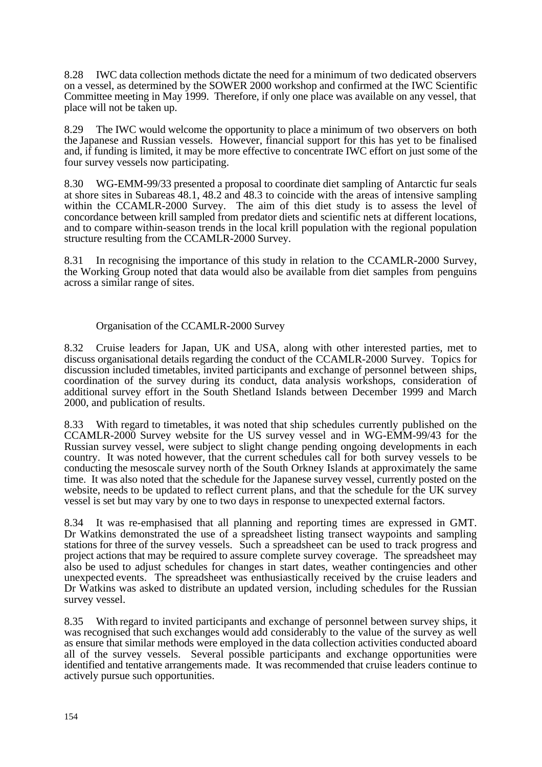8.28 IWC data collection methods dictate the need for a minimum of two dedicated observers on a vessel, as determined by the SOWER 2000 workshop and confirmed at the IWC Scientific Committee meeting in May 1999. Therefore, if only one place was available on any vessel, that place will not be taken up.

8.29 The IWC would welcome the opportunity to place a minimum of two observers on both the Japanese and Russian vessels. However, financial support for this has yet to be finalised and, if funding is limited, it may be more effective to concentrate IWC effort on just some of the four survey vessels now participating.

8.30 WG-EMM-99/33 presented a proposal to coordinate diet sampling of Antarctic fur seals at shore sites in Subareas 48.1, 48.2 and 48.3 to coincide with the areas of intensive sampling within the CCAMLR-2000 Survey. The aim of this diet study is to assess the level of concordance between krill sampled from predator diets and scientific nets at different locations, and to compare within-season trends in the local krill population with the regional population structure resulting from the CCAMLR-2000 Survey.

8.31 In recognising the importance of this study in relation to the CCAMLR-2000 Survey, the Working Group noted that data would also be available from diet samples from penguins across a similar range of sites.

# Organisation of the CCAMLR-2000 Survey

8.32 Cruise leaders for Japan, UK and USA, along with other interested parties, met to discuss organisational details regarding the conduct of the CCAMLR-2000 Survey. Topics for discussion included timetables, invited participants and exchange of personnel between ships, coordination of the survey during its conduct, data analysis workshops, consideration of additional survey effort in the South Shetland Islands between December 1999 and March 2000, and publication of results.

8.33 With regard to timetables, it was noted that ship schedules currently published on the CCAMLR-2000 Survey website for the US survey vessel and in WG-EMM-99/43 for the Russian survey vessel, were subject to slight change pending ongoing developments in each country. It was noted however, that the current schedules call for both survey vessels to be conducting the mesoscale survey north of the South Orkney Islands at approximately the same time. It was also noted that the schedule for the Japanese survey vessel, currently posted on the website, needs to be updated to reflect current plans, and that the schedule for the UK survey vessel is set but may vary by one to two days in response to unexpected external factors.

8.34 It was re-emphasised that all planning and reporting times are expressed in GMT. Dr Watkins demonstrated the use of a spreadsheet listing transect waypoints and sampling stations for three of the survey vessels. Such a spreadsheet can be used to track progress and project actions that may be required to assure complete survey coverage. The spreadsheet may also be used to adjust schedules for changes in start dates, weather contingencies and other unexpected events. The spreadsheet was enthusiastically received by the cruise leaders and Dr Watkins was asked to distribute an updated version, including schedules for the Russian survey vessel.

8.35 With regard to invited participants and exchange of personnel between survey ships, it was recognised that such exchanges would add considerably to the value of the survey as well as ensure that similar methods were employed in the data collection activities conducted aboard all of the survey vessels. Several possible participants and exchange opportunities were identified and tentative arrangements made. It was recommended that cruise leaders continue to actively pursue such opportunities.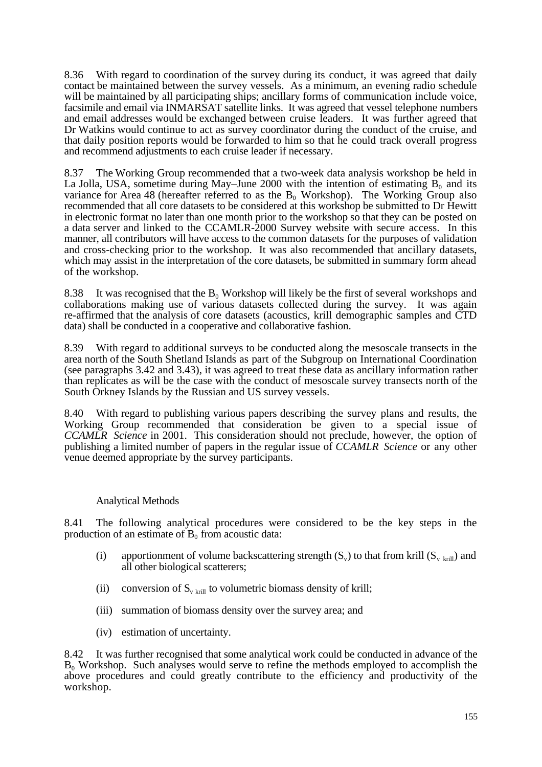8.36 With regard to coordination of the survey during its conduct, it was agreed that daily contact be maintained between the survey vessels. As a minimum, an evening radio schedule will be maintained by all participating ships; ancillary forms of communication include voice, facsimile and email via INMARSAT satellite links. It was agreed that vessel telephone numbers and email addresses would be exchanged between cruise leaders. It was further agreed that Dr Watkins would continue to act as survey coordinator during the conduct of the cruise, and that daily position reports would be forwarded to him so that he could track overall progress and recommend adjustments to each cruise leader if necessary.

8.37 The Working Group recommended that a two-week data analysis workshop be held in La Jolla, USA, sometime during May–June 2000 with the intention of estimating  $B_0$  and its variance for Area 48 (hereafter referred to as the  $B_0$  Workshop). The Working Group also recommended that all core datasets to be considered at this workshop be submitted to Dr Hewitt in electronic format no later than one month prior to the workshop so that they can be posted on a data server and linked to the CCAMLR-2000 Survey website with secure access. In this manner, all contributors will have access to the common datasets for the purposes of validation and cross-checking prior to the workshop. It was also recommended that ancillary datasets, which may assist in the interpretation of the core datasets, be submitted in summary form ahead of the workshop.

8.38 It was recognised that the  $B_0$  Workshop will likely be the first of several workshops and collaborations making use of various datasets collected during the survey. It was again re-affirmed that the analysis of core datasets (acoustics, krill demographic samples and CTD data) shall be conducted in a cooperative and collaborative fashion.

8.39 With regard to additional surveys to be conducted along the mesoscale transects in the area north of the South Shetland Islands as part of the Subgroup on International Coordination (see paragraphs 3.42 and 3.43), it was agreed to treat these data as ancillary information rather than replicates as will be the case with the conduct of mesoscale survey transects north of the South Orkney Islands by the Russian and US survey vessels.

8.40 With regard to publishing various papers describing the survey plans and results, the Working Group recommended that consideration be given to a special issue of *CCAMLR Science* in 2001. This consideration should not preclude, however, the option of publishing a limited number of papers in the regular issue of *CCAMLR Science* or any other venue deemed appropriate by the survey participants.

# Analytical Methods

8.41 The following analytical procedures were considered to be the key steps in the production of an estimate of  $B_0$  from acoustic data:

- (i) apportionment of volume backscattering strength  $(S_v)$  to that from krill  $(S_{v \text{ krill}})$  and all other biological scatterers;
- (ii) conversion of  $S_{v \text{ krill}}$  to volumetric biomass density of krill;
- (iii) summation of biomass density over the survey area; and
- (iv) estimation of uncertainty.

8.42 It was further recognised that some analytical work could be conducted in advance of the  $B_0$  Workshop. Such analyses would serve to refine the methods employed to accomplish the above procedures and could greatly contribute to the efficiency and productivity of the workshop.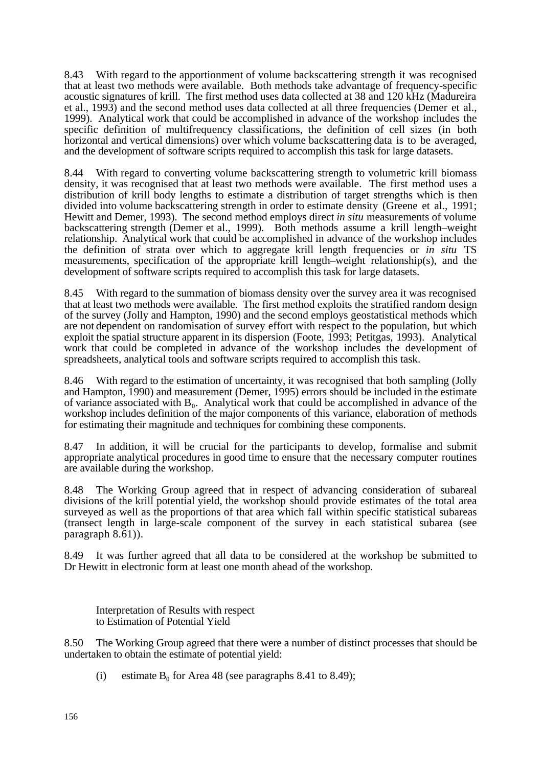8.43 With regard to the apportionment of volume backscattering strength it was recognised that at least two methods were available. Both methods take advantage of frequency-specific acoustic signatures of krill. The first method uses data collected at 38 and 120 kHz (Madureira et al., 1993) and the second method uses data collected at all three frequencies (Demer et al., 1999). Analytical work that could be accomplished in advance of the workshop includes the specific definition of multifrequency classifications, the definition of cell sizes (in both horizontal and vertical dimensions) over which volume backscattering data is to be averaged, and the development of software scripts required to accomplish this task for large datasets.

8.44 With regard to converting volume backscattering strength to volumetric krill biomass density, it was recognised that at least two methods were available. The first method uses a distribution of krill body lengths to estimate a distribution of target strengths which is then divided into volume backscattering strength in order to estimate density (Greene et al., 1991; Hewitt and Demer, 1993). The second method employs direct *in situ* measurements of volume backscattering strength (Demer et al., 1999). Both methods assume a krill length–weight relationship. Analytical work that could be accomplished in advance of the workshop includes the definition of strata over which to aggregate krill length frequencies or *in situ* TS measurements, specification of the appropriate krill length–weight relationship(s), and the development of software scripts required to accomplish this task for large datasets.

8.45 With regard to the summation of biomass density over the survey area it was recognised that at least two methods were available. The first method exploits the stratified random design of the survey (Jolly and Hampton, 1990) and the second employs geostatistical methods which are not dependent on randomisation of survey effort with respect to the population, but which exploit the spatial structure apparent in its dispersion (Foote, 1993; Petitgas, 1993). Analytical work that could be completed in advance of the workshop includes the development of spreadsheets, analytical tools and software scripts required to accomplish this task.

8.46 With regard to the estimation of uncertainty, it was recognised that both sampling (Jolly and Hampton, 1990) and measurement (Demer, 1995) errors should be included in the estimate of variance associated with  $B_0$ . Analytical work that could be accomplished in advance of the workshop includes definition of the major components of this variance, elaboration of methods for estimating their magnitude and techniques for combining these components.

8.47 In addition, it will be crucial for the participants to develop, formalise and submit appropriate analytical procedures in good time to ensure that the necessary computer routines are available during the workshop.

8.48 The Working Group agreed that in respect of advancing consideration of subareal divisions of the krill potential yield, the workshop should provide estimates of the total area surveyed as well as the proportions of that area which fall within specific statistical subareas (transect length in large-scale component of the survey in each statistical subarea (see paragraph 8.61)).

8.49 It was further agreed that all data to be considered at the workshop be submitted to Dr Hewitt in electronic form at least one month ahead of the workshop.

Interpretation of Results with respect to Estimation of Potential Yield

8.50 The Working Group agreed that there were a number of distinct processes that should be undertaken to obtain the estimate of potential yield:

(i) estimate  $B_0$  for Area 48 (see paragraphs 8.41 to 8.49);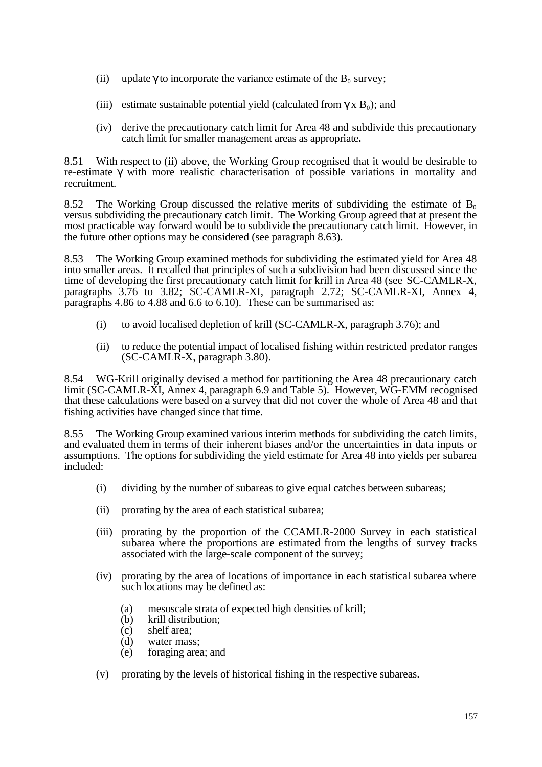- (ii) update to incorporate the variance estimate of the  $B_0$  survey;
- (iii) estimate sustainable potential yield (calculated from  $x B_0$ ); and
- (iv) derive the precautionary catch limit for Area 48 and subdivide this precautionary catch limit for smaller management areas as appropriate**.**

8.51 With respect to (ii) above, the Working Group recognised that it would be desirable to re-estimate with more realistic characterisation of possible variations in mortality and recruitment.

8.52 The Working Group discussed the relative merits of subdividing the estimate of  $B_0$ versus subdividing the precautionary catch limit. The Working Group agreed that at present the most practicable way forward would be to subdivide the precautionary catch limit. However, in the future other options may be considered (see paragraph 8.63).

8.53 The Working Group examined methods for subdividing the estimated yield for Area 48 into smaller areas. It recalled that principles of such a subdivision had been discussed since the time of developing the first precautionary catch limit for krill in Area 48 (see SC-CAMLR-X, paragraphs 3.76 to 3.82; SC-CAMLR-XI, paragraph 2.72; SC-CAMLR-XI, Annex 4, paragraphs 4.86 to 4.88 and 6.6 to 6.10). These can be summarised as:

- (i) to avoid localised depletion of krill (SC-CAMLR-X, paragraph 3.76); and
- (ii) to reduce the potential impact of localised fishing within restricted predator ranges (SC-CAMLR-X, paragraph 3.80).

8.54 WG-Krill originally devised a method for partitioning the Area 48 precautionary catch limit (SC-CAMLR-XI, Annex 4, paragraph 6.9 and Table 5). However, WG-EMM recognised that these calculations were based on a survey that did not cover the whole of Area 48 and that fishing activities have changed since that time.

8.55 The Working Group examined various interim methods for subdividing the catch limits, and evaluated them in terms of their inherent biases and/or the uncertainties in data inputs or assumptions. The options for subdividing the yield estimate for Area 48 into yields per subarea included:

- (i) dividing by the number of subareas to give equal catches between subareas;
- (ii) prorating by the area of each statistical subarea;
- (iii) prorating by the proportion of the CCAMLR-2000 Survey in each statistical subarea where the proportions are estimated from the lengths of survey tracks associated with the large-scale component of the survey;
- (iv) prorating by the area of locations of importance in each statistical subarea where such locations may be defined as:
	- (a) mesoscale strata of expected high densities of krill;
	- (b) krill distribution;
	- (c) shelf area;
	- (d) water mass;
	- (e) foraging area; and
- (v) prorating by the levels of historical fishing in the respective subareas.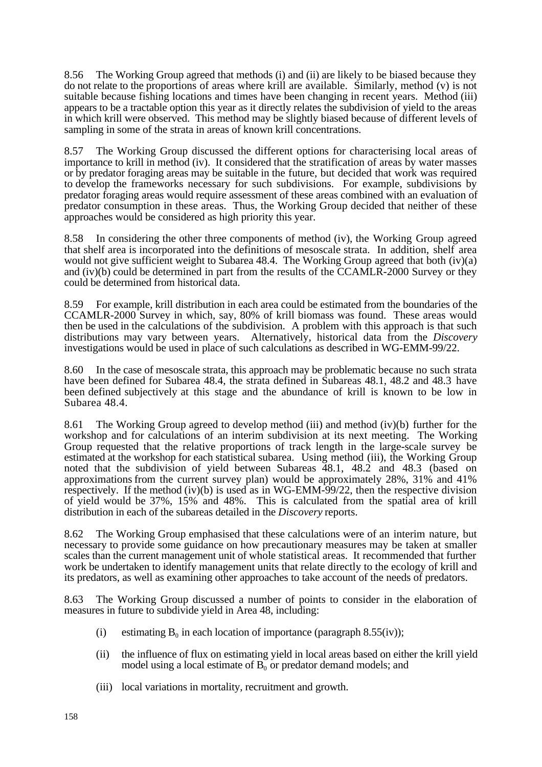8.56 The Working Group agreed that methods (i) and (ii) are likely to be biased because they do not relate to the proportions of areas where krill are available. Similarly, method (v) is not suitable because fishing locations and times have been changing in recent years. Method (iii) appears to be a tractable option this year as it directly relates the subdivision of yield to the areas in which krill were observed. This method may be slightly biased because of different levels of sampling in some of the strata in areas of known krill concentrations.

8.57 The Working Group discussed the different options for characterising local areas of importance to krill in method (iv). It considered that the stratification of areas by water masses or by predator foraging areas may be suitable in the future, but decided that work was required to develop the frameworks necessary for such subdivisions. For example, subdivisions by predator foraging areas would require assessment of these areas combined with an evaluation of predator consumption in these areas. Thus, the Working Group decided that neither of these approaches would be considered as high priority this year.

8.58 In considering the other three components of method (iv), the Working Group agreed that shelf area is incorporated into the definitions of mesoscale strata. In addition, shelf area would not give sufficient weight to Subarea 48.4. The Working Group agreed that both (iv)(a) and (iv)(b) could be determined in part from the results of the CCAMLR-2000 Survey or they could be determined from historical data.

8.59 For example, krill distribution in each area could be estimated from the boundaries of the CCAMLR-2000 Survey in which, say, 80% of krill biomass was found. These areas would then be used in the calculations of the subdivision. A problem with this approach is that such distributions may vary between years. Alternatively, historical data from the *Discovery* investigations would be used in place of such calculations as described in WG-EMM-99/22.

8.60 In the case of mesoscale strata, this approach may be problematic because no such strata have been defined for Subarea 48.4, the strata defined in Subareas 48.1, 48.2 and 48.3 have been defined subjectively at this stage and the abundance of krill is known to be low in Subarea 48.4.

8.61 The Working Group agreed to develop method (iii) and method (iv)(b) further for the workshop and for calculations of an interim subdivision at its next meeting. The Working Group requested that the relative proportions of track length in the large-scale survey be estimated at the workshop for each statistical subarea. Using method (iii), the Working Group noted that the subdivision of yield between Subareas 48.1, 48.2 and 48.3 (based on approximations from the current survey plan) would be approximately 28%, 31% and 41% respectively. If the method (iv)(b) is used as in WG-EMM-99/22, then the respective division of yield would be 37%, 15% and 48%. This is calculated from the spatial area of krill distribution in each of the subareas detailed in the *Discovery* reports.

8.62 The Working Group emphasised that these calculations were of an interim nature, but necessary to provide some guidance on how precautionary measures may be taken at smaller scales than the current management unit of whole statistical areas. It recommended that further work be undertaken to identify management units that relate directly to the ecology of krill and its predators, as well as examining other approaches to take account of the needs of predators.

8.63 The Working Group discussed a number of points to consider in the elaboration of measures in future to subdivide yield in Area 48, including:

- (i) estimating  $B_0$  in each location of importance (paragraph 8.55(iv));
- (ii) the influence of flux on estimating yield in local areas based on either the krill yield model using a local estimate of  $B_0$  or predator demand models; and
- (iii) local variations in mortality, recruitment and growth.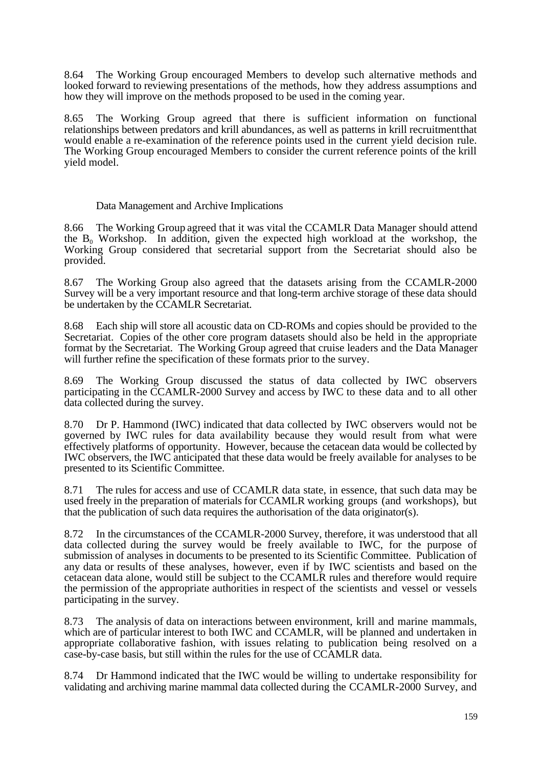8.64 The Working Group encouraged Members to develop such alternative methods and looked forward to reviewing presentations of the methods, how they address assumptions and how they will improve on the methods proposed to be used in the coming year.

8.65 The Working Group agreed that there is sufficient information on functional relationships between predators and krill abundances, as well as patterns in krill recruitment that would enable a re-examination of the reference points used in the current yield decision rule. The Working Group encouraged Members to consider the current reference points of the krill yield model.

# Data Management and Archive Implications

8.66 The Working Group agreed that it was vital the CCAMLR Data Manager should attend the  $B_0$  Workshop. In addition, given the expected high workload at the workshop, the Working Group considered that secretarial support from the Secretariat should also be provided.

8.67 The Working Group also agreed that the datasets arising from the CCAMLR-2000 Survey will be a very important resource and that long-term archive storage of these data should be undertaken by the CCAMLR Secretariat.

8.68 Each ship will store all acoustic data on CD-ROMs and copies should be provided to the Secretariat. Copies of the other core program datasets should also be held in the appropriate format by the Secretariat. The Working Group agreed that cruise leaders and the Data Manager will further refine the specification of these formats prior to the survey.

8.69 The Working Group discussed the status of data collected by IWC observers participating in the CCAMLR-2000 Survey and access by IWC to these data and to all other data collected during the survey.

8.70 Dr P. Hammond (IWC) indicated that data collected by IWC observers would not be governed by IWC rules for data availability because they would result from what were effectively platforms of opportunity. However, because the cetacean data would be collected by IWC observers, the IWC anticipated that these data would be freely available for analyses to be presented to its Scientific Committee.

8.71 The rules for access and use of CCAMLR data state, in essence, that such data may be used freely in the preparation of materials for CCAMLR working groups (and workshops), but that the publication of such data requires the authorisation of the data originator(s).

8.72 In the circumstances of the CCAMLR-2000 Survey, therefore, it was understood that all data collected during the survey would be freely available to IWC, for the purpose of submission of analyses in documents to be presented to its Scientific Committee. Publication of any data or results of these analyses, however, even if by IWC scientists and based on the cetacean data alone, would still be subject to the CCAMLR rules and therefore would require the permission of the appropriate authorities in respect of the scientists and vessel or vessels participating in the survey.

8.73 The analysis of data on interactions between environment, krill and marine mammals, which are of particular interest to both IWC and CCAMLR, will be planned and undertaken in appropriate collaborative fashion, with issues relating to publication being resolved on a case-by-case basis, but still within the rules for the use of CCAMLR data.

8.74 Dr Hammond indicated that the IWC would be willing to undertake responsibility for validating and archiving marine mammal data collected during the CCAMLR-2000 Survey, and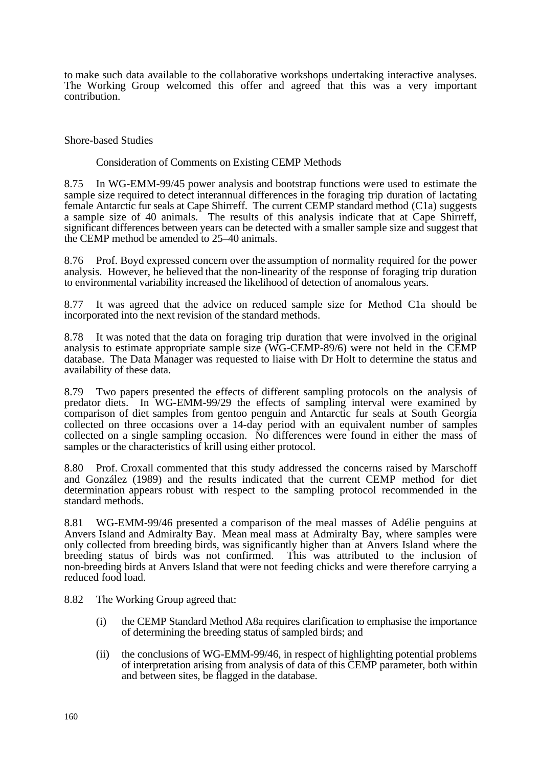to make such data available to the collaborative workshops undertaking interactive analyses. The Working Group welcomed this offer and agreed that this was a very important contribution.

Shore-based Studies

Consideration of Comments on Existing CEMP Methods

8.75 In WG-EMM-99/45 power analysis and bootstrap functions were used to estimate the sample size required to detect interannual differences in the foraging trip duration of lactating female Antarctic fur seals at Cape Shirreff. The current CEMP standard method (C1a) suggests a sample size of 40 animals. The results of this analysis indicate that at Cape Shirreff, significant differences between years can be detected with a smaller sample size and suggest that the CEMP method be amended to 25–40 animals.

8.76 Prof. Boyd expressed concern over the assumption of normality required for the power analysis. However, he believed that the non-linearity of the response of foraging trip duration to environmental variability increased the likelihood of detection of anomalous years.

8.77 It was agreed that the advice on reduced sample size for Method C1a should be incorporated into the next revision of the standard methods.

8.78 It was noted that the data on foraging trip duration that were involved in the original analysis to estimate appropriate sample size (WG-CEMP-89/6) were not held in the CEMP database. The Data Manager was requested to liaise with Dr Holt to determine the status and availability of these data.

8.79 Two papers presented the effects of different sampling protocols on the analysis of predator diets. In WG-EMM-99/29 the effects of sampling interval were examined by comparison of diet samples from gentoo penguin and Antarctic fur seals at South Georgia collected on three occasions over a 14-day period with an equivalent number of samples collected on a single sampling occasion. No differences were found in either the mass of samples or the characteristics of krill using either protocol.

8.80 Prof. Croxall commented that this study addressed the concerns raised by Marschoff and González (1989) and the results indicated that the current CEMP method for diet determination appears robust with respect to the sampling protocol recommended in the standard methods.

8.81 WG-EMM-99/46 presented a comparison of the meal masses of Adélie penguins at Anvers Island and Admiralty Bay. Mean meal mass at Admiralty Bay, where samples were only collected from breeding birds, was significantly higher than at Anvers Island where the breeding status of birds was not confirmed. This was attributed to the inclusion of non-breeding birds at Anvers Island that were not feeding chicks and were therefore carrying a reduced food load.

8.82 The Working Group agreed that:

- (i) the CEMP Standard Method A8a requires clarification to emphasise the importance of determining the breeding status of sampled birds; and
- (ii) the conclusions of WG-EMM-99/46, in respect of highlighting potential problems of interpretation arising from analysis of data of this CEMP parameter, both within and between sites, be flagged in the database.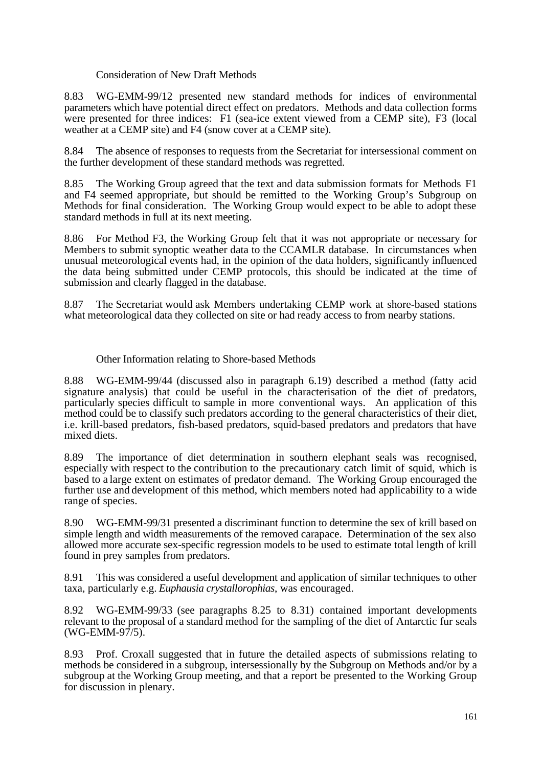# Consideration of New Draft Methods

8.83 WG-EMM-99/12 presented new standard methods for indices of environmental parameters which have potential direct effect on predators. Methods and data collection forms were presented for three indices: F1 (sea-ice extent viewed from a CEMP site), F3 (local weather at a CEMP site) and F4 (snow cover at a CEMP site).

8.84 The absence of responses to requests from the Secretariat for intersessional comment on the further development of these standard methods was regretted.

8.85 The Working Group agreed that the text and data submission formats for Methods F1 and F4 seemed appropriate, but should be remitted to the Working Group's Subgroup on Methods for final consideration. The Working Group would expect to be able to adopt these standard methods in full at its next meeting.

8.86 For Method F3, the Working Group felt that it was not appropriate or necessary for Members to submit synoptic weather data to the CCAMLR database. In circumstances when unusual meteorological events had, in the opinion of the data holders, significantly influenced the data being submitted under CEMP protocols, this should be indicated at the time of submission and clearly flagged in the database.

8.87 The Secretariat would ask Members undertaking CEMP work at shore-based stations what meteorological data they collected on site or had ready access to from nearby stations.

#### Other Information relating to Shore-based Methods

8.88 WG-EMM-99/44 (discussed also in paragraph 6.19) described a method (fatty acid signature analysis) that could be useful in the characterisation of the diet of predators, particularly species difficult to sample in more conventional ways. An application of this method could be to classify such predators according to the general characteristics of their diet, i.e. krill-based predators, fish-based predators, squid-based predators and predators that have mixed diets.

8.89 The importance of diet determination in southern elephant seals was recognised, especially with respect to the contribution to the precautionary catch limit of squid, which is based to a large extent on estimates of predator demand. The Working Group encouraged the further use and development of this method, which members noted had applicability to a wide range of species.

8.90 WG-EMM-99/31 presented a discriminant function to determine the sex of krill based on simple length and width measurements of the removed carapace. Determination of the sex also allowed more accurate sex-specific regression models to be used to estimate total length of krill found in prey samples from predators.

8.91 This was considered a useful development and application of similar techniques to other taxa, particularly e.g. *Euphausia crystallorophias*, was encouraged.

8.92 WG-EMM-99/33 (see paragraphs 8.25 to 8.31) contained important developments relevant to the proposal of a standard method for the sampling of the diet of Antarctic fur seals (WG-EMM-97/5).

8.93 Prof. Croxall suggested that in future the detailed aspects of submissions relating to methods be considered in a subgroup, intersessionally by the Subgroup on Methods and/or by a subgroup at the Working Group meeting, and that a report be presented to the Working Group for discussion in plenary.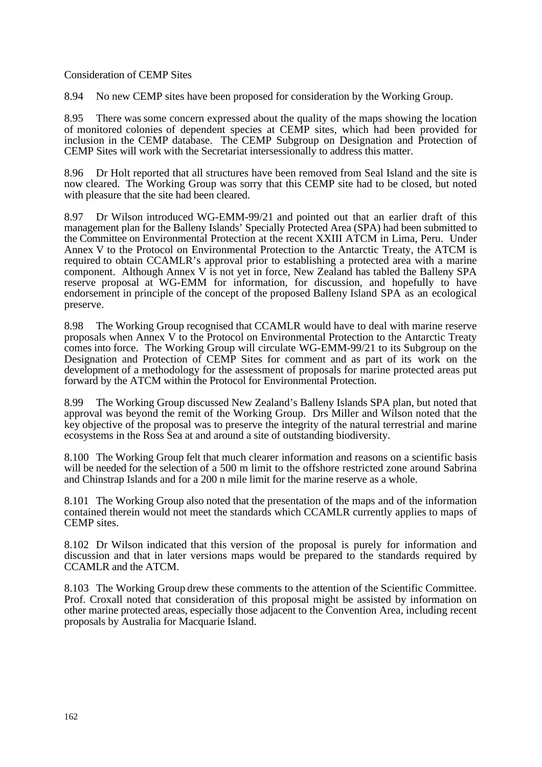#### Consideration of CEMP Sites

8.94 No new CEMP sites have been proposed for consideration by the Working Group.

8.95 There was some concern expressed about the quality of the maps showing the location of monitored colonies of dependent species at CEMP sites, which had been provided for inclusion in the CEMP database. The CEMP Subgroup on Designation and Protection of CEMP Sites will work with the Secretariat intersessionally to address this matter.

8.96 Dr Holt reported that all structures have been removed from Seal Island and the site is now cleared. The Working Group was sorry that this CEMP site had to be closed, but noted with pleasure that the site had been cleared.

8.97 Dr Wilson introduced WG-EMM-99/21 and pointed out that an earlier draft of this management plan for the Balleny Islands' Specially Protected Area (SPA) had been submitted to the Committee on Environmental Protection at the recent XXIII ATCM in Lima, Peru. Under Annex V to the Protocol on Environmental Protection to the Antarctic Treaty, the ATCM is required to obtain CCAMLR's approval prior to establishing a protected area with a marine component. Although Annex V is not yet in force, New Zealand has tabled the Balleny SPA reserve proposal at WG-EMM for information, for discussion, and hopefully to have endorsement in principle of the concept of the proposed Balleny Island SPA as an ecological preserve.

8.98 The Working Group recognised that CCAMLR would have to deal with marine reserve proposals when Annex V to the Protocol on Environmental Protection to the Antarctic Treaty comes into force. The Working Group will circulate WG-EMM-99/21 to its Subgroup on the Designation and Protection of CEMP Sites for comment and as part of its work on the development of a methodology for the assessment of proposals for marine protected areas put forward by the ATCM within the Protocol for Environmental Protection.

8.99 The Working Group discussed New Zealand's Balleny Islands SPA plan, but noted that approval was beyond the remit of the Working Group. Drs Miller and Wilson noted that the key objective of the proposal was to preserve the integrity of the natural terrestrial and marine ecosystems in the Ross Sea at and around a site of outstanding biodiversity.

8.100 The Working Group felt that much clearer information and reasons on a scientific basis will be needed for the selection of a 500 m limit to the offshore restricted zone around Sabrina and Chinstrap Islands and for a 200 n mile limit for the marine reserve as a whole.

8.101 The Working Group also noted that the presentation of the maps and of the information contained therein would not meet the standards which CCAMLR currently applies to maps of CEMP sites.

8.102 Dr Wilson indicated that this version of the proposal is purely for information and discussion and that in later versions maps would be prepared to the standards required by CCAMLR and the ATCM.

8.103 The Working Group drew these comments to the attention of the Scientific Committee. Prof. Croxall noted that consideration of this proposal might be assisted by information on other marine protected areas, especially those adjacent to the Convention Area, including recent proposals by Australia for Macquarie Island.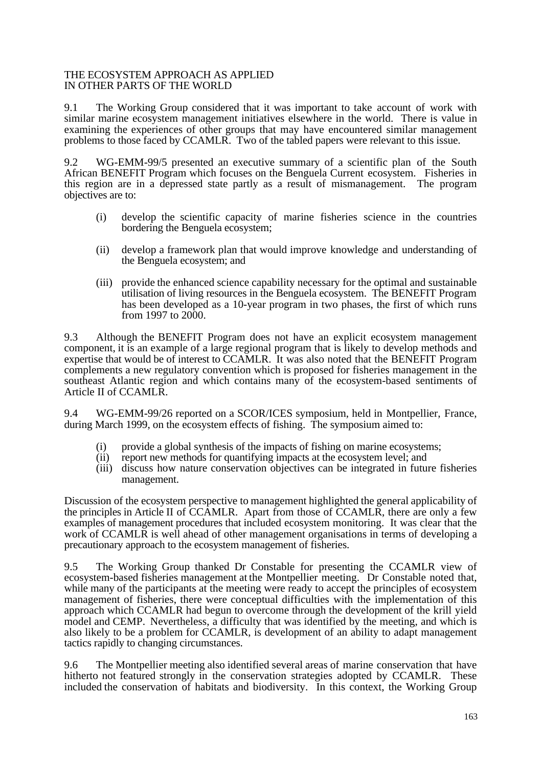#### THE ECOSYSTEM APPROACH AS APPLIED IN OTHER PARTS OF THE WORLD

9.1 The Working Group considered that it was important to take account of work with similar marine ecosystem management initiatives elsewhere in the world. There is value in examining the experiences of other groups that may have encountered similar management problems to those faced by CCAMLR. Two of the tabled papers were relevant to this issue.

9.2 WG-EMM-99/5 presented an executive summary of a scientific plan of the South African BENEFIT Program which focuses on the Benguela Current ecosystem. Fisheries in this region are in a depressed state partly as a result of mismanagement. The program objectives are to:

- (i) develop the scientific capacity of marine fisheries science in the countries bordering the Benguela ecosystem;
- (ii) develop a framework plan that would improve knowledge and understanding of the Benguela ecosystem; and
- (iii) provide the enhanced science capability necessary for the optimal and sustainable utilisation of living resources in the Benguela ecosystem. The BENEFIT Program has been developed as a 10-year program in two phases, the first of which runs from 1997 to 2000.

9.3 Although the BENEFIT Program does not have an explicit ecosystem management component, it is an example of a large regional program that is likely to develop methods and expertise that would be of interest to CCAMLR. It was also noted that the BENEFIT Program complements a new regulatory convention which is proposed for fisheries management in the southeast Atlantic region and which contains many of the ecosystem-based sentiments of Article II of CCAMLR.

9.4 WG-EMM-99/26 reported on a SCOR/ICES symposium, held in Montpellier, France, during March 1999, on the ecosystem effects of fishing. The symposium aimed to:

- (i) provide a global synthesis of the impacts of fishing on marine ecosystems;
- (ii) report new methods for quantifying impacts at the ecosystem level; and
- (iii) discuss how nature conservation objectives can be integrated in future fisheries management.

Discussion of the ecosystem perspective to management highlighted the general applicability of the principles in Article II of CCAMLR. Apart from those of CCAMLR, there are only a few examples of management procedures that included ecosystem monitoring. It was clear that the work of CCAMLR is well ahead of other management organisations in terms of developing a precautionary approach to the ecosystem management of fisheries.

9.5 The Working Group thanked Dr Constable for presenting the CCAMLR view of ecosystem-based fisheries management at the Montpellier meeting. Dr Constable noted that, while many of the participants at the meeting were ready to accept the principles of ecosystem management of fisheries, there were conceptual difficulties with the implementation of this approach which CCAMLR had begun to overcome through the development of the krill yield model and CEMP. Nevertheless, a difficulty that was identified by the meeting, and which is also likely to be a problem for CCAMLR, is development of an ability to adapt management tactics rapidly to changing circumstances.

9.6 The Montpellier meeting also identified several areas of marine conservation that have hitherto not featured strongly in the conservation strategies adopted by CCAMLR. These included the conservation of habitats and biodiversity. In this context, the Working Group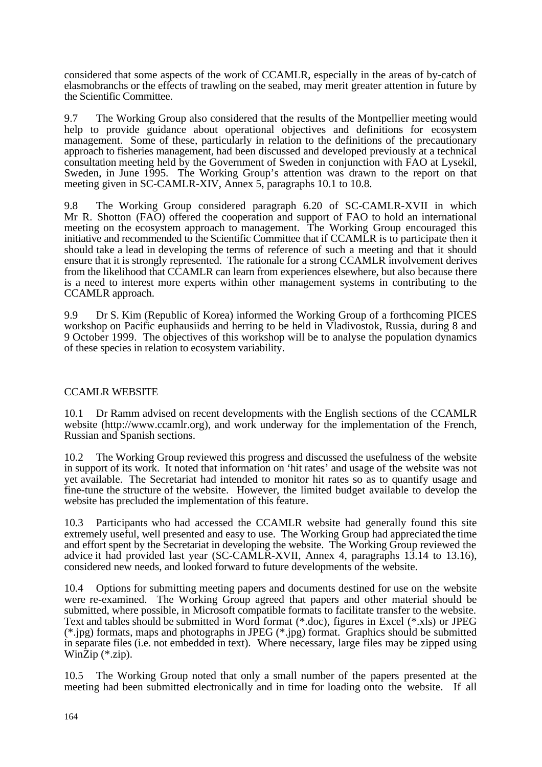considered that some aspects of the work of CCAMLR, especially in the areas of by-catch of elasmobranchs or the effects of trawling on the seabed, may merit greater attention in future by the Scientific Committee.

9.7 The Working Group also considered that the results of the Montpellier meeting would help to provide guidance about operational objectives and definitions for ecosystem management. Some of these, particularly in relation to the definitions of the precautionary approach to fisheries management, had been discussed and developed previously at a technical consultation meeting held by the Government of Sweden in conjunction with FAO at Lysekil, Sweden, in June 1995. The Working Group's attention was drawn to the report on that meeting given in SC-CAMLR-XIV, Annex 5, paragraphs 10.1 to 10.8.

9.8 The Working Group considered paragraph 6.20 of SC-CAMLR-XVII in which Mr R. Shotton (FAO) offered the cooperation and support of FAO to hold an international meeting on the ecosystem approach to management. The Working Group encouraged this initiative and recommended to the Scientific Committee that if CCAMLR is to participate then it should take a lead in developing the terms of reference of such a meeting and that it should ensure that it is strongly represented. The rationale for a strong CCAMLR involvement derives from the likelihood that CCAMLR can learn from experiences elsewhere, but also because there is a need to interest more experts within other management systems in contributing to the CCAMLR approach.

9.9 Dr S. Kim (Republic of Korea) informed the Working Group of a forthcoming PICES workshop on Pacific euphausiids and herring to be held in Vladivostok, Russia, during 8 and 9 October 1999. The objectives of this workshop will be to analyse the population dynamics of these species in relation to ecosystem variability.

# CCAMLR WEBSITE

10.1 Dr Ramm advised on recent developments with the English sections of the CCAMLR website (http://www.ccamlr.org), and work underway for the implementation of the French, Russian and Spanish sections.

10.2 The Working Group reviewed this progress and discussed the usefulness of the website in support of its work. It noted that information on 'hit rates' and usage of the website was not yet available. The Secretariat had intended to monitor hit rates so as to quantify usage and fine-tune the structure of the website. However, the limited budget available to develop the website has precluded the implementation of this feature.

10.3 Participants who had accessed the CCAMLR website had generally found this site extremely useful, well presented and easy to use. The Working Group had appreciated the time and effort spent by the Secretariat in developing the website. The Working Group reviewed the advice it had provided last year (SC-CAMLR-XVII, Annex 4, paragraphs 13.14 to 13.16), considered new needs, and looked forward to future developments of the website.

10.4 Options for submitting meeting papers and documents destined for use on the website were re-examined. The Working Group agreed that papers and other material should be submitted, where possible, in Microsoft compatible formats to facilitate transfer to the website. Text and tables should be submitted in Word format (\*.doc), figures in Excel (\*.xls) or JPEG (\*.jpg) formats, maps and photographs in JPEG (\*.jpg) format. Graphics should be submitted in separate files (i.e. not embedded in text). Where necessary, large files may be zipped using WinZip (\*.zip).

10.5 The Working Group noted that only a small number of the papers presented at the meeting had been submitted electronically and in time for loading onto the website. If all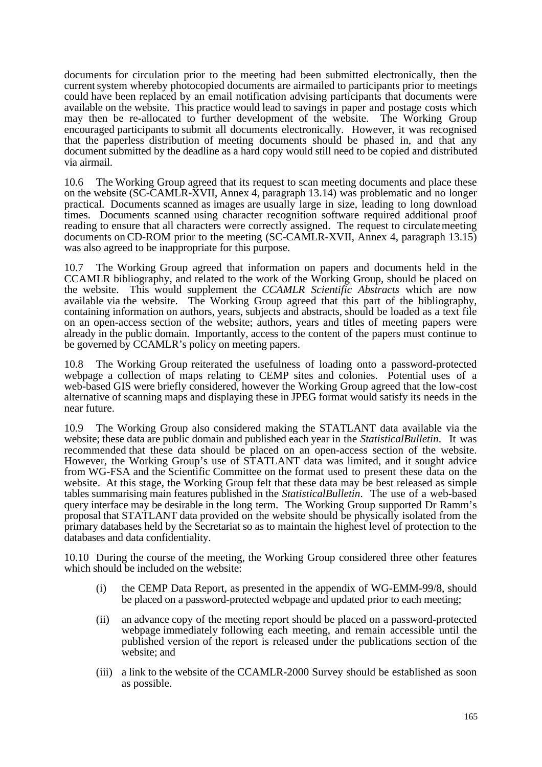documents for circulation prior to the meeting had been submitted electronically, then the current system whereby photocopied documents are airmailed to participants prior to meetings could have been replaced by an email notification advising participants that documents were available on the website. This practice would lead to savings in paper and postage costs which may then be re-allocated to further development of the website. The Working Group encouraged participants to submit all documents electronically. However, it was recognised that the paperless distribution of meeting documents should be phased in, and that any document submitted by the deadline as a hard copy would still need to be copied and distributed via airmail.

10.6 The Working Group agreed that its request to scan meeting documents and place these on the website (SC-CAMLR-XVII, Annex 4, paragraph 13.14) was problematic and no longer practical. Documents scanned as images are usually large in size, leading to long download times. Documents scanned using character recognition software required additional proof reading to ensure that all characters were correctly assigned. The request to circulate meeting documents on CD-ROM prior to the meeting (SC-CAMLR-XVII, Annex 4, paragraph 13.15) was also agreed to be inappropriate for this purpose.

10.7 The Working Group agreed that information on papers and documents held in the CCAMLR bibliography, and related to the work of the Working Group, should be placed on the website. This would supplement the *CCAMLR Scientific Abstracts* which are now available via the website. The Working Group agreed that this part of the bibliography, containing information on authors, years, subjects and abstracts, should be loaded as a text file on an open-access section of the website; authors, years and titles of meeting papers were already in the public domain. Importantly, access to the content of the papers must continue to be governed by CCAMLR's policy on meeting papers.

10.8 The Working Group reiterated the usefulness of loading onto a password-protected webpage a collection of maps relating to CEMP sites and colonies. Potential uses of a web-based GIS were briefly considered, however the Working Group agreed that the low-cost alternative of scanning maps and displaying these in JPEG format would satisfy its needs in the near future.

10.9 The Working Group also considered making the STATLANT data available via the website; these data are public domain and published each year in the *Statistical Bulletin*. It was recommended that these data should be placed on an open-access section of the website. However, the Working Group's use of STATLANT data was limited, and it sought advice from WG-FSA and the Scientific Committee on the format used to present these data on the website. At this stage, the Working Group felt that these data may be best released as simple tables summarising main features published in the *Statistical Bulletin*. The use of a web-based query interface may be desirable in the long term. The Working Group supported Dr Ramm's proposal that STATLANT data provided on the website should be physically isolated from the primary databases held by the Secretariat so as to maintain the highest level of protection to the databases and data confidentiality.

10.10 During the course of the meeting, the Working Group considered three other features which should be included on the website:

- (i) the CEMP Data Report, as presented in the appendix of WG-EMM-99/8, should be placed on a password-protected webpage and updated prior to each meeting;
- (ii) an advance copy of the meeting report should be placed on a password-protected webpage immediately following each meeting, and remain accessible until the published version of the report is released under the publications section of the website; and
- (iii) a link to the website of the CCAMLR-2000 Survey should be established as soon as possible.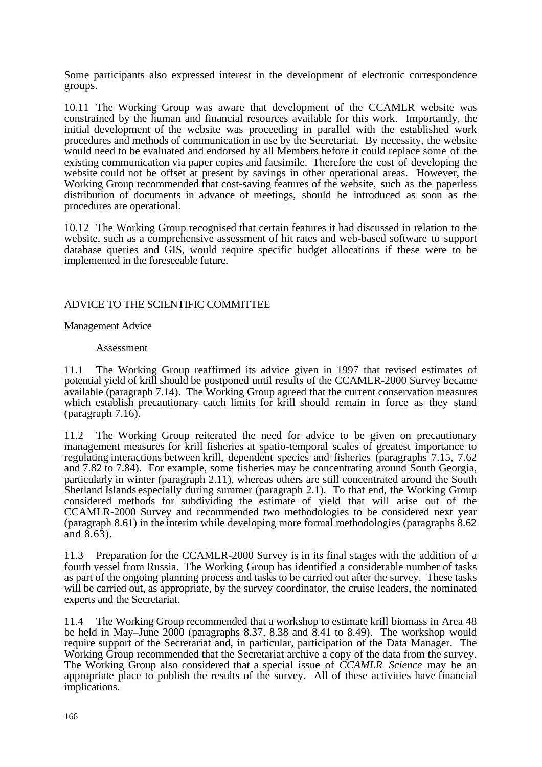Some participants also expressed interest in the development of electronic correspondence groups.

10.11 The Working Group was aware that development of the CCAMLR website was constrained by the human and financial resources available for this work. Importantly, the initial development of the website was proceeding in parallel with the established work procedures and methods of communication in use by the Secretariat. By necessity, the website would need to be evaluated and endorsed by all Members before it could replace some of the existing communication via paper copies and facsimile. Therefore the cost of developing the website could not be offset at present by savings in other operational areas. However, the Working Group recommended that cost-saving features of the website, such as the paperless distribution of documents in advance of meetings, should be introduced as soon as the procedures are operational.

10.12 The Working Group recognised that certain features it had discussed in relation to the website, such as a comprehensive assessment of hit rates and web-based software to support database queries and GIS, would require specific budget allocations if these were to be implemented in the foreseeable future.

# ADVICE TO THE SCIENTIFIC COMMITTEE

#### Management Advice

#### Assessment

11.1 The Working Group reaffirmed its advice given in 1997 that revised estimates of potential yield of krill should be postponed until results of the CCAMLR-2000 Survey became available (paragraph 7.14). The Working Group agreed that the current conservation measures which establish precautionary catch limits for krill should remain in force as they stand (paragraph 7.16).

11.2 The Working Group reiterated the need for advice to be given on precautionary management measures for krill fisheries at spatio-temporal scales of greatest importance to regulating interactions between krill, dependent species and fisheries (paragraphs 7.15, 7.62 and 7.82 to 7.84). For example, some fisheries may be concentrating around South Georgia, particularly in winter (paragraph 2.11), whereas others are still concentrated around the South Shetland Islands especially during summer (paragraph 2.1). To that end, the Working Group considered methods for subdividing the estimate of yield that will arise out of the CCAMLR-2000 Survey and recommended two methodologies to be considered next year (paragraph 8.61) in the interim while developing more formal methodologies (paragraphs 8.62 and  $(8.63)$ .

11.3 Preparation for the CCAMLR-2000 Survey is in its final stages with the addition of a fourth vessel from Russia. The Working Group has identified a considerable number of tasks as part of the ongoing planning process and tasks to be carried out after the survey. These tasks will be carried out, as appropriate, by the survey coordinator, the cruise leaders, the nominated experts and the Secretariat.

11.4 The Working Group recommended that a workshop to estimate krill biomass in Area 48 be held in May–June  $2000$  (paragraphs 8.37, 8.38 and  $\overline{8.41}$  to 8.49). The workshop would require support of the Secretariat and, in particular, participation of the Data Manager. The Working Group recommended that the Secretariat archive a copy of the data from the survey. The Working Group also considered that a special issue of *CCAMLR Science* may be an appropriate place to publish the results of the survey. All of these activities have financial implications.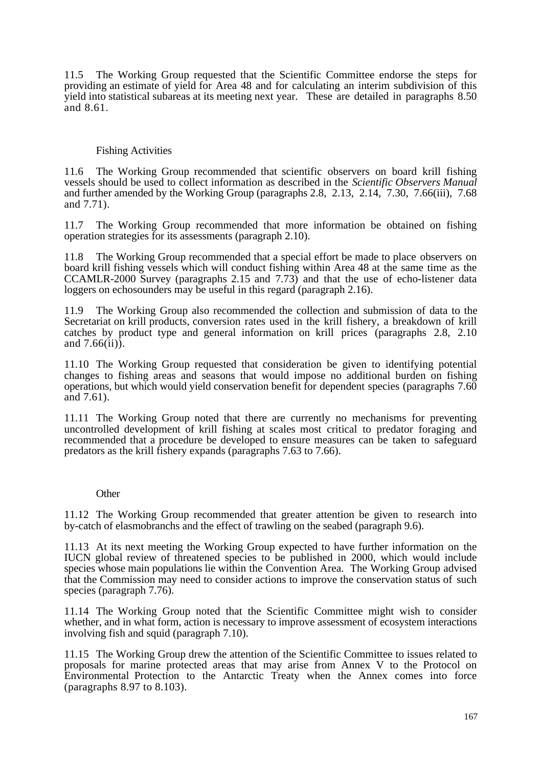11.5 The Working Group requested that the Scientific Committee endorse the steps for providing an estimate of yield for Area 48 and for calculating an interim subdivision of this yield into statistical subareas at its meeting next year. These are detailed in paragraphs 8.50 and 8.61.

# Fishing Activities

11.6 The Working Group recommended that scientific observers on board krill fishing vessels should be used to collect information as described in the *Scientific Observers Manual* and further amended by the Working Group (paragraphs 2.8, 2.13, 2.14, 7.30, 7.66(iii), 7.68 and 7.71).

11.7 The Working Group recommended that more information be obtained on fishing operation strategies for its assessments (paragraph 2.10).

11.8 The Working Group recommended that a special effort be made to place observers on board krill fishing vessels which will conduct fishing within Area 48 at the same time as the CCAMLR-2000 Survey (paragraphs 2.15 and 7.73) and that the use of echo-listener data loggers on echosounders may be useful in this regard (paragraph 2.16).

11.9 The Working Group also recommended the collection and submission of data to the Secretariat on krill products, conversion rates used in the krill fishery, a breakdown of krill catches by product type and general information on krill prices (paragraphs 2.8, 2.10 and  $7.66(ii)$ .

11.10 The Working Group requested that consideration be given to identifying potential changes to fishing areas and seasons that would impose no additional burden on fishing operations, but which would yield conservation benefit for dependent species (paragraphs 7.60 and 7.61).

11.11 The Working Group noted that there are currently no mechanisms for preventing uncontrolled development of krill fishing at scales most critical to predator foraging and recommended that a procedure be developed to ensure measures can be taken to safeguard predators as the krill fishery expands (paragraphs 7.63 to 7.66).

# **Other**

11.12 The Working Group recommended that greater attention be given to research into by-catch of elasmobranchs and the effect of trawling on the seabed (paragraph 9.6).

11.13 At its next meeting the Working Group expected to have further information on the IUCN global review of threatened species to be published in 2000, which would include species whose main populations lie within the Convention Area. The Working Group advised that the Commission may need to consider actions to improve the conservation status of such species (paragraph 7.76).

11.14 The Working Group noted that the Scientific Committee might wish to consider whether, and in what form, action is necessary to improve assessment of ecosystem interactions involving fish and squid (paragraph 7.10).

11.15 The Working Group drew the attention of the Scientific Committee to issues related to proposals for marine protected areas that may arise from Annex V to the Protocol on Environmental Protection to the Antarctic Treaty when the Annex comes into force (paragraphs 8.97 to 8.103).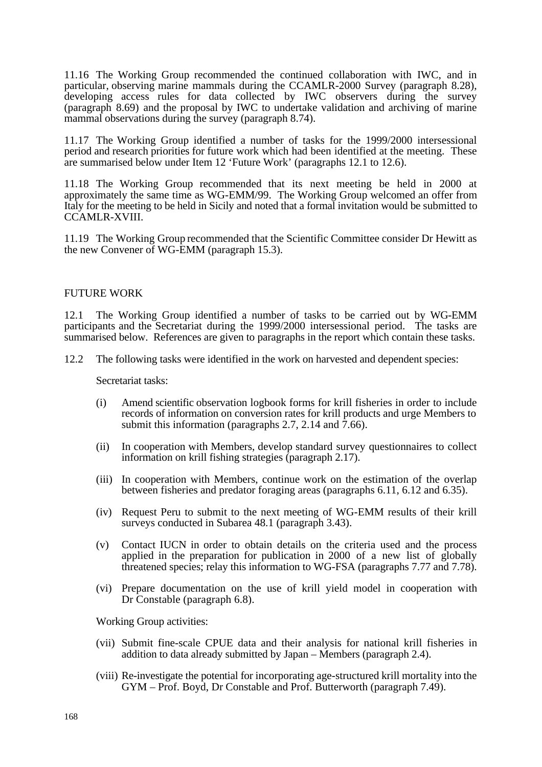11.16 The Working Group recommended the continued collaboration with IWC, and in particular, observing marine mammals during the CCAMLR-2000 Survey (paragraph 8.28), developing access rules for data collected by IWC observers during the survey (paragraph 8.69) and the proposal by IWC to undertake validation and archiving of marine mammal observations during the survey (paragraph 8.74).

11.17 The Working Group identified a number of tasks for the 1999/2000 intersessional period and research priorities for future work which had been identified at the meeting. These are summarised below under Item 12 'Future Work' (paragraphs 12.1 to 12.6).

11.18 The Working Group recommended that its next meeting be held in 2000 at approximately the same time as WG-EMM/99. The Working Group welcomed an offer from Italy for the meeting to be held in Sicily and noted that a formal invitation would be submitted to CCAMLR-XVIII.

11.19 The Working Group recommended that the Scientific Committee consider Dr Hewitt as the new Convener of WG-EMM (paragraph 15.3).

# FUTURE WORK

12.1 The Working Group identified a number of tasks to be carried out by WG-EMM participants and the Secretariat during the 1999/2000 intersessional period. The tasks are summarised below. References are given to paragraphs in the report which contain these tasks.

12.2 The following tasks were identified in the work on harvested and dependent species:

Secretariat tasks:

- (i) Amend scientific observation logbook forms for krill fisheries in order to include records of information on conversion rates for krill products and urge Members to submit this information (paragraphs 2.7, 2.14 and  $\bar{7}$ .66).
- (ii) In cooperation with Members, develop standard survey questionnaires to collect information on krill fishing strategies (paragraph 2.17).
- (iii) In cooperation with Members, continue work on the estimation of the overlap between fisheries and predator foraging areas (paragraphs 6.11, 6.12 and 6.35).
- (iv) Request Peru to submit to the next meeting of WG-EMM results of their krill surveys conducted in Subarea 48.1 (paragraph 3.43).
- (v) Contact IUCN in order to obtain details on the criteria used and the process applied in the preparation for publication in 2000 of a new list of globally threatened species; relay this information to WG-FSA (paragraphs 7.77 and 7.78).
- (vi) Prepare documentation on the use of krill yield model in cooperation with Dr Constable (paragraph 6.8).

Working Group activities:

- (vii) Submit fine-scale CPUE data and their analysis for national krill fisheries in addition to data already submitted by Japan – Members (paragraph 2.4).
- (viii) Re-investigate the potential for incorporating age-structured krill mortality into the GYM – Prof. Boyd, Dr Constable and Prof. Butterworth (paragraph 7.49).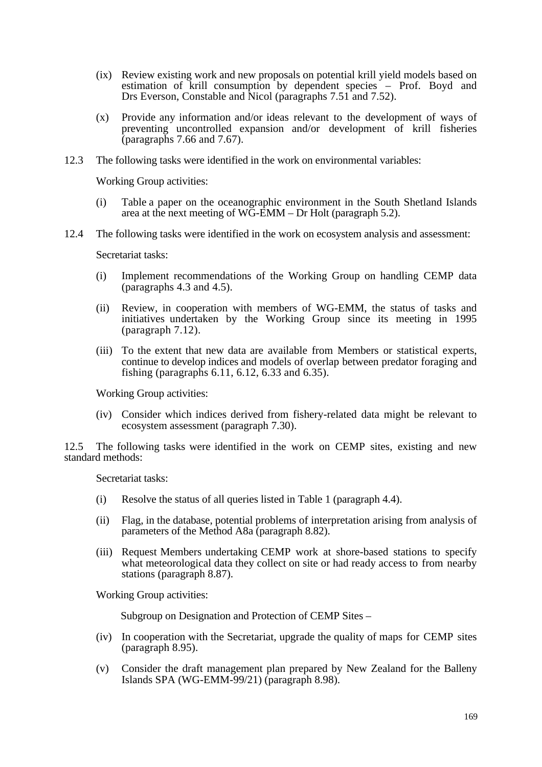- (ix) Review existing work and new proposals on potential krill yield models based on estimation of krill consumption by dependent species – Prof. Boyd and Drs Everson, Constable and Nicol (paragraphs 7.51 and 7.52).
- (x) Provide any information and/or ideas relevant to the development of ways of preventing uncontrolled expansion and/or development of krill fisheries (paragraphs 7.66 and 7.67).
- 12.3 The following tasks were identified in the work on environmental variables:

Working Group activities:

- (i) Table a paper on the oceanographic environment in the South Shetland Islands area at the next meeting of WG-EMM – Dr Holt (paragraph 5.2).
- 12.4 The following tasks were identified in the work on ecosystem analysis and assessment:

Secretariat tasks:

- (i) Implement recommendations of the Working Group on handling CEMP data (paragraphs 4.3 and 4.5).
- (ii) Review, in cooperation with members of WG-EMM, the status of tasks and initiatives undertaken by the Working Group since its meeting in 1995 (paragraph 7.12).
- (iii) To the extent that new data are available from Members or statistical experts, continue to develop indices and models of overlap between predator foraging and fishing (paragraphs 6.11, 6.12, 6.33 and 6.35).

Working Group activities:

(iv) Consider which indices derived from fishery-related data might be relevant to ecosystem assessment (paragraph 7.30).

12.5 The following tasks were identified in the work on CEMP sites, existing and new standard methods:

Secretariat tasks:

- (i) Resolve the status of all queries listed in Table 1 (paragraph 4.4).
- (ii) Flag, in the database, potential problems of interpretation arising from analysis of parameters of the Method A8a (paragraph 8.82).
- (iii) Request Members undertaking CEMP work at shore-based stations to specify what meteorological data they collect on site or had ready access to from nearby stations (paragraph 8.87).

Working Group activities:

Subgroup on Designation and Protection of CEMP Sites –

- (iv) In cooperation with the Secretariat, upgrade the quality of maps for CEMP sites (paragraph 8.95).
- (v) Consider the draft management plan prepared by New Zealand for the Balleny Islands SPA (WG-EMM-99/21) (paragraph 8.98).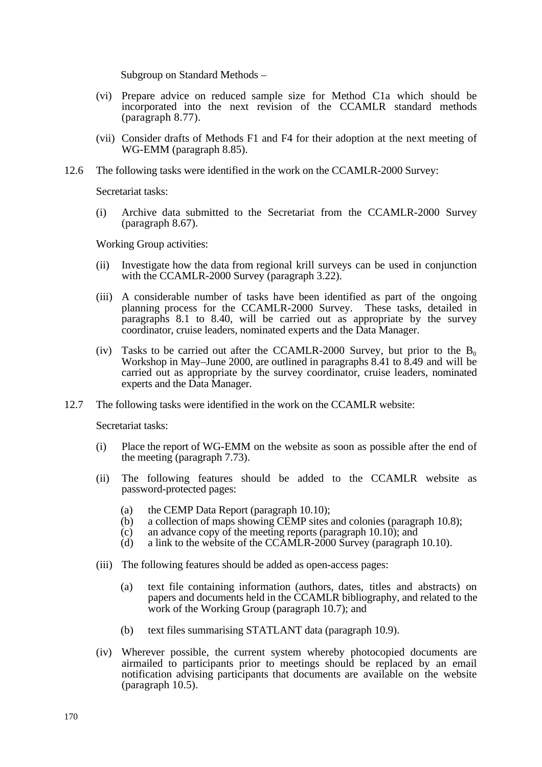Subgroup on Standard Methods –

- (vi) Prepare advice on reduced sample size for Method C1a which should be incorporated into the next revision of the CCAMLR standard methods (paragraph 8.77).
- (vii) Consider drafts of Methods F1 and F4 for their adoption at the next meeting of WG-EMM (paragraph 8.85).
- 12.6 The following tasks were identified in the work on the CCAMLR-2000 Survey:

Secretariat tasks:

(i) Archive data submitted to the Secretariat from the CCAMLR-2000 Survey (paragraph 8.67).

Working Group activities:

- (ii) Investigate how the data from regional krill surveys can be used in conjunction with the CCAMLR-2000 Survey (paragraph 3.22).
- (iii) A considerable number of tasks have been identified as part of the ongoing planning process for the CCAMLR-2000 Survey. These tasks, detailed in planning process for the CCAMLR-2000 Survey. paragraphs 8.1 to 8.40, will be carried out as appropriate by the survey coordinator, cruise leaders, nominated experts and the Data Manager.
- (iv) Tasks to be carried out after the CCAMLR-2000 Survey, but prior to the  $B_0$ Workshop in May–June 2000, are outlined in paragraphs 8.41 to 8.49 and will be carried out as appropriate by the survey coordinator, cruise leaders, nominated experts and the Data Manager.
- 12.7 The following tasks were identified in the work on the CCAMLR website:

Secretariat tasks:

- (i) Place the report of WG-EMM on the website as soon as possible after the end of the meeting (paragraph 7.73).
- (ii) The following features should be added to the CCAMLR website as password-protected pages:
	- (a) the CEMP Data Report (paragraph 10.10);
	- (b) a collection of maps showing CEMP sites and colonies (paragraph 10.8);
	- (c) an advance copy of the meeting reports (paragraph 10.10); and
	- (d) a link to the website of the CCAMLR-2000 Survey (paragraph 10.10).
- (iii) The following features should be added as open-access pages:
	- (a) text file containing information (authors, dates, titles and abstracts) on papers and documents held in the CCAMLR bibliography, and related to the work of the Working Group (paragraph 10.7); and
	- (b) text files summarising STATLANT data (paragraph 10.9).
- (iv) Wherever possible, the current system whereby photocopied documents are airmailed to participants prior to meetings should be replaced by an email notification advising participants that documents are available on the website (paragraph 10.5).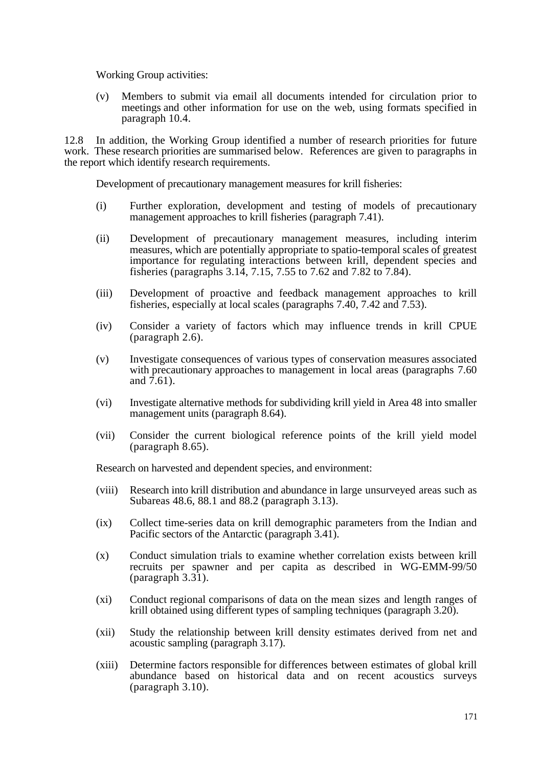Working Group activities:

(v) Members to submit via email all documents intended for circulation prior to meetings and other information for use on the web, using formats specified in paragraph 10.4.

12.8 In addition, the Working Group identified a number of research priorities for future work. These research priorities are summarised below. References are given to paragraphs in the report which identify research requirements.

Development of precautionary management measures for krill fisheries:

- (i) Further exploration, development and testing of models of precautionary management approaches to krill fisheries (paragraph 7.41).
- (ii) Development of precautionary management measures, including interim measures, which are potentially appropriate to spatio-temporal scales of greatest importance for regulating interactions between krill, dependent species and fisheries (paragraphs 3.14, 7.15, 7.55 to 7.62 and 7.82 to 7.84).
- (iii) Development of proactive and feedback management approaches to krill fisheries, especially at local scales (paragraphs 7.40, 7.42 and 7.53).
- (iv) Consider a variety of factors which may influence trends in krill CPUE (paragraph 2.6).
- (v) Investigate consequences of various types of conservation measures associated with precautionary approaches to management in local areas (paragraphs 7.60) and 7.61).
- (vi) Investigate alternative methods for subdividing krill yield in Area 48 into smaller management units (paragraph 8.64).
- (vii) Consider the current biological reference points of the krill yield model (paragraph 8.65).

Research on harvested and dependent species, and environment:

- (viii) Research into krill distribution and abundance in large unsurveyed areas such as Subareas 48.6, 88.1 and 88.2 (paragraph 3.13).
- (ix) Collect time-series data on krill demographic parameters from the Indian and Pacific sectors of the Antarctic (paragraph 3.41).
- (x) Conduct simulation trials to examine whether correlation exists between krill recruits per spawner and per capita as described in WG-EMM-99/50 (paragraph 3.31).
- (xi) Conduct regional comparisons of data on the mean sizes and length ranges of krill obtained using different types of sampling techniques (paragraph 3.20).
- (xii) Study the relationship between krill density estimates derived from net and acoustic sampling (paragraph 3.17).
- (xiii) Determine factors responsible for differences between estimates of global krill abundance based on historical data and on recent acoustics surveys (paragraph 3.10).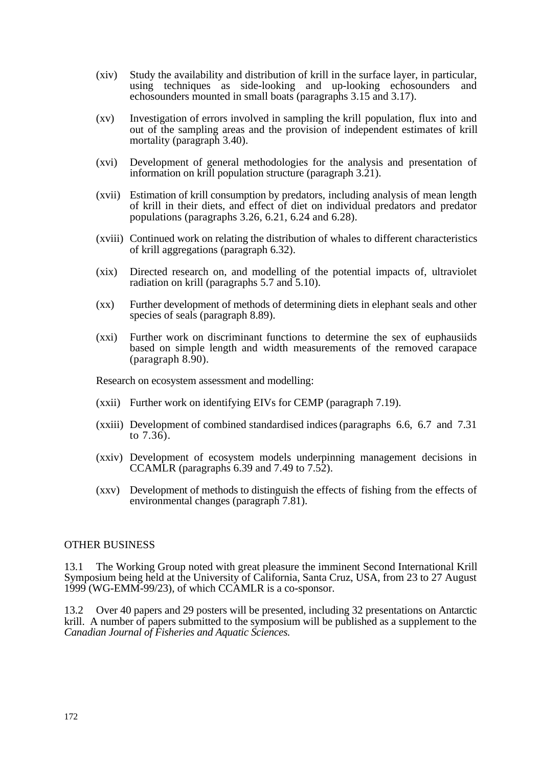- (xiv) Study the availability and distribution of krill in the surface layer, in particular, using techniques as side-looking and up-looking echosounders and echosounders mounted in small boats (paragraphs 3.15 and 3.17).
- (xv) Investigation of errors involved in sampling the krill population, flux into and out of the sampling areas and the provision of independent estimates of krill mortality (paragraph 3.40).
- (xvi) Development of general methodologies for the analysis and presentation of information on krill population structure (paragraph 3.21).
- (xvii) Estimation of krill consumption by predators, including analysis of mean length of krill in their diets, and effect of diet on individual predators and predator populations (paragraphs 3.26, 6.21, 6.24 and 6.28).
- (xviii) Continued work on relating the distribution of whales to different characteristics of krill aggregations (paragraph 6.32).
- (xix) Directed research on, and modelling of the potential impacts of, ultraviolet radiation on krill (paragraphs 5.7 and 5.10).
- (xx) Further development of methods of determining diets in elephant seals and other species of seals (paragraph 8.89).
- (xxi) Further work on discriminant functions to determine the sex of euphausiids based on simple length and width measurements of the removed carapace (paragraph 8.90).

Research on ecosystem assessment and modelling:

- (xxii) Further work on identifying EIVs for CEMP (paragraph 7.19).
- (xxiii) Development of combined standardised indices (paragraphs 6.6, 6.7 and 7.31 to 7.36).
- (xxiv) Development of ecosystem models underpinning management decisions in CCAMLR (paragraphs 6.39 and 7.49 to 7.52).
- (xxv) Development of methods to distinguish the effects of fishing from the effects of environmental changes (paragraph 7.81).

#### OTHER BUSINESS

13.1 The Working Group noted with great pleasure the imminent Second International Krill Symposium being held at the University of California, Santa Cruz, USA, from 23 to 27 August 1999 (WG-EMM-99/23), of which CCAMLR is a co-sponsor.

13.2 Over 40 papers and 29 posters will be presented, including 32 presentations on Antarctic krill. A number of papers submitted to the symposium will be published as a supplement to the *Canadian Journal of Fisheries and Aquatic Sciences.*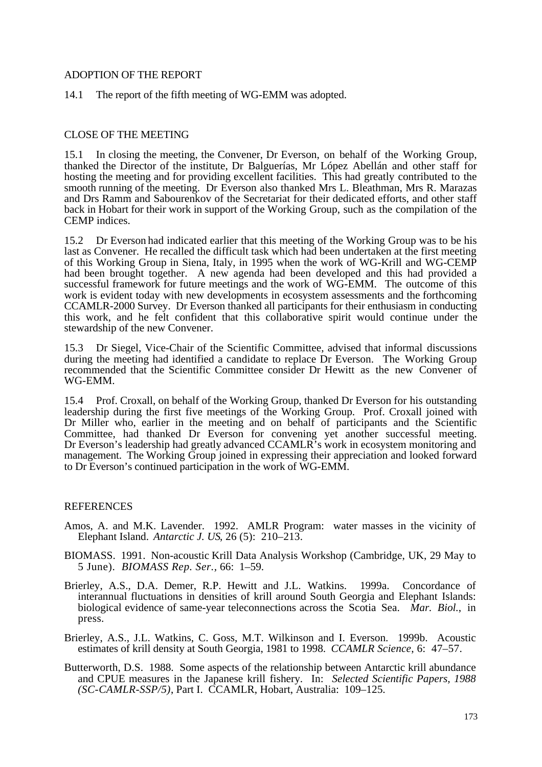# ADOPTION OF THE REPORT

14.1 The report of the fifth meeting of WG-EMM was adopted.

# CLOSE OF THE MEETING

15.1 In closing the meeting, the Convener, Dr Everson, on behalf of the Working Group, thanked the Director of the institute, Dr Balguerías, Mr López Abellán and other staff for hosting the meeting and for providing excellent facilities. This had greatly contributed to the smooth running of the meeting. Dr Everson also thanked Mrs L. Bleathman, Mrs R. Marazas and Drs Ramm and Sabourenkov of the Secretariat for their dedicated efforts, and other staff back in Hobart for their work in support of the Working Group, such as the compilation of the CEMP indices.

15.2 Dr Everson had indicated earlier that this meeting of the Working Group was to be his last as Convener. He recalled the difficult task which had been undertaken at the first meeting of this Working Group in Siena, Italy, in 1995 when the work of WG-Krill and WG-CEMP had been brought together. A new agenda had been developed and this had provided a successful framework for future meetings and the work of WG-EMM. The outcome of this work is evident today with new developments in ecosystem assessments and the forthcoming CCAMLR-2000 Survey. Dr Everson thanked all participants for their enthusiasm in conducting this work, and he felt confident that this collaborative spirit would continue under the stewardship of the new Convener.

15.3 Dr Siegel, Vice-Chair of the Scientific Committee, advised that informal discussions during the meeting had identified a candidate to replace Dr Everson. The Working Group recommended that the Scientific Committee consider Dr Hewitt as the new Convener of WG-EMM.

15.4 Prof. Croxall, on behalf of the Working Group, thanked Dr Everson for his outstanding leadership during the first five meetings of the Working Group. Prof. Croxall joined with Dr Miller who, earlier in the meeting and on behalf of participants and the Scientific Committee, had thanked Dr Everson for convening yet another successful meeting. Dr Everson's leadership had greatly advanced CCAMLR's work in ecosystem monitoring and management. The Working Group joined in expressing their appreciation and looked forward to Dr Everson's continued participation in the work of WG-EMM.

#### **REFERENCES**

- Amos, A. and M.K. Lavender. 1992. AMLR Program: water masses in the vicinity of Elephant Island. *Antarctic J. US*, 26 (5): 210–213.
- BIOMASS. 1991. Non-acoustic Krill Data Analysis Workshop (Cambridge, UK, 29 May to 5 June). *BIOMASS Rep. Ser.,* 66: 1–59.
- Brierley, A.S., D.A. Demer, R.P. Hewitt and J.L. Watkins. 1999a. Concordance of interannual fluctuations in densities of krill around South Georgia and Elephant Islands: biological evidence of same-year teleconnections across the Scotia Sea. *Mar. Biol.*, in press.
- Brierley, A.S., J.L. Watkins, C. Goss, M.T. Wilkinson and I. Everson. 1999b. Acoustic estimates of krill density at South Georgia, 1981 to 1998. *CCAMLR Science*, 6: 47–57.
- Butterworth, D.S. 1988. Some aspects of the relationship between Antarctic krill abundance and CPUE measures in the Japanese krill fishery. In: *Selected Scientific Papers, 1988 (SC-CAMLR-SSP/5)*, Part I. CCAMLR, Hobart, Australia: 109–125.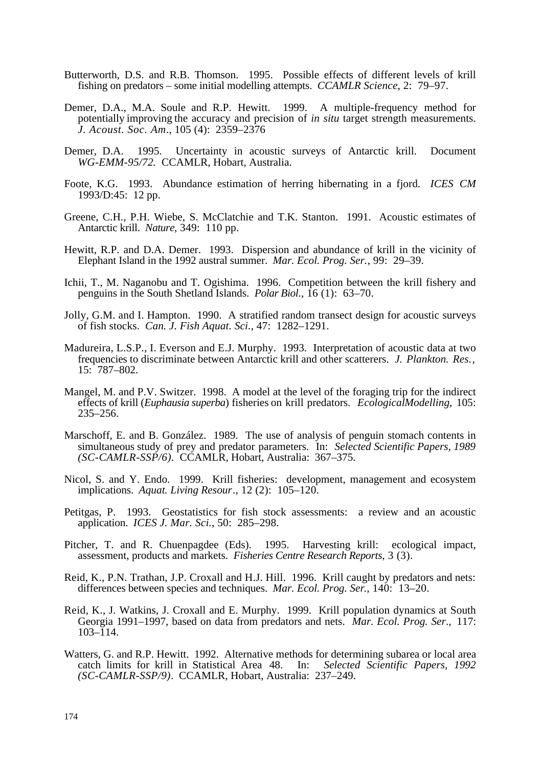- Butterworth, D.S. and R.B. Thomson. 1995. Possible effects of different levels of krill fishing on predators – some initial modelling attempts. *CCAMLR Science*, 2: 79–97.
- Demer, D.A., M.A. Soule and R.P. Hewitt. 1999. A multiple-frequency method for potentially improving the accuracy and precision of *in situ* target strength measurements. *J. Acoust. Soc. Am*., 105 (4): 2359–2376
- Demer, D.A. 1995. Uncertainty in acoustic surveys of Antarctic krill. Document *WG-EMM-95/72.* CCAMLR, Hobart, Australia.
- Foote, K.G. 1993. Abundance estimation of herring hibernating in a fjord. *ICES CM* 1993/D:45: 12 pp.
- Greene, C.H., P.H. Wiebe, S. McClatchie and T.K. Stanton. 1991. Acoustic estimates of Antarctic krill. *Nature*, 349: 110 pp.
- Hewitt, R.P. and D.A. Demer. 1993. Dispersion and abundance of krill in the vicinity of Elephant Island in the 1992 austral summer. *Mar. Ecol. Prog. Ser.*, 99: 29–39.
- Ichii, T., M. Naganobu and T. Ogishima. 1996. Competition between the krill fishery and penguins in the South Shetland Islands. *Polar Biol*., 16 (1): 63–70.
- Jolly, G.M. and I. Hampton. 1990. A stratified random transect design for acoustic surveys of fish stocks. *Can. J. Fish Aquat. Sci.*, 47: 1282–1291.
- Madureira, L.S.P., I. Everson and E.J. Murphy. 1993. Interpretation of acoustic data at two frequencies to discriminate between Antarctic krill and other scatterers. *J. Plankton. Res*., 15: 787–802.
- Mangel, M. and P.V. Switzer. 1998. A model at the level of the foraging trip for the indirect effects of krill (*Euphausia superba*) fisheries on krill predators. *Ecological Modelling*, 105: 235–256.
- Marschoff, E. and B. González. 1989. The use of analysis of penguin stomach contents in simultaneous study of prey and predator parameters. In: *Selected Scientific Papers, 1989 (SC-CAMLR-SSP/6).* CCAMLR, Hobart, Australia: 367–375.
- Nicol, S. and Y. Endo. 1999. Krill fisheries: development, management and ecosystem implications. *Aquat. Living Resour*., 12 (2): 105–120.
- Petitgas, P. 1993. Geostatistics for fish stock assessments: a review and an acoustic application. *ICES J. Mar. Sci.*, 50: 285–298.
- Pitcher, T. and R. Chuenpagdee (Eds). 1995. Harvesting krill: ecological impact, assessment, products and markets. *Fisheries Centre Research Reports*, 3 (3).
- Reid, K., P.N. Trathan, J.P. Croxall and H.J. Hill. 1996. Krill caught by predators and nets: differences between species and techniques. *Mar. Ecol. Prog. Ser*., 140: 13–20.
- Reid, K., J. Watkins, J. Croxall and E. Murphy. 1999. Krill population dynamics at South Georgia 1991–1997, based on data from predators and nets. *Mar. Ecol. Prog. Ser*., 117:  $103 - 114$ .
- Watters, G. and R.P. Hewitt. 1992. Alternative methods for determining subarea or local area catch limits for krill in Statistical Area 48. In: Selected Scientific Papers, 1992 catch limits for krill in Statistical Area 48. *(SC-CAMLR-SSP/9)*. CCAMLR, Hobart, Australia: 237–249.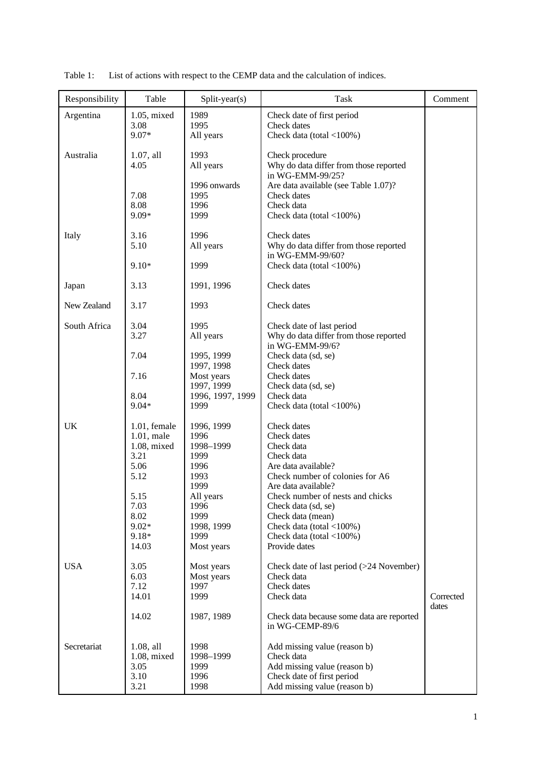| Responsibility | Table               | Split-year(s)            | <b>Task</b>                                                | Comment            |
|----------------|---------------------|--------------------------|------------------------------------------------------------|--------------------|
| Argentina      | 1.05, mixed         | 1989                     | Check date of first period                                 |                    |
|                | 3.08<br>9.07*       | 1995<br>All years        | Check dates<br>Check data (total $<$ 100%)                 |                    |
|                |                     |                          |                                                            |                    |
| Australia      | $1.07$ , all        | 1993                     | Check procedure                                            |                    |
|                | 4.05                | All years                | Why do data differ from those reported                     |                    |
|                |                     | 1996 onwards             | in WG-EMM-99/25?<br>Are data available (see Table 1.07)?   |                    |
|                | 7.08                | 1995                     | Check dates                                                |                    |
|                | 8.08                | 1996                     | Check data                                                 |                    |
|                | $9.09*$             | 1999                     | Check data (total <100%)                                   |                    |
| Italy          | 3.16                | 1996                     | Check dates                                                |                    |
|                | 5.10                | All years                | Why do data differ from those reported                     |                    |
|                |                     |                          | in WG-EMM-99/60?                                           |                    |
|                | $9.10*$             | 1999                     | Check data (total <100%)                                   |                    |
| Japan          | 3.13                | 1991, 1996               | Check dates                                                |                    |
|                |                     |                          |                                                            |                    |
| New Zealand    | 3.17                | 1993                     | Check dates                                                |                    |
| South Africa   | 3.04                | 1995                     | Check date of last period                                  |                    |
|                | 3.27                | All years                | Why do data differ from those reported                     |                    |
|                |                     |                          | in WG-EMM-99/6?                                            |                    |
|                | 7.04                | 1995, 1999<br>1997, 1998 | Check data (sd, se)<br>Check dates                         |                    |
|                | 7.16                | Most years               | Check dates                                                |                    |
|                |                     | 1997, 1999               | Check data (sd, se)                                        |                    |
|                | 8.04                | 1996, 1997, 1999         | Check data                                                 |                    |
|                | $9.04*$             | 1999                     | Check data (total $<$ 100%)                                |                    |
| UK             | 1.01, female        | 1996, 1999               | Check dates                                                |                    |
|                | 1.01, male          | 1996                     | Check dates                                                |                    |
|                | 1.08, mixed<br>3.21 | 1998-1999<br>1999        | Check data<br>Check data                                   |                    |
|                | 5.06                | 1996                     | Are data available?                                        |                    |
|                | 5.12                | 1993                     | Check number of colonies for A6                            |                    |
|                |                     | 1999                     | Are data available?                                        |                    |
|                | 5.15<br>7.03        | All years<br>1996        | Check number of nests and chicks<br>Check data (sd, se)    |                    |
|                | 8.02                | 1999                     | Check data (mean)                                          |                    |
|                | $9.02*$             | 1998, 1999               | Check data (total $<$ 100%)                                |                    |
|                | $9.18*$             | 1999                     | Check data (total $<$ 100%)                                |                    |
|                | 14.03               | Most years               | Provide dates                                              |                    |
| <b>USA</b>     | 3.05                | Most years               | Check date of last period (>24 November)                   |                    |
|                | 6.03                | Most years               | Check data                                                 |                    |
|                | 7.12                | 1997<br>1999             | Check dates<br>Check data                                  |                    |
|                | 14.01               |                          |                                                            | Corrected<br>dates |
|                | 14.02               | 1987, 1989               | Check data because some data are reported                  |                    |
|                |                     |                          | in WG-CEMP-89/6                                            |                    |
| Secretariat    | 1.08, all           | 1998                     | Add missing value (reason b)                               |                    |
|                | 1.08, mixed         | 1998-1999                | Check data                                                 |                    |
|                | 3.05                | 1999                     | Add missing value (reason b)                               |                    |
|                | 3.10<br>3.21        | 1996<br>1998             | Check date of first period<br>Add missing value (reason b) |                    |

Table 1: List of actions with respect to the CEMP data and the calculation of indices.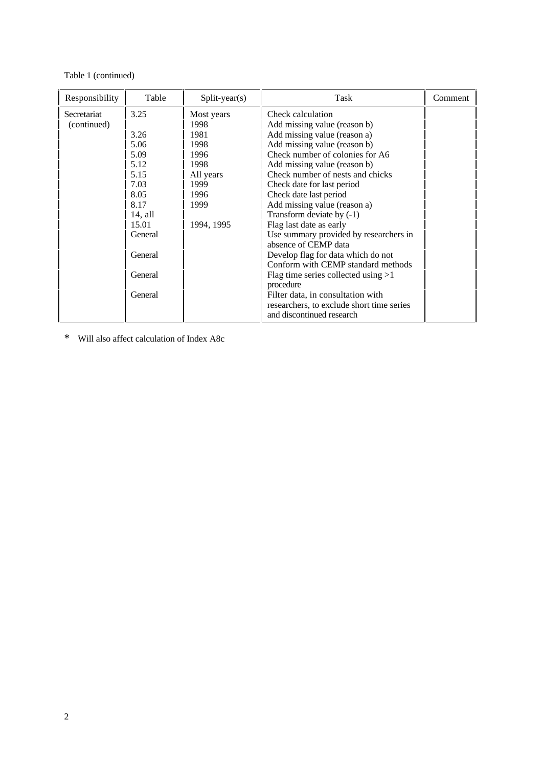#### Table 1 (continued)

| Responsibility             | Table                                                               | $Split-year(s)$                                         | Task                                                                                                                                                                                                                                                                                 | Comment |
|----------------------------|---------------------------------------------------------------------|---------------------------------------------------------|--------------------------------------------------------------------------------------------------------------------------------------------------------------------------------------------------------------------------------------------------------------------------------------|---------|
| Secretariat<br>(continued) | 3.25<br>3.26<br>5.06<br>5.09                                        | Most years<br>1998<br>1981<br>1998<br>1996              | Check calculation<br>Add missing value (reason b)<br>Add missing value (reason a)<br>Add missing value (reason b)<br>Check number of colonies for A6                                                                                                                                 |         |
|                            | 5.12<br>5.15<br>7.03<br>8.05<br>8.17<br>14, all<br>15.01<br>General | 1998<br>All years<br>1999<br>1996<br>1999<br>1994, 1995 | Add missing value (reason b)<br>Check number of nests and chicks<br>Check date for last period<br>Check date last period<br>Add missing value (reason a)<br>Transform deviate by $(-1)$<br>Flag last date as early<br>Use summary provided by researchers in<br>absence of CEMP data |         |
|                            | General<br>General                                                  |                                                         | Develop flag for data which do not<br>Conform with CEMP standard methods<br>Flag time series collected using $>1$<br>procedure                                                                                                                                                       |         |
|                            | General                                                             |                                                         | Filter data, in consultation with<br>researchers, to exclude short time series<br>and discontinued research                                                                                                                                                                          |         |

\* Will also affect calculation of Index A8c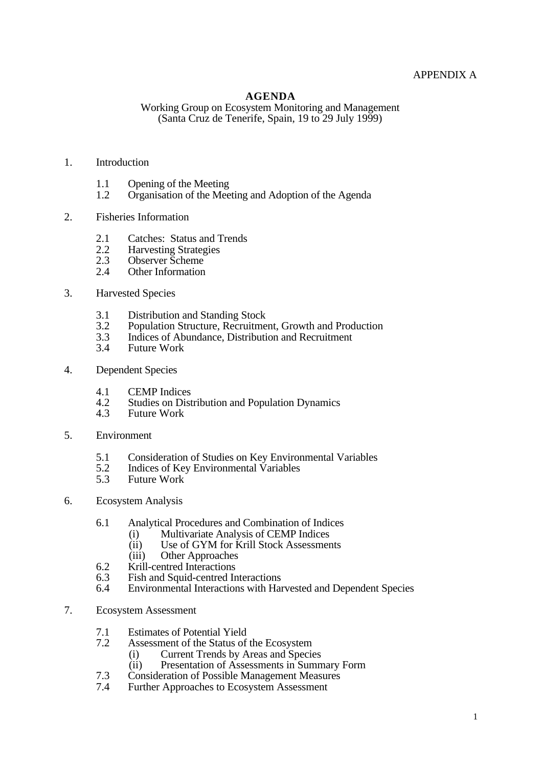# APPENDIX A

#### **AGENDA**

Working Group on Ecosystem Monitoring and Management (Santa Cruz de Tenerife, Spain, 19 to 29 July 1999)

#### 1. Introduction

- 1.1 Opening of the Meeting<br>1.2 Organisation of the Mee
- Organisation of the Meeting and Adoption of the Agenda
- 2. Fisheries Information
	- 2.1 Catches: Status and Trends<br>2.2 Harvesting Strategies
	- 2.2 Harvesting Strategies<br>2.3 Observer Scheme
	- 2.3 Observer Scheme<br>2.4 Other Information
	- Other Information
- 3. Harvested Species
	- 3.1 Distribution and Standing Stock<br>3.2 Population Structure, Recruitme
	- 3.2 Population Structure, Recruitment, Growth and Production<br>3.3 Indices of Abundance, Distribution and Recruitment
	- 3.3 Indices of Abundance, Distribution and Recruitment<br>3.4 Future Work
	- Future Work
- 4. Dependent Species
	- 4.1 CEMP Indices<br>4.2 Studies on Dist
	- 4.2 Studies on Distribution and Population Dynamics<br>4.3 Future Work
	- Future Work
- 5. Environment
	- 5.1 Consideration of Studies on Key Environmental Variables<br>5.2 Indices of Key Environmental Variables
	- 5.2 Indices of Key Environmental Variables<br>5.3 Future Work
	- Future Work
- 6. Ecosystem Analysis
	- 6.1 Analytical Procedures and Combination of Indices
		- (i) Multivariate Analysis of CEMP Indices<br>(ii) Use of GYM for Krill Stock Assessment
		- (ii) Use of GYM for Krill Stock Assessments<br>(iii) Other Approaches
		- **Other Approaches**
	- 6.2 Krill-centred Interactions<br>6.3 Fish and Squid-centred In
	- 6.3 Fish and Squid-centred Interactions<br>6.4 Environmental Interactions with Har
	- Environmental Interactions with Harvested and Dependent Species
- 7. Ecosystem Assessment
	- 7.1 Estimates of Potential Yield<br>7.2 Assessment of the Status of
	- Assessment of the Status of the Ecosystem
		-
		- (i) Current Trends by Areas and Species<br>
		(ii) Presentation of Assessments in Sumn Presentation of Assessments in Summary Form
	- 7.3 Consideration of Possible Management Measures<br>7.4 Further Approaches to Ecosystem Assessment
	- Further Approaches to Ecosystem Assessment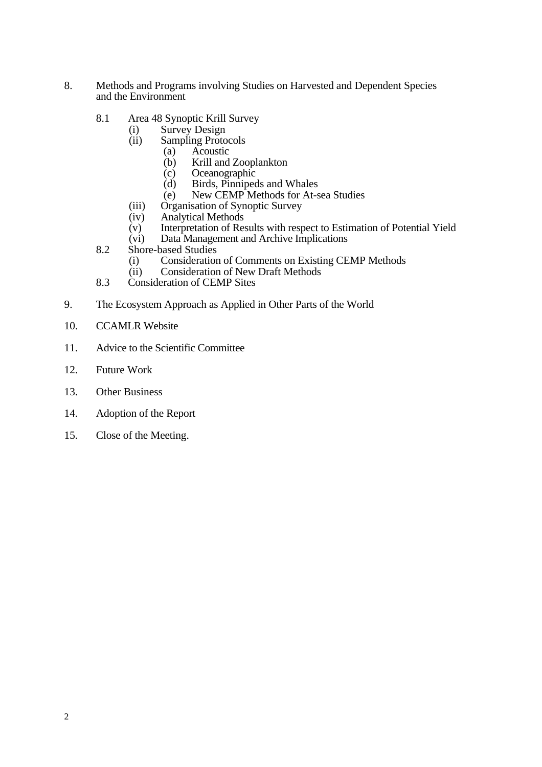- 8. Methods and Programs involving Studies on Harvested and Dependent Species and the Environment
	- 8.1 Area 48 Synoptic Krill Survey
		- (i) Survey Design
		- (ii) Sampling Protocols<br>(a) Acoustic
			- (a) Acoustic<br>(b) Krill and
			- (b) Krill and Zooplankton<br>(c) Oceanographic
			- (c) Oceanographic<br>(d) Birds, Pinniped
			- (d) Birds, Pinnipeds and Whales<br>(e) New CEMP Methods for At-s
			- New CEMP Methods for At-sea Studies
		- (iii) Organisation of Synoptic Survey
		- (iv) Analytical Methods<br>(v) Interpretation of Res
		- (v) Interpretation of Results with respect to Estimation of Potential Yield<br>
		(vi) Data Management and Archive Implications
		- Data Management and Archive Implications
	- 8.2 Shore-based Studies
		- (i) Consideration of Comments on Existing CEMP Methods
		- (ii) Consideration of New Draft Methods
	- 8.3 Consideration of CEMP Sites
- 9. The Ecosystem Approach as Applied in Other Parts of the World
- 10. CCAMLR Website
- 11. Advice to the Scientific Committee
- 12. Future Work
- 13. Other Business
- 14. Adoption of the Report
- 15. Close of the Meeting.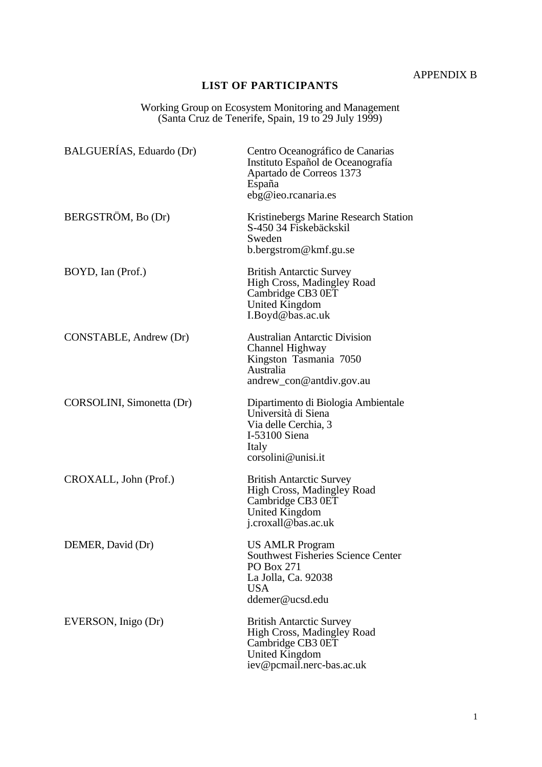APPENDIX B

# **LIST OF PARTICIPANTS**

Working Group on Ecosystem Monitoring and Management (Santa Cruz de Tenerife, Spain, 19 to 29 July 1999)

| BALGUERÍAS, Eduardo (Dr)  | Centro Oceanográfico de Canarias<br>Instituto Español de Oceanografía<br>Apartado de Correos 1373<br>España<br>ebg@ieo.rcanaria.es        |
|---------------------------|-------------------------------------------------------------------------------------------------------------------------------------------|
| BERGSTRÖM, Bo (Dr)        | Kristinebergs Marine Research Station<br>S-450 34 Fiskebäckskil<br>Sweden<br>b.bergstrom@kmf.gu.se                                        |
| BOYD, Ian (Prof.)         | <b>British Antarctic Survey</b><br>High Cross, Madingley Road<br>Cambridge CB3 0ET<br>United Kingdom<br>I.Boyd@bas.ac.uk                  |
| CONSTABLE, Andrew (Dr)    | <b>Australian Antarctic Division</b><br>Channel Highway<br>Kingston Tasmania 7050<br>Australia<br>andrew_con@antdiv.gov.au                |
| CORSOLINI, Simonetta (Dr) | Dipartimento di Biologia Ambientale<br>Università di Siena<br>Via delle Cerchia, 3<br>I-53100 Siena<br>Italy<br>corsolini@unisi.it        |
| CROXALL, John (Prof.)     | <b>British Antarctic Survey</b><br>High Cross, Madingley Road<br>Cambridge CB3 0ET<br><b>United Kingdom</b><br>j.croxall@bas.ac.uk        |
| DEMER, David (Dr)         | <b>US AMLR Program</b><br><b>Southwest Fisheries Science Center</b><br>PO Box 271<br>La Jolla, Ca. 92038<br><b>USA</b><br>ddemer@ucsd.edu |
| EVERSON, Inigo (Dr)       | <b>British Antarctic Survey</b><br>High Cross, Madingley Road<br>Cambridge CB3 0ET<br><b>United Kingdom</b><br>iev@pcmail.nerc-bas.ac.uk  |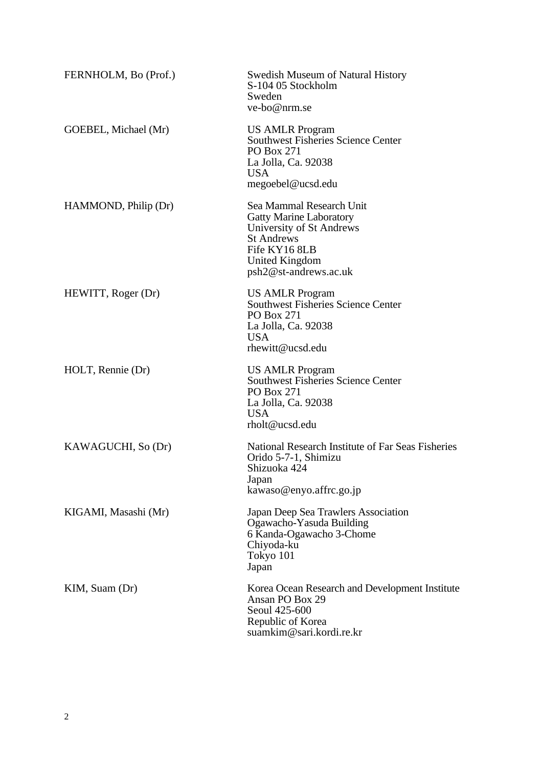| FERNHOLM, Bo (Prof.) | <b>Swedish Museum of Natural History</b><br>S-104 05 Stockholm<br>Sweden<br>ve-bo@nrm.se                                                                                       |
|----------------------|--------------------------------------------------------------------------------------------------------------------------------------------------------------------------------|
| GOEBEL, Michael (Mr) | <b>US AMLR Program</b><br><b>Southwest Fisheries Science Center</b><br>PO Box 271<br>La Jolla, Ca. 92038<br><b>USA</b><br>megoebel@ucsd.edu                                    |
| HAMMOND, Philip (Dr) | Sea Mammal Research Unit<br><b>Gatty Marine Laboratory</b><br>University of St Andrews<br><b>St Andrews</b><br>Fife KY16 8LB<br><b>United Kingdom</b><br>psh2@st-andrews.ac.uk |
| HEWITT, Roger (Dr)   | <b>US AMLR Program</b><br><b>Southwest Fisheries Science Center</b><br>PO Box 271<br>La Jolla, Ca. 92038<br><b>USA</b><br>rhewitt@ucsd.edu                                     |
| HOLT, Rennie (Dr)    | <b>US AMLR Program</b><br><b>Southwest Fisheries Science Center</b><br>PO Box 271<br>La Jolla, Ca. 92038<br><b>USA</b><br>rholt@ucsd.edu                                       |
| KAWAGUCHI, So (Dr)   | National Research Institute of Far Seas Fisheries<br>Orido 5-7-1, Shimizu<br>Shizuoka 424<br>Japan<br>kawaso@enyo.affrc.go.jp                                                  |
| KIGAMI, Masashi (Mr) | Japan Deep Sea Trawlers Association<br>Ogawacho-Yasuda Building<br>6 Kanda-Ogawacho 3-Chome<br>Chiyoda-ku<br>Tokyo 101<br>Japan                                                |
| KIM, Suam (Dr)       | Korea Ocean Research and Development Institute<br>Ansan PO Box 29<br>Seoul 425-600<br>Republic of Korea<br>suamkim@sari.kordi.re.kr                                            |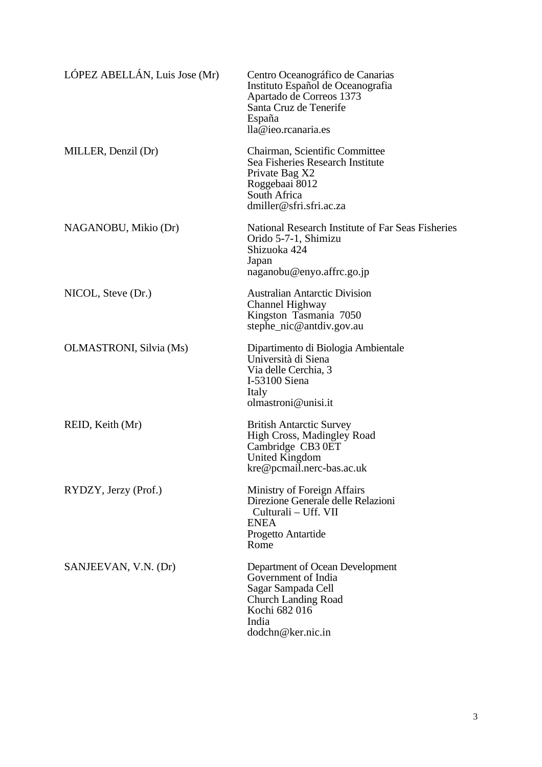| LÓPEZ ABELLÁN, Luis Jose (Mr) | Centro Oceanográfico de Canarias<br>Instituto Español de Oceanografia<br>Apartado de Correos 1373<br>Santa Cruz de Tenerife<br>España<br>lla@ieo.rcanaria.es |
|-------------------------------|--------------------------------------------------------------------------------------------------------------------------------------------------------------|
| MILLER, Denzil (Dr)           | Chairman, Scientific Committee<br>Sea Fisheries Research Institute<br>Private Bag X2<br>Roggebaai 8012<br>South Africa<br>dmiller@sfri.sfri.ac.za            |
| NAGANOBU, Mikio (Dr)          | National Research Institute of Far Seas Fisheries<br>Orido 5-7-1, Shimizu<br>Shizuoka 424<br>Japan<br>naganobu@enyo.affrc.go.jp                              |
| NICOL, Steve (Dr.)            | <b>Australian Antarctic Division</b><br>Channel Highway<br>Kingston Tasmania 7050<br>stephe_nic@antdiv.gov.au                                                |
| OLMASTRONI, Silvia (Ms)       | Dipartimento di Biologia Ambientale<br>Università di Siena<br>Via delle Cerchia, 3<br>I-53100 Siena<br>Italy<br>olmastroni@unisi.it                          |
| REID, Keith (Mr)              | <b>British Antarctic Survey</b><br>High Cross, Madingley Road<br>Cambridge CB3 0ET<br><b>United Kingdom</b><br>kre@pcmail.nerc-bas.ac.uk                     |
| RYDZY, Jerzy (Prof.)          | Ministry of Foreign Affairs<br>Direzione Generale delle Relazioni<br>Culturali - Uff. VII<br><b>ENEA</b><br>Progetto Antartide<br>Rome                       |
| SANJEEVAN, V.N. (Dr)          | Department of Ocean Development<br>Government of India<br>Sagar Sampada Cell<br><b>Church Landing Road</b><br>Kochi 682 016<br>India<br>dodchn@ker.nic.in    |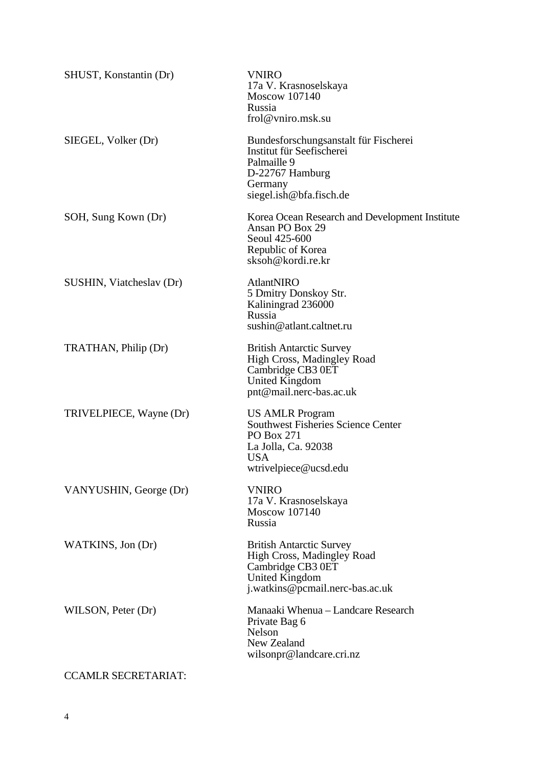| <b>VNIRO</b><br>17a V. Krasnoselskaya<br>Moscow 107140<br>Russia<br>frol@vniro.msk.su                                                           |
|-------------------------------------------------------------------------------------------------------------------------------------------------|
| Bundesforschungsanstalt für Fischerei<br>Institut für Seefischerei<br>Palmaille 9<br>D-22767 Hamburg<br>Germany<br>siegel.ish@bfa.fisch.de      |
| Korea Ocean Research and Development Institute<br>Ansan PO Box 29<br>Seoul 425-600<br>Republic of Korea<br>sksoh@kordi.re.kr                    |
| AtlantNIRO<br>5 Dmitry Donskoy Str.<br>Kaliningrad 236000<br>Russia<br>sushin@atlant.caltnet.ru                                                 |
| <b>British Antarctic Survey</b><br>High Cross, Madingley Road<br>Cambridge CB3 0ET<br><b>United Kingdom</b><br>pnt@mail.nerc-bas.ac.uk          |
| <b>US AMLR Program</b><br><b>Southwest Fisheries Science Center</b><br>PO Box 271<br>La Jolla, Ca. 92038<br><b>USA</b><br>wtrivelpiece@ucsd.edu |
| <b>VNIRO</b><br>17a V. Krasnoselskaya<br>Moscow 107140<br>Russia                                                                                |
| <b>British Antarctic Survey</b><br>High Cross, Madingley Road<br>Cambridge CB3 0ET<br><b>United Kingdom</b><br>j.watkins@pcmail.nerc-bas.ac.uk  |
| Manaaki Whenua - Landcare Research<br>Private Bag 6<br>Nelson<br>New Zealand<br>wilsonpr@landcare.cri.nz                                        |
|                                                                                                                                                 |

# CCAMLR SECRETARIAT: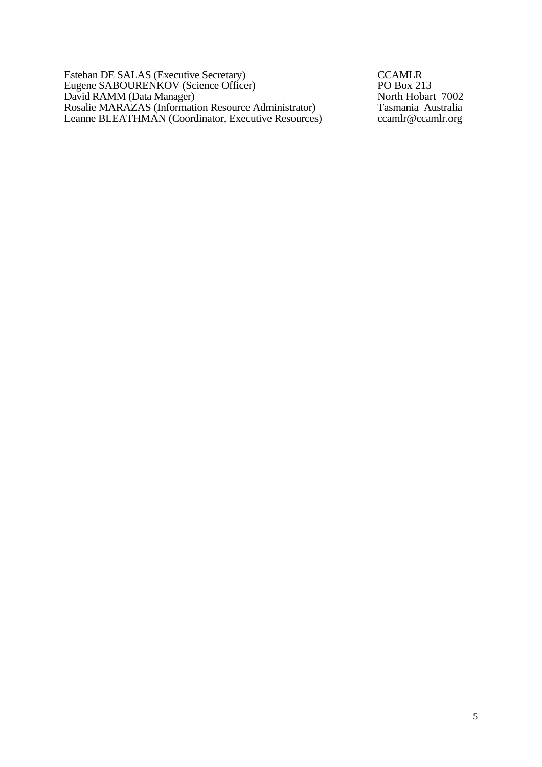Esteban DE SALAS (Executive Secretary) CCAMLR Eugene SABOURENKOV (Science Officer) PO Box 213 David RAMM (Data Manager) North Hobart 7002 Rosalie MARAZAS (Information Resource Administrator) Tasmania Australia Leanne BLEATHMAN (Coordinator, Executive Resources) ccamlr@ccamlr.org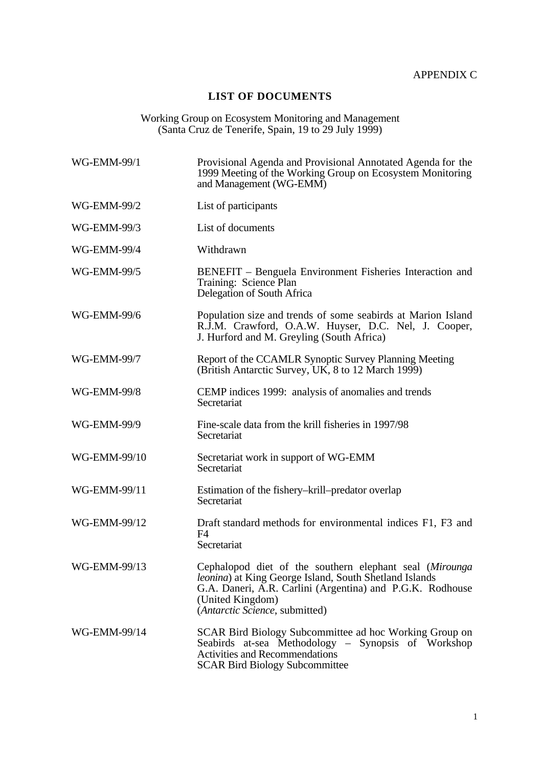# **LIST OF DOCUMENTS**

#### Working Group on Ecosystem Monitoring and Management (Santa Cruz de Tenerife, Spain, 19 to 29 July 1999)

| WG-EMM-99/1  | Provisional Agenda and Provisional Annotated Agenda for the<br>1999 Meeting of the Working Group on Ecosystem Monitoring<br>and Management (WG-EMM)                                                                                  |
|--------------|--------------------------------------------------------------------------------------------------------------------------------------------------------------------------------------------------------------------------------------|
| WG-EMM-99/2  | List of participants                                                                                                                                                                                                                 |
| WG-EMM-99/3  | List of documents                                                                                                                                                                                                                    |
| WG-EMM-99/4  | Withdrawn                                                                                                                                                                                                                            |
| WG-EMM-99/5  | BENEFIT – Benguela Environment Fisheries Interaction and<br>Training: Science Plan<br>Delegation of South Africa                                                                                                                     |
| WG-EMM-99/6  | Population size and trends of some seabirds at Marion Island<br>R.J.M. Crawford, O.A.W. Huyser, D.C. Nel, J. Cooper,<br>J. Hurford and M. Greyling (South Africa)                                                                    |
| WG-EMM-99/7  | Report of the CCAMLR Synoptic Survey Planning Meeting<br>(British Antarctic Survey, UK, 8 to 12 March 1999)                                                                                                                          |
| WG-EMM-99/8  | CEMP indices 1999: analysis of anomalies and trends<br>Secretariat                                                                                                                                                                   |
| WG-EMM-99/9  | Fine-scale data from the krill fisheries in 1997/98<br>Secretariat                                                                                                                                                                   |
| WG-EMM-99/10 | Secretariat work in support of WG-EMM<br>Secretariat                                                                                                                                                                                 |
| WG-EMM-99/11 | Estimation of the fishery-krill-predator overlap<br>Secretariat                                                                                                                                                                      |
| WG-EMM-99/12 | Draft standard methods for environmental indices F1, F3 and<br>F4<br>Secretariat                                                                                                                                                     |
| WG-EMM-99/13 | Cephalopod diet of the southern elephant seal (Mirounga<br>leonina) at King George Island, South Shetland Islands<br>G.A. Daneri, A.R. Carlini (Argentina) and P.G.K. Rodhouse<br>(United Kingdom)<br>(Antarctic Science, submitted) |
| WG-EMM-99/14 | SCAR Bird Biology Subcommittee ad hoc Working Group on<br>Seabirds at-sea Methodology – Synopsis of Workshop<br><b>Activities and Recommendations</b><br><b>SCAR Bird Biology Subcommittee</b>                                       |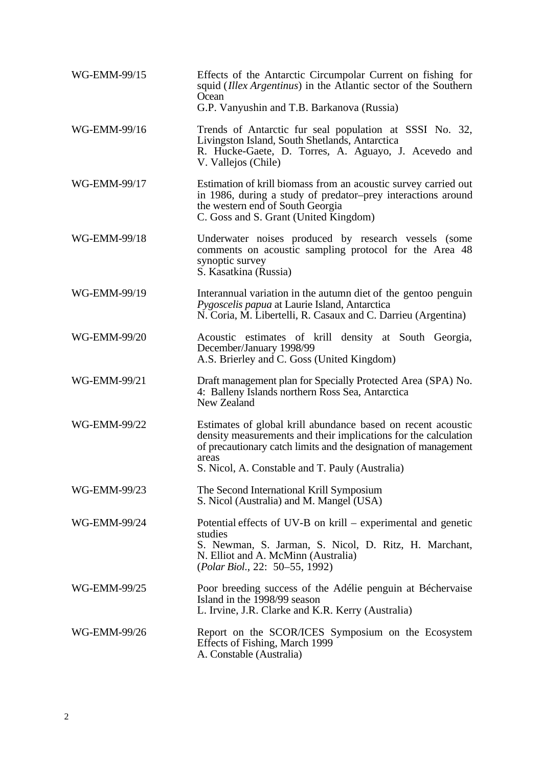| WG-EMM-99/15 | Effects of the Antarctic Circumpolar Current on fishing for<br>squid ( <i>Illex Argentinus</i> ) in the Atlantic sector of the Southern<br>Ocean<br>G.P. Vanyushin and T.B. Barkanova (Russia)                                                                 |
|--------------|----------------------------------------------------------------------------------------------------------------------------------------------------------------------------------------------------------------------------------------------------------------|
| WG-EMM-99/16 | Trends of Antarctic fur seal population at SSSI No. 32,<br>Livingston Island, South Shetlands, Antarctica<br>R. Hucke-Gaete, D. Torres, A. Aguayo, J. Acevedo and<br>V. Vallejos (Chile)                                                                       |
| WG-EMM-99/17 | Estimation of krill biomass from an acoustic survey carried out<br>in 1986, during a study of predator-prey interactions around<br>the western end of South Georgia<br>C. Goss and S. Grant (United Kingdom)                                                   |
| WG-EMM-99/18 | Underwater noises produced by research vessels (some<br>comments on acoustic sampling protocol for the Area 48<br>synoptic survey<br>S. Kasatkina (Russia)                                                                                                     |
| WG-EMM-99/19 | Interannual variation in the autumn diet of the gentoo penguin<br>Pygoscelis papua at Laurie Island, Antarctica<br>N. Coria, M. Libertelli, R. Casaux and C. Darrieu (Argentina)                                                                               |
| WG-EMM-99/20 | Acoustic estimates of krill density at South Georgia,<br>December/January 1998/99<br>A.S. Brierley and C. Goss (United Kingdom)                                                                                                                                |
| WG-EMM-99/21 | Draft management plan for Specially Protected Area (SPA) No.<br>4: Balleny Islands northern Ross Sea, Antarctica<br>New Zealand                                                                                                                                |
| WG-EMM-99/22 | Estimates of global krill abundance based on recent acoustic<br>density measurements and their implications for the calculation<br>of precautionary catch limits and the designation of management<br>areas<br>S. Nicol, A. Constable and T. Pauly (Australia) |
| WG-EMM-99/23 | The Second International Krill Symposium<br>S. Nicol (Australia) and M. Mangel (USA)                                                                                                                                                                           |
| WG-EMM-99/24 | Potential effects of UV-B on krill – experimental and genetic<br>studies<br>S. Newman, S. Jarman, S. Nicol, D. Ritz, H. Marchant,<br>N. Elliot and A. McMinn (Australia)<br>(Polar Biol., 22: 50–55, 1992)                                                     |
| WG-EMM-99/25 | Poor breeding success of the Adélie penguin at Béchervaise<br>Island in the 1998/99 season<br>L. Irvine, J.R. Clarke and K.R. Kerry (Australia)                                                                                                                |
| WG-EMM-99/26 | Report on the SCOR/ICES Symposium on the Ecosystem<br>Effects of Fishing, March 1999<br>A. Constable (Australia)                                                                                                                                               |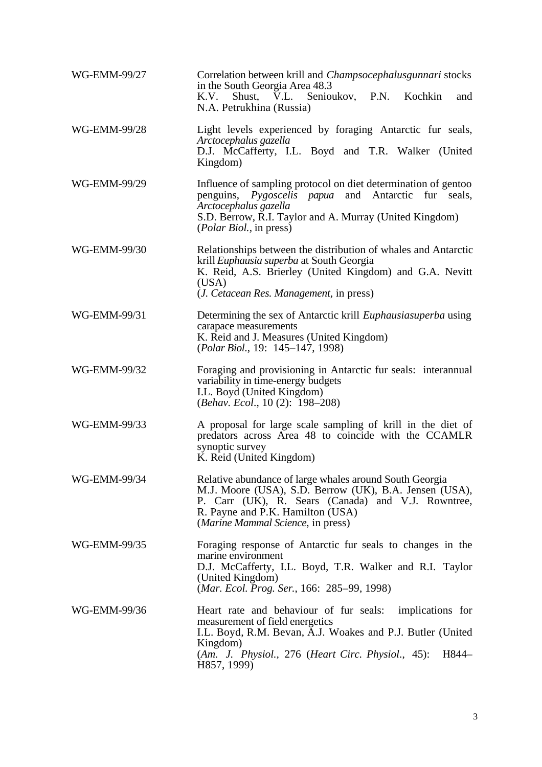| WG-EMM-99/27 | Correlation between krill and <i>Champsocephalusgunnari</i> stocks<br>in the South Georgia Area 48.3<br>Shust, V.L. Senioukov, P.N.<br>K.V.<br>Kochkin<br>and<br>N.A. Petrukhina (Russia)                                                            |
|--------------|------------------------------------------------------------------------------------------------------------------------------------------------------------------------------------------------------------------------------------------------------|
| WG-EMM-99/28 | Light levels experienced by foraging Antarctic fur seals,<br>Arctocephalus gazella<br>D.J. McCafferty, I.L. Boyd and T.R. Walker (United<br>Kingdom)                                                                                                 |
| WG-EMM-99/29 | Influence of sampling protocol on diet determination of gentoo<br>penguins, <i>Pygoscelis papua</i> and Antarctic fur seals,<br>Arctocephalus gazella<br>S.D. Berrow, R.I. Taylor and A. Murray (United Kingdom)<br><i>(Polar Biol., in press)</i>   |
| WG-EMM-99/30 | Relationships between the distribution of whales and Antarctic<br>krill Euphausia superba at South Georgia<br>K. Reid, A.S. Brierley (United Kingdom) and G.A. Nevitt<br>(USA)<br>( <i>J. Cetacean Res. Management</i> , in press)                   |
| WG-EMM-99/31 | Determining the sex of Antarctic krill <i>Euphausiasuperba</i> using<br>carapace measurements<br>K. Reid and J. Measures (United Kingdom)<br>(Polar Biol., 19: 145-147, 1998)                                                                        |
| WG-EMM-99/32 | Foraging and provisioning in Antarctic fur seals: interannual<br>variability in time-energy budgets<br>I.L. Boyd (United Kingdom)<br>(Behav. Ecol., 10(2): 198-208)                                                                                  |
| WG-EMM-99/33 | A proposal for large scale sampling of krill in the diet of<br>predators across Area 48 to coincide with the CCAMLR<br>synoptic survey<br>K. Reid (United Kingdom)                                                                                   |
| WG-EMM-99/34 | Relative abundance of large whales around South Georgia<br>M.J. Moore (USA), S.D. Berrow (UK), B.A. Jensen (USA),<br>P. Carr (UK), R. Sears (Canada) and V.J. Rowntree,<br>R. Payne and P.K. Hamilton (USA)<br>(Marine Mammal Science, in press)     |
| WG-EMM-99/35 | Foraging response of Antarctic fur seals to changes in the<br>marine environment<br>D.J. McCafferty, I.L. Boyd, T.R. Walker and R.I. Taylor<br>(United Kingdom)<br>(Mar. Ecol. Prog. Ser., 166: 285–99, 1998)                                        |
| WG-EMM-99/36 | Heart rate and behaviour of fur seals:<br>implications for<br>measurement of field energetics<br>I.L. Boyd, R.M. Bevan, A.J. Woakes and P.J. Butler (United<br>Kingdom)<br>(Am. J. Physiol., 276 (Heart Circ. Physiol., 45):<br>H844-<br>H857, 1999) |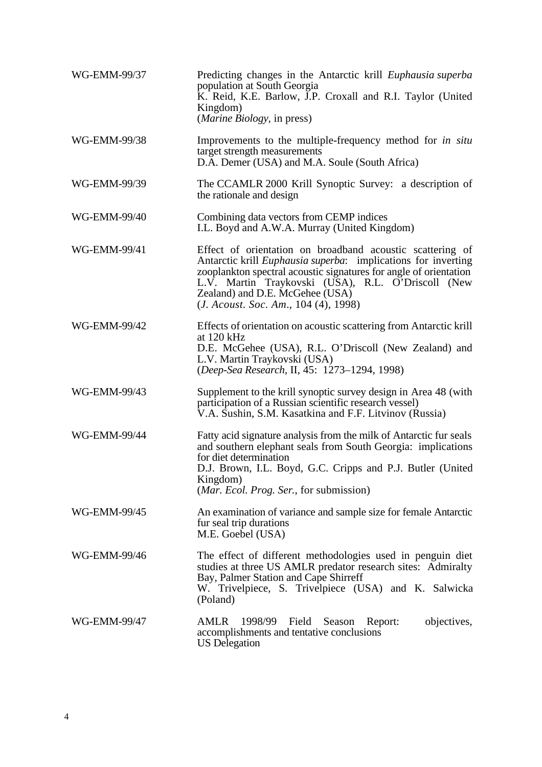| WG-EMM-99/37 | Predicting changes in the Antarctic krill Euphausia superba<br>population at South Georgia<br>K. Reid, K.E. Barlow, J.P. Croxall and R.I. Taylor (United<br>Kingdom)<br>( <i>Marine Biology</i> , in press)                                                                                                                                      |
|--------------|--------------------------------------------------------------------------------------------------------------------------------------------------------------------------------------------------------------------------------------------------------------------------------------------------------------------------------------------------|
| WG-EMM-99/38 | Improvements to the multiple-frequency method for <i>in situ</i><br>target strength measurements<br>D.A. Demer (USA) and M.A. Soule (South Africa)                                                                                                                                                                                               |
| WG-EMM-99/39 | The CCAMLR 2000 Krill Synoptic Survey: a description of<br>the rationale and design                                                                                                                                                                                                                                                              |
| WG-EMM-99/40 | Combining data vectors from CEMP indices<br>I.L. Boyd and A.W.A. Murray (United Kingdom)                                                                                                                                                                                                                                                         |
| WG-EMM-99/41 | Effect of orientation on broadband acoustic scattering of<br>Antarctic krill <i>Euphausia superba</i> : implications for inverting<br>zooplankton spectral acoustic signatures for angle of orientation<br>L.V. Martin Traykovski (USA), R.L. O'Driscoll (New<br>Zealand) and D.E. McGehee (USA)<br>( <i>J. Acoust. Soc. Am., 104 (4), 1998)</i> |
| WG-EMM-99/42 | Effects of orientation on acoustic scattering from Antarctic krill<br>at $120$ kHz<br>D.E. McGehee (USA), R.L. O'Driscoll (New Zealand) and<br>L.V. Martin Traykovski (USA)<br>(Deep-Sea Research, II, 45: 1273-1294, 1998)                                                                                                                      |
| WG-EMM-99/43 | Supplement to the krill synoptic survey design in Area 48 (with<br>participation of a Russian scientific research vessel)<br>V.A. Sushin, S.M. Kasatkina and F.F. Litvinov (Russia)                                                                                                                                                              |
| WG-EMM-99/44 | Fatty acid signature analysis from the milk of Antarctic fur seals<br>and southern elephant seals from South Georgia: implications<br>for diet determination<br>D.J. Brown, I.L. Boyd, G.C. Cripps and P.J. Butler (United<br>Kingdom)<br>( <i>Mar. Ecol. Prog. Ser.</i> , for submission)                                                       |
| WG-EMM-99/45 | An examination of variance and sample size for female Antarctic<br>fur seal trip durations<br>M.E. Goebel (USA)                                                                                                                                                                                                                                  |
| WG-EMM-99/46 | The effect of different methodologies used in penguin diet<br>studies at three US AMLR predator research sites: Admiralty<br>Bay, Palmer Station and Cape Shirreff<br>W. Trivelpiece, S. Trivelpiece (USA) and K. Salwicka<br>(Poland)                                                                                                           |
| WG-EMM-99/47 | AMLR<br>1998/99<br>objectives,<br>Field<br>Season<br>Report:<br>accomplishments and tentative conclusions<br><b>US</b> Delegation                                                                                                                                                                                                                |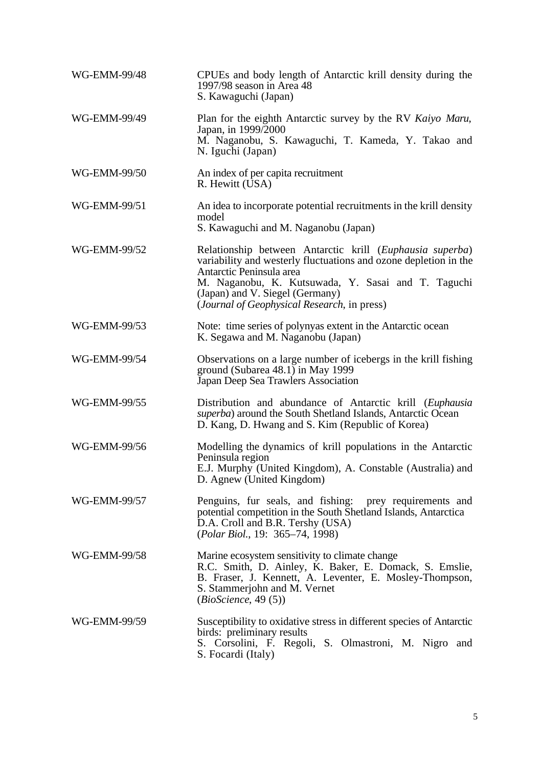| WG-EMM-99/48 | CPUEs and body length of Antarctic krill density during the<br>1997/98 season in Area 48<br>S. Kawaguchi (Japan)                                                                                                                                                                                 |
|--------------|--------------------------------------------------------------------------------------------------------------------------------------------------------------------------------------------------------------------------------------------------------------------------------------------------|
| WG-EMM-99/49 | Plan for the eighth Antarctic survey by the RV Kaiyo Maru,<br>Japan, in 1999/2000<br>M. Naganobu, S. Kawaguchi, T. Kameda, Y. Takao and<br>N. Iguchi (Japan)                                                                                                                                     |
| WG-EMM-99/50 | An index of per capita recruitment<br>R. Hewitt (USA)                                                                                                                                                                                                                                            |
| WG-EMM-99/51 | An idea to incorporate potential recruitments in the krill density<br>model<br>S. Kawaguchi and M. Naganobu (Japan)                                                                                                                                                                              |
| WG-EMM-99/52 | Relationship between Antarctic krill (Euphausia superba)<br>variability and westerly fluctuations and ozone depletion in the<br>Antarctic Peninsula area<br>M. Naganobu, K. Kutsuwada, Y. Sasai and T. Taguchi<br>(Japan) and V. Siegel (Germany)<br>(Journal of Geophysical Research, in press) |
| WG-EMM-99/53 | Note: time series of polynyas extent in the Antarctic ocean<br>K. Segawa and M. Naganobu (Japan)                                                                                                                                                                                                 |
| WG-EMM-99/54 | Observations on a large number of icebergs in the krill fishing<br>ground (Subarea 48.1) in May 1999<br>Japan Deep Sea Trawlers Association                                                                                                                                                      |
| WG-EMM-99/55 | Distribution and abundance of Antarctic krill (Euphausia<br>superba) around the South Shetland Islands, Antarctic Ocean<br>D. Kang, D. Hwang and S. Kim (Republic of Korea)                                                                                                                      |
| WG-EMM-99/56 | Modelling the dynamics of krill populations in the Antarctic<br>Peninsula region<br>E.J. Murphy (United Kingdom), A. Constable (Australia) and<br>D. Agnew (United Kingdom)                                                                                                                      |
| WG-EMM-99/57 | Penguins, fur seals, and fishing: prey requirements and<br>potential competition in the South Shetland Islands, Antarctica<br>D.A. Croll and B.R. Tershy (USA)<br>(Polar Biol., 19: 365-74, 1998)                                                                                                |
| WG-EMM-99/58 | Marine ecosystem sensitivity to climate change<br>R.C. Smith, D. Ainley, K. Baker, E. Domack, S. Emslie,<br>B. Fraser, J. Kennett, A. Leventer, E. Mosley-Thompson,<br>S. Stammerjohn and M. Vernet<br>(BioScience, 49(5))                                                                       |
| WG-EMM-99/59 | Susceptibility to oxidative stress in different species of Antarctic<br>birds: preliminary results<br>S. Corsolini, F. Regoli, S. Olmastroni, M. Nigro and<br>S. Focardi (Italy)                                                                                                                 |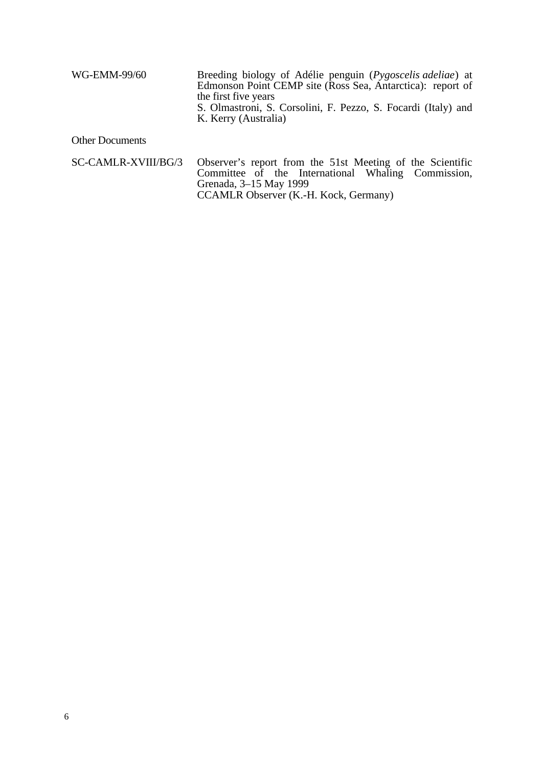| WG-EMM-99/60 | Breeding biology of Adélie penguin ( <i>Pygoscelis adeliae</i> ) at<br>Edmonson Point CEMP site (Ross Sea, Antarctica): report of<br>the first five years<br>S. Olmastroni, S. Corsolini, F. Pezzo, S. Focardi (Italy) and |
|--------------|----------------------------------------------------------------------------------------------------------------------------------------------------------------------------------------------------------------------------|
|              | K. Kerry (Australia)                                                                                                                                                                                                       |

# Other Documents

|  | SC-CAMLR-XVIII/BG/3 Observer's report from the 51st Meeting of the Scientific |  |  |  |  |
|--|-------------------------------------------------------------------------------|--|--|--|--|
|  | Committee of the International Whaling Commission,                            |  |  |  |  |
|  | Grenada, 3–15 May 1999                                                        |  |  |  |  |
|  | CCAMLR Observer (K.-H. Kock, Germany)                                         |  |  |  |  |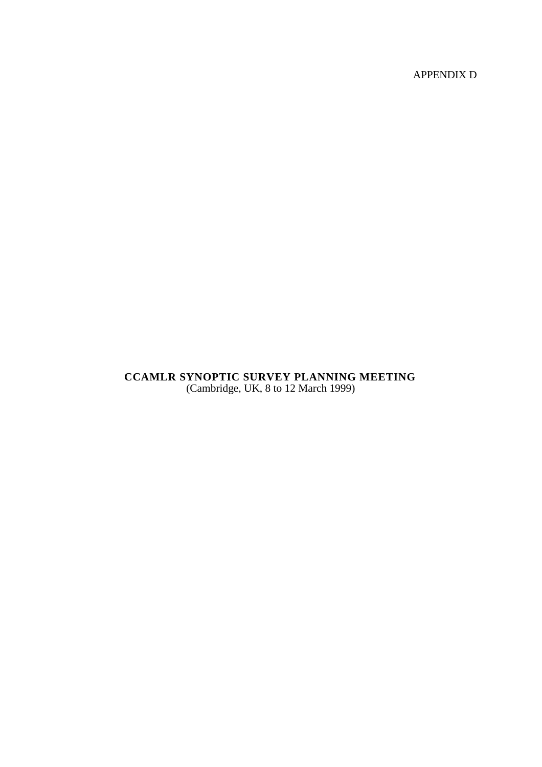APPENDIX D

# **CCAMLR SYNOPTIC SURVEY PLANNING MEETING** (Cambridge, UK, 8 to 12 March 1999)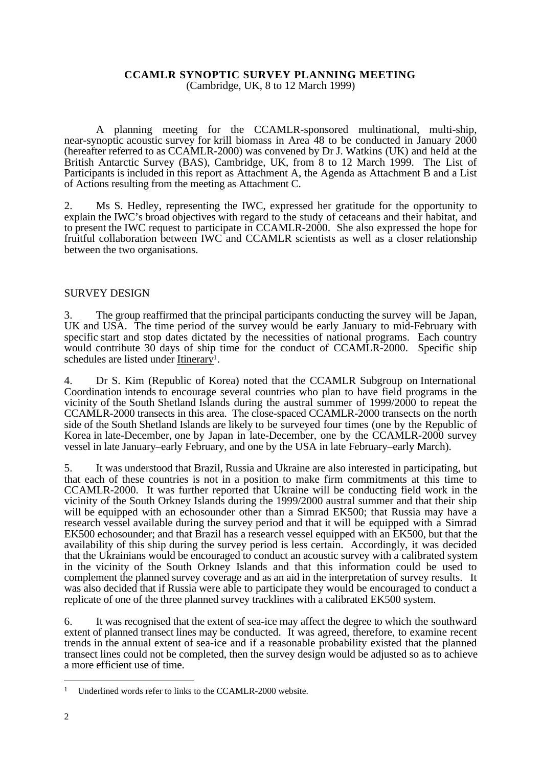#### **CCAMLR SYNOPTIC SURVEY PLANNING MEETING** (Cambridge, UK, 8 to 12 March 1999)

A planning meeting for the CCAMLR-sponsored multinational, multi-ship, near-synoptic acoustic survey for krill biomass in Area 48 to be conducted in January 2000 (hereafter referred to as CCAMLR-2000) was convened by Dr J. Watkins (UK) and held at the British Antarctic Survey (BAS), Cambridge, UK, from 8 to 12 March 1999. The List of Participants is included in this report as Attachment A, the Agenda as Attachment B and a List of Actions resulting from the meeting as Attachment C.

2. Ms S. Hedley, representing the IWC, expressed her gratitude for the opportunity to explain the IWC's broad objectives with regard to the study of cetaceans and their habitat, and to present the IWC request to participate in CCAMLR-2000. She also expressed the hope for fruitful collaboration between IWC and CCAMLR scientists as well as a closer relationship between the two organisations.

## SURVEY DESIGN

3. The group reaffirmed that the principal participants conducting the survey will be Japan, UK and USA. The time period of the survey would be early January to mid-February with specific start and stop dates dictated by the necessities of national programs. Each country would contribute 30 days of ship time for the conduct of CCAMLR-2000. Specific ship schedules are listed under **Itinerary**<sup>1</sup>.

4. Dr S. Kim (Republic of Korea) noted that the CCAMLR Subgroup on International Coordination intends to encourage several countries who plan to have field programs in the vicinity of the South Shetland Islands during the austral summer of 1999/2000 to repeat the CCAMLR-2000 transects in this area. The close-spaced CCAMLR-2000 transects on the north side of the South Shetland Islands are likely to be surveyed four times (one by the Republic of Korea in late-December, one by Japan in late-December, one by the CCAMLR-2000 survey vessel in late January–early February, and one by the USA in late February–early March).

5. It was understood that Brazil, Russia and Ukraine are also interested in participating, but that each of these countries is not in a position to make firm commitments at this time to CCAMLR-2000. It was further reported that Ukraine will be conducting field work in the vicinity of the South Orkney Islands during the 1999/2000 austral summer and that their ship will be equipped with an echosounder other than a Simrad EK500; that Russia may have a research vessel available during the survey period and that it will be equipped with a Simrad EK500 echosounder; and that Brazil has a research vessel equipped with an EK500, but that the availability of this ship during the survey period is less certain. Accordingly, it was decided that the Ukrainians would be encouraged to conduct an acoustic survey with a calibrated system in the vicinity of the South Orkney Islands and that this information could be used to complement the planned survey coverage and as an aid in the interpretation of survey results. It was also decided that if Russia were able to participate they would be encouraged to conduct a replicate of one of the three planned survey tracklines with a calibrated EK500 system.

6. It was recognised that the extent of sea-ice may affect the degree to which the southward extent of planned transect lines may be conducted. It was agreed, therefore, to examine recent trends in the annual extent of sea-ice and if a reasonable probability existed that the planned transect lines could not be completed, then the survey design would be adjusted so as to achieve a more efficient use of time.

<sup>&</sup>lt;sup>1</sup> Underlined words refer to links to the CCAMLR-2000 website.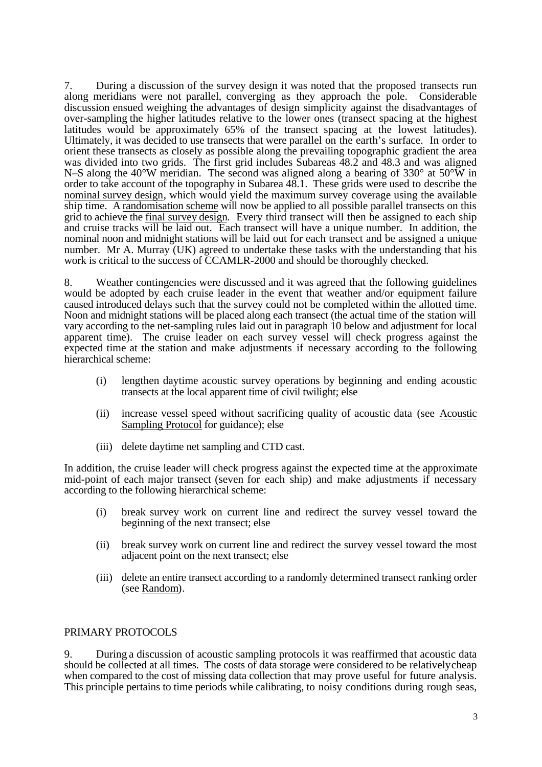7. During a discussion of the survey design it was noted that the proposed transects run along meridians were not parallel, converging as they approach the pole. Considerable discussion ensued weighing the advantages of design simplicity against the disadvantages of over-sampling the higher latitudes relative to the lower ones (transect spacing at the highest latitudes would be approximately 65% of the transect spacing at the lowest latitudes). Ultimately, it was decided to use transects that were parallel on the earth's surface. In order to orient these transects as closely as possible along the prevailing topographic gradient the area was divided into two grids. The first grid includes Subareas 48.2 and 48.3 and was aligned N–S along the 40°W meridian. The second was aligned along a bearing of 330° at 50°W in order to take account of the topography in Subarea 48.1. These grids were used to describe the nominal survey design, which would yield the maximum survey coverage using the available ship time. A randomisation scheme will now be applied to all possible parallel transects on this grid to achieve the final survey design. Every third transect will then be assigned to each ship and cruise tracks will be laid out. Each transect will have a unique number. In addition, the nominal noon and midnight stations will be laid out for each transect and be assigned a unique number. Mr A. Murray (UK) agreed to undertake these tasks with the understanding that his work is critical to the success of CCAMLR-2000 and should be thoroughly checked.

8. Weather contingencies were discussed and it was agreed that the following guidelines would be adopted by each cruise leader in the event that weather and/or equipment failure caused introduced delays such that the survey could not be completed within the allotted time. Noon and midnight stations will be placed along each transect (the actual time of the station will vary according to the net-sampling rules laid out in paragraph 10 below and adjustment for local apparent time). The cruise leader on each survey vessel will check progress against the expected time at the station and make adjustments if necessary according to the following hierarchical scheme:

- (i) lengthen daytime acoustic survey operations by beginning and ending acoustic transects at the local apparent time of civil twilight; else
- (ii) increase vessel speed without sacrificing quality of acoustic data (see Acoustic Sampling Protocol for guidance); else
- (iii) delete daytime net sampling and CTD cast.

In addition, the cruise leader will check progress against the expected time at the approximate mid-point of each major transect (seven for each ship) and make adjustments if necessary according to the following hierarchical scheme:

- (i) break survey work on current line and redirect the survey vessel toward the beginning of the next transect; else
- (ii) break survey work on current line and redirect the survey vessel toward the most adjacent point on the next transect; else
- (iii) delete an entire transect according to a randomly determined transect ranking order (see Random).

### PRIMARY PROTOCOLS

9. During a discussion of acoustic sampling protocols it was reaffirmed that acoustic data should be collected at all times. The costs of data storage were considered to be relatively cheap when compared to the cost of missing data collection that may prove useful for future analysis. This principle pertains to time periods while calibrating, to noisy conditions during rough seas,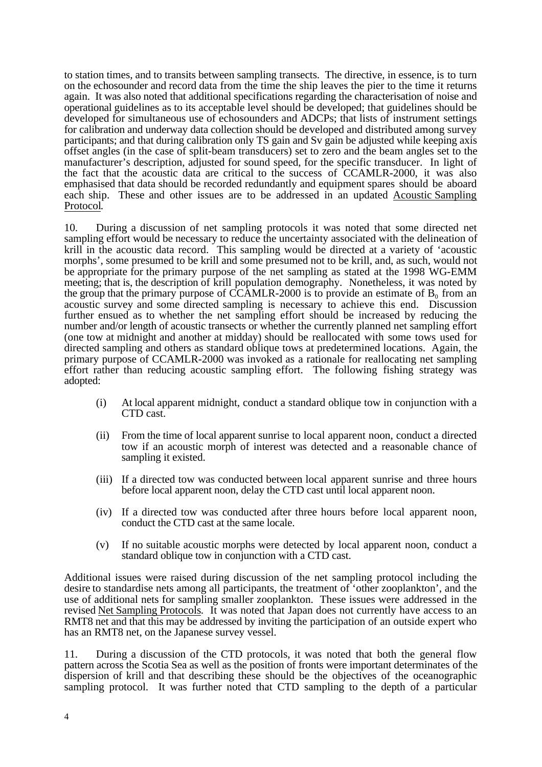to station times, and to transits between sampling transects. The directive, in essence, is to turn on the echosounder and record data from the time the ship leaves the pier to the time it returns again. It was also noted that additional specifications regarding the characterisation of noise and operational guidelines as to its acceptable level should be developed; that guidelines should be developed for simultaneous use of echosounders and ADCPs; that lists of instrument settings for calibration and underway data collection should be developed and distributed among survey participants; and that during calibration only TS gain and Sv gain be adjusted while keeping axis offset angles (in the case of split-beam transducers) set to zero and the beam angles set to the manufacturer's description, adjusted for sound speed, for the specific transducer. In light of the fact that the acoustic data are critical to the success of CCAMLR-2000, it was also emphasised that data should be recorded redundantly and equipment spares should be aboard each ship. These and other issues are to be addressed in an updated Acoustic Sampling Protocol.

10. During a discussion of net sampling protocols it was noted that some directed net sampling effort would be necessary to reduce the uncertainty associated with the delineation of krill in the acoustic data record. This sampling would be directed at a variety of 'acoustic morphs', some presumed to be krill and some presumed not to be krill, and, as such, would not be appropriate for the primary purpose of the net sampling as stated at the 1998 WG-EMM meeting; that is, the description of krill population demography. Nonetheless, it was noted by the group that the primary purpose of CCAMLR-2000 is to provide an estimate of  $B_0$  from an acoustic survey and some directed sampling is necessary to achieve this end. Discussion further ensued as to whether the net sampling effort should be increased by reducing the number and/or length of acoustic transects or whether the currently planned net sampling effort (one tow at midnight and another at midday) should be reallocated with some tows used for directed sampling and others as standard oblique tows at predetermined locations. Again, the primary purpose of CCAMLR-2000 was invoked as a rationale for reallocating net sampling effort rather than reducing acoustic sampling effort. The following fishing strategy was adopted:

- (i) At local apparent midnight, conduct a standard oblique tow in conjunction with a CTD cast.
- (ii) From the time of local apparent sunrise to local apparent noon, conduct a directed tow if an acoustic morph of interest was detected and a reasonable chance of sampling it existed.
- (iii) If a directed tow was conducted between local apparent sunrise and three hours before local apparent noon, delay the CTD cast until local apparent noon.
- (iv) If a directed tow was conducted after three hours before local apparent noon, conduct the CTD cast at the same locale.
- (v) If no suitable acoustic morphs were detected by local apparent noon, conduct a standard oblique tow in conjunction with a CTD cast.

Additional issues were raised during discussion of the net sampling protocol including the desire to standardise nets among all participants, the treatment of 'other zooplankton', and the use of additional nets for sampling smaller zooplankton. These issues were addressed in the revised Net Sampling Protocols. It was noted that Japan does not currently have access to an RMT8 net and that this may be addressed by inviting the participation of an outside expert who has an RMT8 net, on the Japanese survey vessel.

11. During a discussion of the CTD protocols, it was noted that both the general flow pattern across the Scotia Sea as well as the position of fronts were important determinates of the dispersion of krill and that describing these should be the objectives of the oceanographic sampling protocol. It was further noted that CTD sampling to the depth of a particular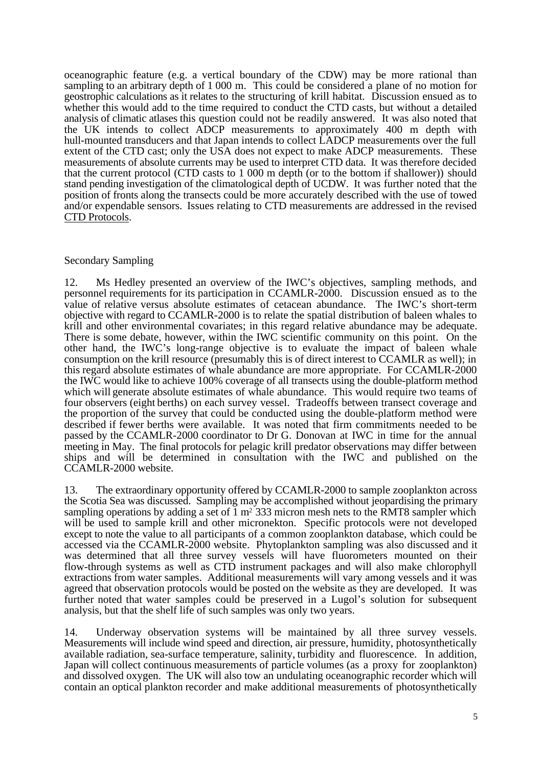oceanographic feature (e.g. a vertical boundary of the CDW) may be more rational than sampling to an arbitrary depth of 1 000 m. This could be considered a plane of no motion for geostrophic calculations as it relates to the structuring of krill habitat. Discussion ensued as to whether this would add to the time required to conduct the CTD casts, but without a detailed analysis of climatic atlases this question could not be readily answered. It was also noted that the UK intends to collect ADCP measurements to approximately 400 m depth with hull-mounted transducers and that Japan intends to collect LADCP measurements over the full extent of the CTD cast; only the USA does not expect to make ADCP measurements. These measurements of absolute currents may be used to interpret CTD data. It was therefore decided that the current protocol (CTD casts to 1 000 m depth (or to the bottom if shallower)) should stand pending investigation of the climatological depth of UCDW. It was further noted that the position of fronts along the transects could be more accurately described with the use of towed and/or expendable sensors. Issues relating to CTD measurements are addressed in the revised CTD Protocols.

## Secondary Sampling

12. Ms Hedley presented an overview of the IWC's objectives, sampling methods, and personnel requirements for its participation in CCAMLR-2000. Discussion ensued as to the value of relative versus absolute estimates of cetacean abundance. The IWC's short-term objective with regard to CCAMLR-2000 is to relate the spatial distribution of baleen whales to krill and other environmental covariates; in this regard relative abundance may be adequate. There is some debate, however, within the IWC scientific community on this point. On the other hand, the IWC's long-range objective is to evaluate the impact of baleen whale consumption on the krill resource (presumably this is of direct interest to CCAMLR as well); in this regard absolute estimates of whale abundance are more appropriate. For CCAMLR-2000 the IWC would like to achieve 100% coverage of all transects using the double-platform method which will generate absolute estimates of whale abundance. This would require two teams of four observers (eight berths) on each survey vessel. Tradeoffs between transect coverage and the proportion of the survey that could be conducted using the double-platform method were described if fewer berths were available. It was noted that firm commitments needed to be passed by the CCAMLR-2000 coordinator to Dr G. Donovan at IWC in time for the annual meeting in May. The final protocols for pelagic krill predator observations may differ between ships and will be determined in consultation with the IWC and published on the CCAMLR-2000 website.

13. The extraordinary opportunity offered by CCAMLR-2000 to sample zooplankton across the Scotia Sea was discussed. Sampling may be accomplished without jeopardising the primary sampling operations by adding a set of  $1 \text{ m}^2$  333 micron mesh nets to the RMT8 sampler which will be used to sample krill and other micronekton. Specific protocols were not developed except to note the value to all participants of a common zooplankton database, which could be accessed via the CCAMLR-2000 website. Phytoplankton sampling was also discussed and it was determined that all three survey vessels will have fluorometers mounted on their flow-through systems as well as CTD instrument packages and will also make chlorophyll extractions from water samples. Additional measurements will vary among vessels and it was agreed that observation protocols would be posted on the website as they are developed. It was further noted that water samples could be preserved in a Lugol's solution for subsequent analysis, but that the shelf life of such samples was only two years.

14. Underway observation systems will be maintained by all three survey vessels. Measurements will include wind speed and direction, air pressure, humidity, photosynthetically available radiation, sea-surface temperature, salinity, turbidity and fluorescence. In addition, Japan will collect continuous measurements of particle volumes (as a proxy for zooplankton) and dissolved oxygen. The UK will also tow an undulating oceanographic recorder which will contain an optical plankton recorder and make additional measurements of photosynthetically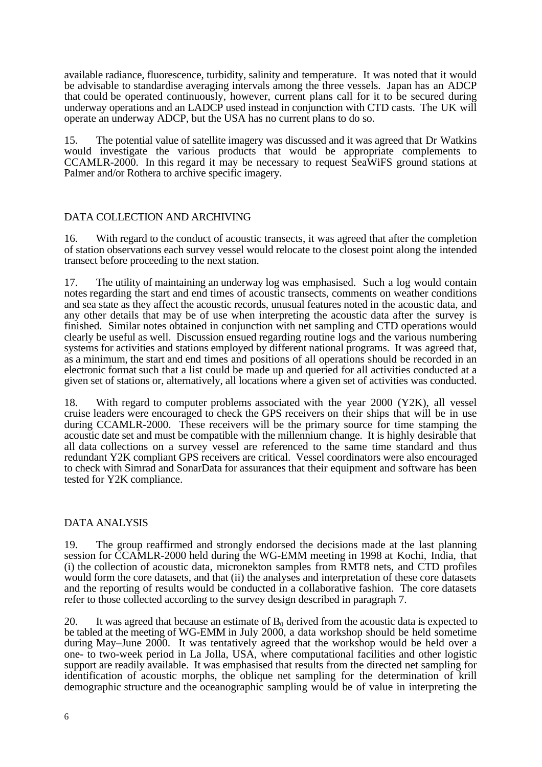available radiance, fluorescence, turbidity, salinity and temperature. It was noted that it would be advisable to standardise averaging intervals among the three vessels. Japan has an ADCP that could be operated continuously, however, current plans call for it to be secured during underway operations and an LADCP used instead in conjunction with CTD casts. The UK will operate an underway ADCP, but the USA has no current plans to do so.

15. The potential value of satellite imagery was discussed and it was agreed that Dr Watkins would investigate the various products that would be appropriate complements to CCAMLR-2000. In this regard it may be necessary to request SeaWiFS ground stations at Palmer and/or Rothera to archive specific imagery.

# DATA COLLECTION AND ARCHIVING

16. With regard to the conduct of acoustic transects, it was agreed that after the completion of station observations each survey vessel would relocate to the closest point along the intended transect before proceeding to the next station.

17. The utility of maintaining an underway log was emphasised. Such a log would contain notes regarding the start and end times of acoustic transects, comments on weather conditions and sea state as they affect the acoustic records, unusual features noted in the acoustic data, and any other details that may be of use when interpreting the acoustic data after the survey is finished. Similar notes obtained in conjunction with net sampling and CTD operations would clearly be useful as well. Discussion ensued regarding routine logs and the various numbering systems for activities and stations employed by different national programs. It was agreed that, as a minimum, the start and end times and positions of all operations should be recorded in an electronic format such that a list could be made up and queried for all activities conducted at a given set of stations or, alternatively, all locations where a given set of activities was conducted.

18. With regard to computer problems associated with the year 2000 (Y2K), all vessel cruise leaders were encouraged to check the GPS receivers on their ships that will be in use during CCAMLR-2000. These receivers will be the primary source for time stamping the acoustic date set and must be compatible with the millennium change. It is highly desirable that all data collections on a survey vessel are referenced to the same time standard and thus redundant Y2K compliant GPS receivers are critical. Vessel coordinators were also encouraged to check with Simrad and SonarData for assurances that their equipment and software has been tested for Y2K compliance.

### DATA ANALYSIS

19. The group reaffirmed and strongly endorsed the decisions made at the last planning session for CCAMLR-2000 held during the WG-EMM meeting in 1998 at Kochi, India, that (i) the collection of acoustic data, micronekton samples from RMT8 nets, and CTD profiles would form the core datasets, and that (ii) the analyses and interpretation of these core datasets and the reporting of results would be conducted in a collaborative fashion. The core datasets refer to those collected according to the survey design described in paragraph 7.

20. It was agreed that because an estimate of  $B_0$  derived from the acoustic data is expected to be tabled at the meeting of WG-EMM in July 2000, a data workshop should be held sometime during May–June 2000. It was tentatively agreed that the workshop would be held over a one- to two-week period in La Jolla, USA, where computational facilities and other logistic support are readily available. It was emphasised that results from the directed net sampling for identification of acoustic morphs, the oblique net sampling for the determination of krill demographic structure and the oceanographic sampling would be of value in interpreting the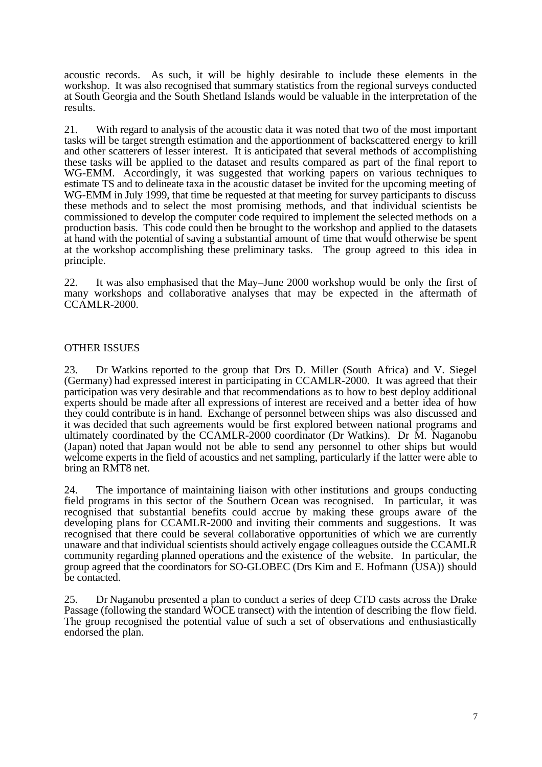acoustic records. As such, it will be highly desirable to include these elements in the workshop. It was also recognised that summary statistics from the regional surveys conducted at South Georgia and the South Shetland Islands would be valuable in the interpretation of the results.

21. With regard to analysis of the acoustic data it was noted that two of the most important tasks will be target strength estimation and the apportionment of backscattered energy to krill and other scatterers of lesser interest. It is anticipated that several methods of accomplishing these tasks will be applied to the dataset and results compared as part of the final report to WG-EMM. Accordingly, it was suggested that working papers on various techniques to estimate TS and to delineate taxa in the acoustic dataset be invited for the upcoming meeting of WG-EMM in July 1999, that time be requested at that meeting for survey participants to discuss these methods and to select the most promising methods, and that individual scientists be commissioned to develop the computer code required to implement the selected methods on a production basis. This code could then be brought to the workshop and applied to the datasets at hand with the potential of saving a substantial amount of time that would otherwise be spent at the workshop accomplishing these preliminary tasks. The group agreed to this idea in principle.

22. It was also emphasised that the May–June 2000 workshop would be only the first of many workshops and collaborative analyses that may be expected in the aftermath of CCAMLR-2000.

### OTHER ISSUES

23. Dr Watkins reported to the group that Drs D. Miller (South Africa) and V. Siegel (Germany) had expressed interest in participating in CCAMLR-2000. It was agreed that their participation was very desirable and that recommendations as to how to best deploy additional experts should be made after all expressions of interest are received and a better idea of how they could contribute is in hand. Exchange of personnel between ships was also discussed and it was decided that such agreements would be first explored between national programs and ultimately coordinated by the CCAMLR-2000 coordinator (Dr Watkins). Dr M. Naganobu (Japan) noted that Japan would not be able to send any personnel to other ships but would welcome experts in the field of acoustics and net sampling, particularly if the latter were able to bring an RMT8 net.

24. The importance of maintaining liaison with other institutions and groups conducting field programs in this sector of the Southern Ocean was recognised. In particular, it was recognised that substantial benefits could accrue by making these groups aware of the developing plans for CCAMLR-2000 and inviting their comments and suggestions. It was recognised that there could be several collaborative opportunities of which we are currently unaware and that individual scientists should actively engage colleagues outside the CCAMLR community regarding planned operations and the existence of the website. In particular, the group agreed that the coordinators for SO-GLOBEC (Drs Kim and E. Hofmann (USA)) should be contacted.

25. Dr Naganobu presented a plan to conduct a series of deep CTD casts across the Drake Passage (following the standard WOCE transect) with the intention of describing the flow field. The group recognised the potential value of such a set of observations and enthusiastically endorsed the plan.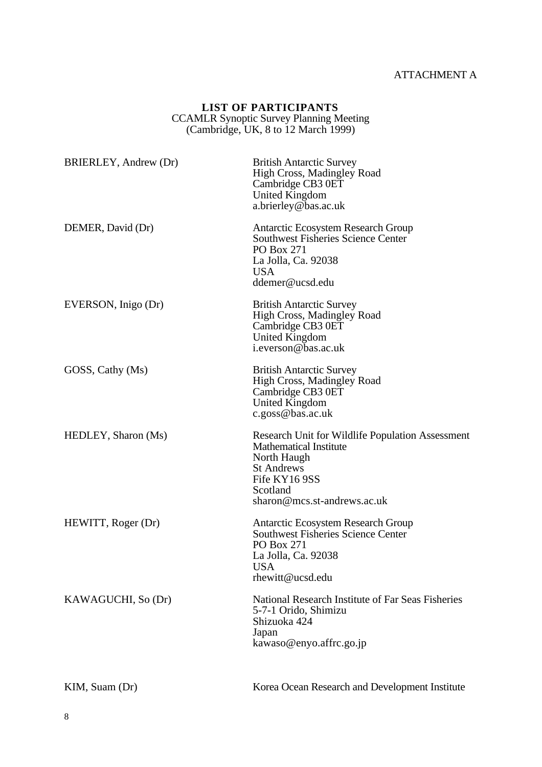# ATTACHMENT A

## **LIST OF PARTICIPANTS** CCAMLR Synoptic Survey Planning Meeting (Cambridge, UK, 8 to 12 March 1999)

| BRIERLEY, Andrew (Dr) | <b>British Antarctic Survey</b><br><b>High Cross, Madingley Road</b><br>Cambridge CB3 0ET<br>United Kingdom<br>a.brierley@bas.ac.uk                                               |
|-----------------------|-----------------------------------------------------------------------------------------------------------------------------------------------------------------------------------|
| DEMER, David (Dr)     | <b>Antarctic Ecosystem Research Group</b><br><b>Southwest Fisheries Science Center</b><br>PO Box 271<br>La Jolla, Ca. 92038<br><b>USA</b><br>ddemer@ucsd.edu                      |
| EVERSON, Inigo (Dr)   | <b>British Antarctic Survey</b><br><b>High Cross, Madingley Road</b><br>Cambridge CB3 0ET<br><b>United Kingdom</b><br>i.everson@bas.ac.uk                                         |
| GOSS, Cathy (Ms)      | <b>British Antarctic Survey</b><br><b>High Cross, Madingley Road</b><br>Cambridge CB3 0ET<br>United Kingdom<br>c.goss@bas.ac.uk                                                   |
| HEDLEY, Sharon (Ms)   | Research Unit for Wildlife Population Assessment<br><b>Mathematical Institute</b><br>North Haugh<br><b>St Andrews</b><br>Fife KY16 9SS<br>Scotland<br>sharon@mcs.st-andrews.ac.uk |
| HEWITT, Roger (Dr)    | Antarctic Ecosystem Research Group<br><b>Southwest Fisheries Science Center</b><br>PO Box 271<br>La Jolla, Ca. 92038<br><b>USA</b><br>rhewitt@ucsd.edu                            |
| KAWAGUCHI, So (Dr)    | National Research Institute of Far Seas Fisheries<br>5-7-1 Orido, Shimizu<br>Shizuoka 424<br>Japan<br>kawaso@enyo.affrc.go.jp                                                     |
| KIM, Suam (Dr)        | Korea Ocean Research and Development Institute                                                                                                                                    |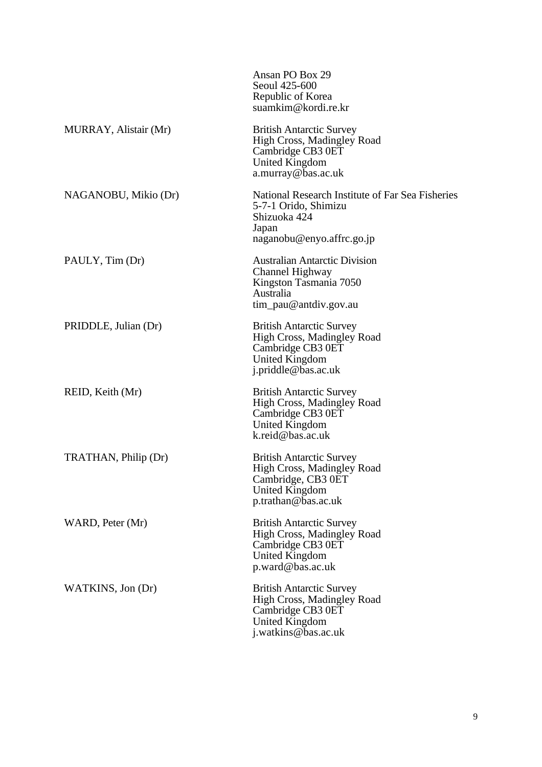|                       | Ansan PO Box 29<br>Seoul 425-600<br>Republic of Korea<br>suamkim@kordi.re.kr                                                     |
|-----------------------|----------------------------------------------------------------------------------------------------------------------------------|
| MURRAY, Alistair (Mr) | <b>British Antarctic Survey</b><br>High Cross, Madingley Road<br>Cambridge CB3 0ET<br>United Kingdom<br>a.murray@bas.ac.uk       |
| NAGANOBU, Mikio (Dr)  | National Research Institute of Far Sea Fisheries<br>5-7-1 Orido, Shimizu<br>Shizuoka 424<br>Japan<br>naganobu@enyo.affrc.go.jp   |
| PAULY, Tim (Dr)       | <b>Australian Antarctic Division</b><br>Channel Highway<br>Kingston Tasmania 7050<br><b>Australia</b><br>$tim$ pau@antdiv.gov.au |
| PRIDDLE, Julian (Dr)  | <b>British Antarctic Survey</b><br>High Cross, Madingley Road<br>Cambridge CB3 0ET<br>United Kingdom<br>j.priddle@bas.ac.uk      |
| REID, Keith (Mr)      | <b>British Antarctic Survey</b><br>High Cross, Madingley Road<br>Cambridge CB3 0ET<br>United Kingdom<br>k.reid@bas.ac.uk         |
| TRATHAN, Philip (Dr)  | <b>British Antarctic Survey</b><br>High Cross, Madingley Road<br>Cambridge, CB3 0ET<br>United Kingdom<br>p.trathan@bas.ac.uk     |
| WARD, Peter (Mr)      | <b>British Antarctic Survey</b><br>High Cross, Madingley Road<br>Cambridge CB3 0ET<br>United Kingdom<br>$p$ .ward@bas.ac.uk      |
| WATKINS, Jon (Dr)     | <b>British Antarctic Survey</b><br>High Cross, Madingley Road<br>Cambridge CB3 0ET<br>United Kingdom<br>j.watkins@bas.ac.uk      |
|                       |                                                                                                                                  |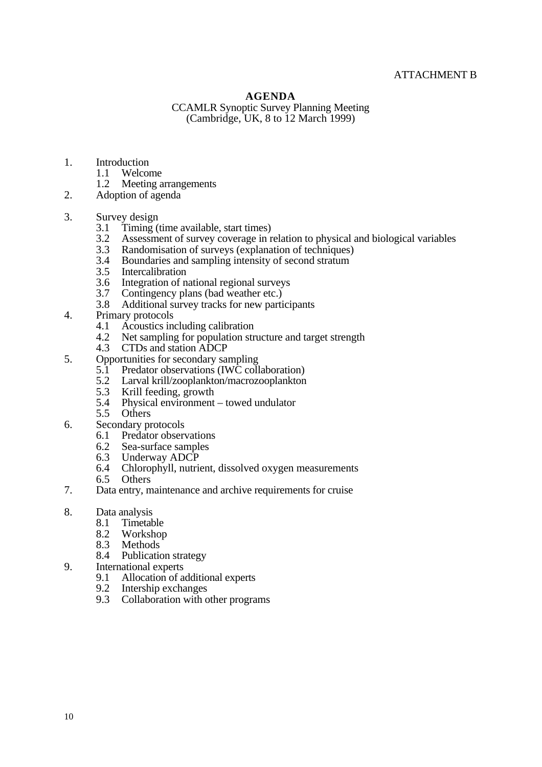# ATTACHMENT B

#### **AGENDA**

CCAMLR Synoptic Survey Planning Meeting (Cambridge, UK, 8 to 12 March 1999)

- 1. Introduction<br>1.1 Welcor
	- 1.1 Welcome<br>1.2 Meeting a
	- Meeting arrangements
- 2. Adoption of agenda
- 3. Survey design  $3.1$  Timing (
	- 3.1 Timing (time available, start times)<br>3.2 Assessment of survey coverage in r
	- 3.2 Assessment of survey coverage in relation to physical and biological variables<br>3.3 Randomisation of surveys (explanation of techniques)
	- 3.3 Randomisation of surveys (explanation of techniques)<br>3.4 Boundaries and sampling intensity of second stratum
	- 3.4 Boundaries and sampling intensity of second stratum<br>3.5 Intercalibration
	- 3.5 Intercalibration<br>3.6 Integration of n
	- 3.6 Integration of national regional surveys<br>3.7 Contingency plans (bad weather etc.)
	- 3.7 Contingency plans (bad weather etc.)<br>3.8 Additional survey tracks for new parti
	- Additional survey tracks for new participants
- 4. Primary protocols
	- 4.1 Acoustics including calibration<br>4.2 Net sampling for population str
	- 4.2 Net sampling for population structure and target strength<br>4.3 CTDs and station ADCP
	- 4.3 CTDs and station ADCP
- 5. Opportunities for secondary sampling
	- 5.1 Predator observations (IWC collaboration)
	- 5.2 Larval krill/zooplankton/macrozooplankton<br>5.3 Krill feeding, growth
	- 5.3 Krill feeding, growth<br>5.4 Physical environment
	- 5.4 Physical environment towed undulator
	- 5.5 Others
- 6. Secondary protocols<br>6.1 Predator observed
	- 6.1 Predator observations<br>6.2 Sea-surface samples
	- 6.2 Sea-surface samples<br>6.3 Underway ADCP
	- 6.3 Underway ADCP<br>6.4 Chlorophyll, nutrie
	- Chlorophyll, nutrient, dissolved oxygen measurements
	- 6.5 Others
- 7. Data entry, maintenance and archive requirements for cruise
- 8. Data analysis<br>8.1 Timetab
	- 8.1 Timetable<br>8.2 Workshop
	- 8.2 Workshop<br>8.3 Methods
	- 8.3 Methods<br>8.4 Publication
	- Publication strategy
- 9. International experts
	- 9.1 Allocation of additional experts<br>9.2 Intership exchanges
	- 9.2 Intership exchanges
	- 9.3 Collaboration with other programs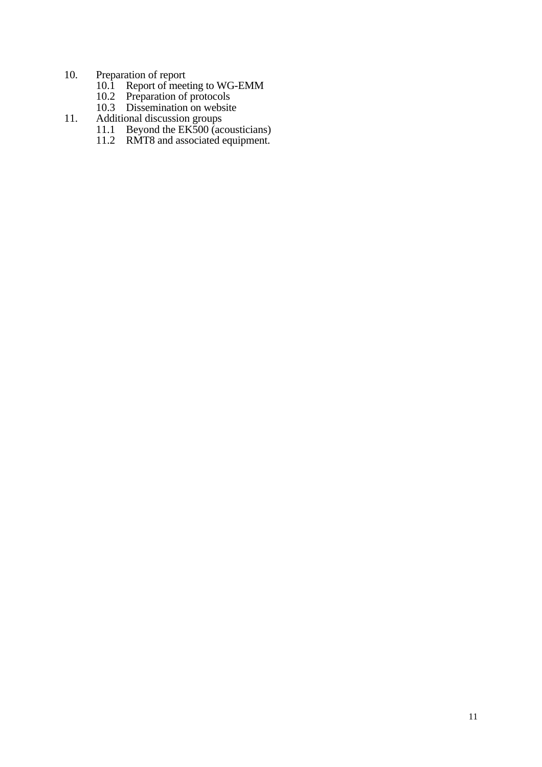#### 10. Preparation of report

- 10.1 Report of meeting to WG-EMM
- 10.2 Preparation of protocols
- 10.3 Dissemination on website
- 11. Additional discussion groups
	- 11.1 Beyond the EK500 (acousticians)
	- 11.2 RMT8 and associated equipment.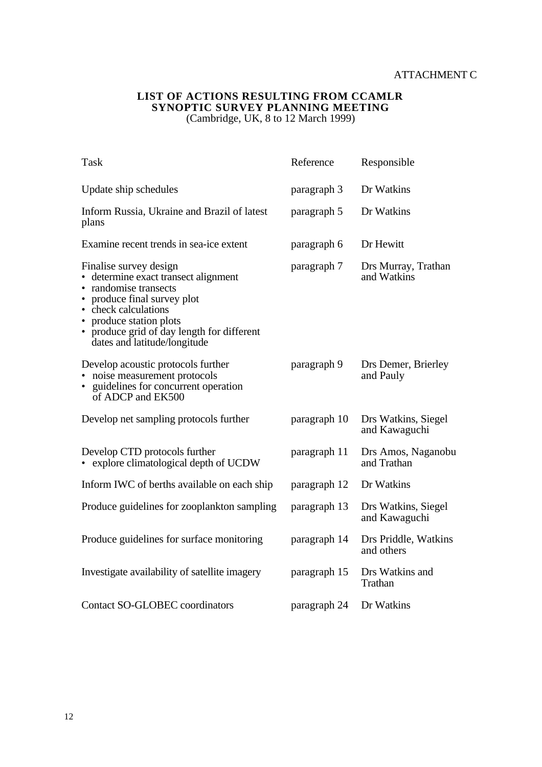#### **LIST OF ACTIONS RESULTING FROM CCAMLR SYNOPTIC SURVEY PLANNING MEETING** (Cambridge, UK, 8 to 12 March 1999)

| <b>Task</b>                                                                                                                                                                                                                                             | Reference    | Responsible                          |
|---------------------------------------------------------------------------------------------------------------------------------------------------------------------------------------------------------------------------------------------------------|--------------|--------------------------------------|
| Update ship schedules                                                                                                                                                                                                                                   | paragraph 3  | Dr Watkins                           |
| Inform Russia, Ukraine and Brazil of latest<br>plans                                                                                                                                                                                                    | paragraph 5  | Dr Watkins                           |
| Examine recent trends in sea-ice extent                                                                                                                                                                                                                 | paragraph 6  | Dr Hewitt                            |
| Finalise survey design<br>• determine exact transect alignment<br>• randomise transects<br>• produce final survey plot<br>• check calculations<br>• produce station plots<br>• produce grid of day length for different<br>dates and latitude/longitude | paragraph 7  | Drs Murray, Trathan<br>and Watkins   |
| Develop acoustic protocols further<br>• noise measurement protocols<br>• guidelines for concurrent operation<br>of ADCP and EK500                                                                                                                       | paragraph 9  | Drs Demer, Brierley<br>and Pauly     |
| Develop net sampling protocols further                                                                                                                                                                                                                  | paragraph 10 | Drs Watkins, Siegel<br>and Kawaguchi |
| Develop CTD protocols further<br>• explore climatological depth of UCDW                                                                                                                                                                                 | paragraph 11 | Drs Amos, Naganobu<br>and Trathan    |
| Inform IWC of berths available on each ship                                                                                                                                                                                                             | paragraph 12 | Dr Watkins                           |
| Produce guidelines for zooplankton sampling                                                                                                                                                                                                             | paragraph 13 | Drs Watkins, Siegel<br>and Kawaguchi |
| Produce guidelines for surface monitoring                                                                                                                                                                                                               | paragraph 14 | Drs Priddle, Watkins<br>and others   |
| Investigate availability of satellite imagery                                                                                                                                                                                                           | paragraph 15 | Drs Watkins and<br>Trathan           |
| <b>Contact SO-GLOBEC coordinators</b>                                                                                                                                                                                                                   | paragraph 24 | Dr Watkins                           |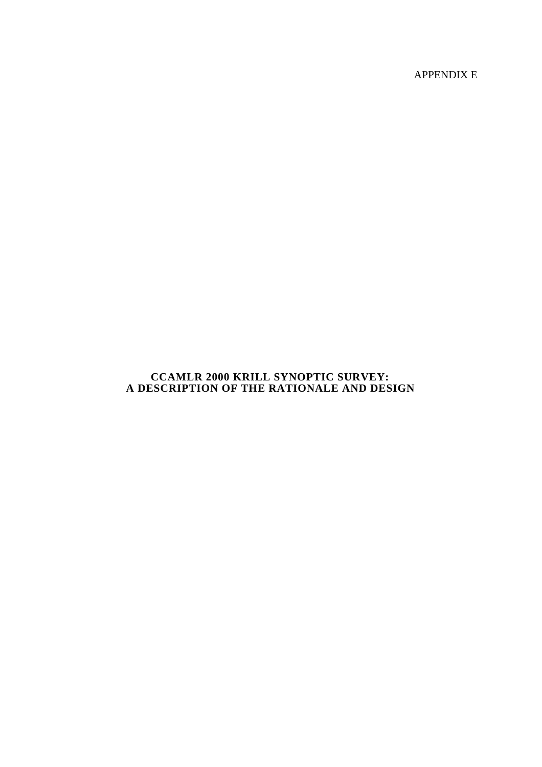APPENDIX E

# **CCAMLR 2000 KRILL SYNOPTIC SURVEY: A DESCRIPTION OF THE RATIONALE AND DESIGN**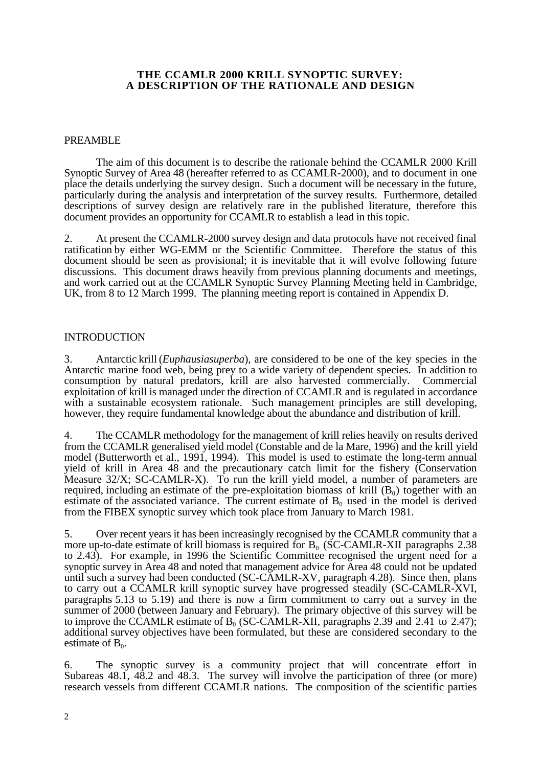#### **THE CCAMLR 2000 KRILL SYNOPTIC SURVEY: A DESCRIPTION OF THE RATIONALE AND DESIGN**

#### PREAMBLE

The aim of this document is to describe the rationale behind the CCAMLR 2000 Krill Synoptic Survey of Area 48 (hereafter referred to as CCAMLR-2000), and to document in one place the details underlying the survey design. Such a document will be necessary in the future, particularly during the analysis and interpretation of the survey results. Furthermore, detailed descriptions of survey design are relatively rare in the published literature, therefore this document provides an opportunity for CCAMLR to establish a lead in this topic.

2. At present the CCAMLR-2000 survey design and data protocols have not received final ratification by either WG-EMM or the Scientific Committee. Therefore the status of this document should be seen as provisional; it is inevitable that it will evolve following future discussions. This document draws heavily from previous planning documents and meetings, and work carried out at the CCAMLR Synoptic Survey Planning Meeting held in Cambridge, UK, from 8 to 12 March 1999. The planning meeting report is contained in Appendix D.

#### INTRODUCTION

3. Antarctic krill (*Euphausia superba*), are considered to be one of the key species in the Antarctic marine food web, being prey to a wide variety of dependent species. In addition to consumption by natural predators, krill are also harvested commercially. Commercial exploitation of krill is managed under the direction of CCAMLR and is regulated in accordance with a sustainable ecosystem rationale. Such management principles are still developing, however, they require fundamental knowledge about the abundance and distribution of krill.

4. The CCAMLR methodology for the management of krill relies heavily on results derived from the CCAMLR generalised yield model (Constable and de la Mare, 1996) and the krill yield model (Butterworth et al., 1991, 1994). This model is used to estimate the long-term annual yield of krill in Area 48 and the precautionary catch limit for the fishery (Conservation Measure 32/X; SC-CAMLR-X). To run the krill yield model, a number of parameters are required, including an estimate of the pre-exploitation biomass of krill  $(B_0)$  together with an estimate of the associated variance. The current estimate of  $B_0$  used in the model is derived from the FIBEX synoptic survey which took place from January to March 1981.

5. Over recent years it has been increasingly recognised by the CCAMLR community that a more up-to-date estimate of krill biomass is required for  $B_0$  (SC-CAMLR-XII paragraphs 2.38 to 2.43). For example, in 1996 the Scientific Committee recognised the urgent need for a synoptic survey in Area 48 and noted that management advice for Area 48 could not be updated until such a survey had been conducted (SC-CAMLR-XV, paragraph 4.28). Since then, plans to carry out a CCAMLR krill synoptic survey have progressed steadily (SC-CAMLR-XVI, paragraphs 5.13 to 5.19) and there is now a firm commitment to carry out a survey in the summer of 2000 (between January and February). The primary objective of this survey will be to improve the CCAMLR estimate of  $B_0$  (SC-CAMLR-XII, paragraphs 2.39 and 2.41 to 2.47); additional survey objectives have been formulated, but these are considered secondary to the estimate of  $B_0$ .

6. The synoptic survey is a community project that will concentrate effort in Subareas 48.1, 48.2 and 48.3. The survey will involve the participation of three (or more) research vessels from different CCAMLR nations. The composition of the scientific parties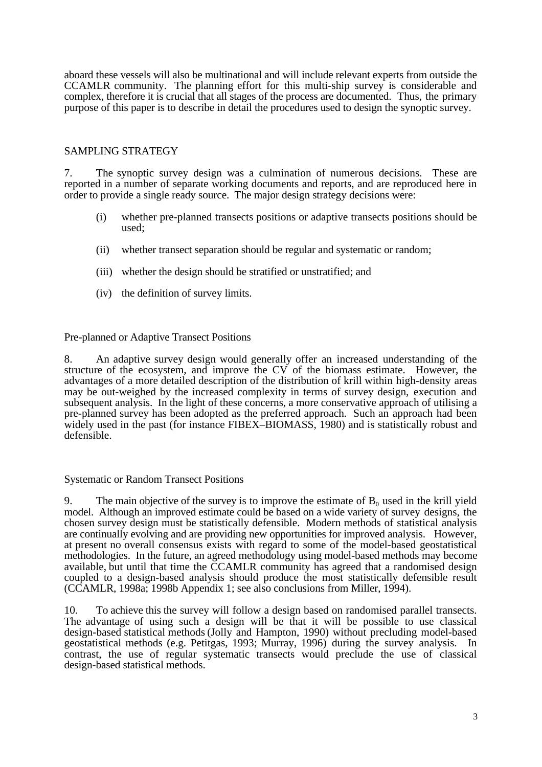aboard these vessels will also be multinational and will include relevant experts from outside the CCAMLR community. The planning effort for this multi-ship survey is considerable and complex, therefore it is crucial that all stages of the process are documented. Thus, the primary purpose of this paper is to describe in detail the procedures used to design the synoptic survey.

## SAMPLING STRATEGY

7. The synoptic survey design was a culmination of numerous decisions. These are reported in a number of separate working documents and reports, and are reproduced here in order to provide a single ready source. The major design strategy decisions were:

- (i) whether pre-planned transects positions or adaptive transects positions should be used;
- (ii) whether transect separation should be regular and systematic or random;
- (iii) whether the design should be stratified or unstratified; and
- (iv) the definition of survey limits.

### Pre-planned or Adaptive Transect Positions

8. An adaptive survey design would generally offer an increased understanding of the structure of the ecosystem, and improve the CV of the biomass estimate. However, the advantages of a more detailed description of the distribution of krill within high-density areas may be out-weighed by the increased complexity in terms of survey design, execution and subsequent analysis. In the light of these concerns, a more conservative approach of utilising a pre-planned survey has been adopted as the preferred approach. Such an approach had been widely used in the past (for instance FIBEX–BIOMASS, 1980) and is statistically robust and defensible.

### Systematic or Random Transect Positions

9. The main objective of the survey is to improve the estimate of  $B_0$  used in the krill yield model. Although an improved estimate could be based on a wide variety of survey designs, the chosen survey design must be statistically defensible. Modern methods of statistical analysis are continually evolving and are providing new opportunities for improved analysis. However, at present no overall consensus exists with regard to some of the model-based geostatistical methodologies. In the future, an agreed methodology using model-based methods may become available, but until that time the CCAMLR community has agreed that a randomised design coupled to a design-based analysis should produce the most statistically defensible result (CCAMLR, 1998a; 1998b Appendix 1; see also conclusions from Miller, 1994).

10. To achieve this the survey will follow a design based on randomised parallel transects. The advantage of using such a design will be that it will be possible to use classical design-based statistical methods (Jolly and Hampton, 1990) without precluding model-based geostatistical methods (e.g. Petitgas, 1993; Murray, 1996) during the survey analysis. In contrast, the use of regular systematic transects would preclude the use of classical design-based statistical methods.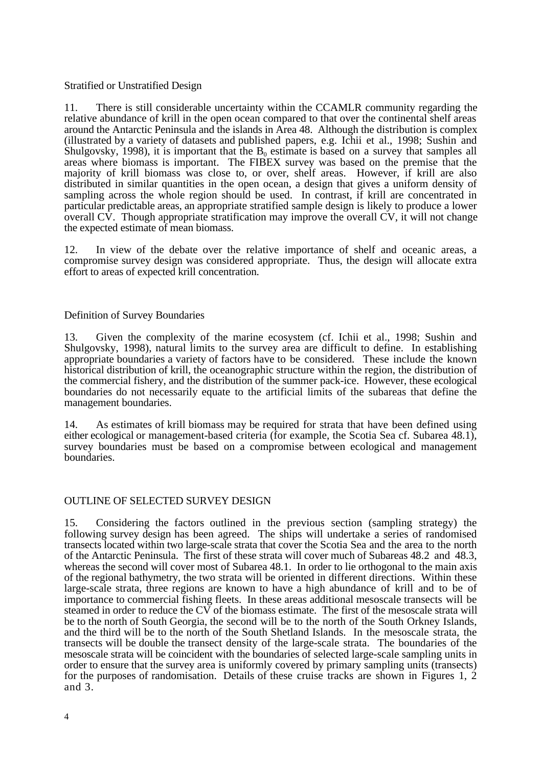## Stratified or Unstratified Design

11. There is still considerable uncertainty within the CCAMLR community regarding the relative abundance of krill in the open ocean compared to that over the continental shelf areas around the Antarctic Peninsula and the islands in Area 48. Although the distribution is complex (illustrated by a variety of datasets and published papers, e.g. Ichii et al., 1998; Sushin and Shulgovsky, 1998), it is important that the  $B_0$  estimate is based on a survey that samples all areas where biomass is important. The FIBEX survey was based on the premise that the majority of krill biomass was close to, or over, shelf areas. However, if krill are also distributed in similar quantities in the open ocean, a design that gives a uniform density of sampling across the whole region should be used. In contrast, if krill are concentrated in particular predictable areas, an appropriate stratified sample design is likely to produce a lower overall CV. Though appropriate stratification may improve the overall CV, it will not change the expected estimate of mean biomass.

12. In view of the debate over the relative importance of shelf and oceanic areas, a compromise survey design was considered appropriate. Thus, the design will allocate extra effort to areas of expected krill concentration.

#### Definition of Survey Boundaries

13. Given the complexity of the marine ecosystem (cf. Ichii et al., 1998; Sushin and Shulgovsky, 1998), natural limits to the survey area are difficult to define. In establishing appropriate boundaries a variety of factors have to be considered. These include the known historical distribution of krill, the oceanographic structure within the region, the distribution of the commercial fishery, and the distribution of the summer pack-ice. However, these ecological boundaries do not necessarily equate to the artificial limits of the subareas that define the management boundaries.

14. As estimates of krill biomass may be required for strata that have been defined using either ecological or management-based criteria (for example, the Scotia Sea cf. Subarea 48.1), survey boundaries must be based on a compromise between ecological and management boundaries.

### OUTLINE OF SELECTED SURVEY DESIGN

15. Considering the factors outlined in the previous section (sampling strategy) the following survey design has been agreed. The ships will undertake a series of randomised transects located within two large-scale strata that cover the Scotia Sea and the area to the north of the Antarctic Peninsula. The first of these strata will cover much of Subareas 48.2 and 48.3, whereas the second will cover most of Subarea 48.1. In order to lie orthogonal to the main axis of the regional bathymetry, the two strata will be oriented in different directions. Within these large-scale strata, three regions are known to have a high abundance of krill and to be of importance to commercial fishing fleets. In these areas additional mesoscale transects will be steamed in order to reduce the CV of the biomass estimate. The first of the mesoscale strata will be to the north of South Georgia, the second will be to the north of the South Orkney Islands, and the third will be to the north of the South Shetland Islands. In the mesoscale strata, the transects will be double the transect density of the large-scale strata. The boundaries of the mesoscale strata will be coincident with the boundaries of selected large-scale sampling units in order to ensure that the survey area is uniformly covered by primary sampling units (transects) for the purposes of randomisation. Details of these cruise tracks are shown in Figures 1, 2 and 3.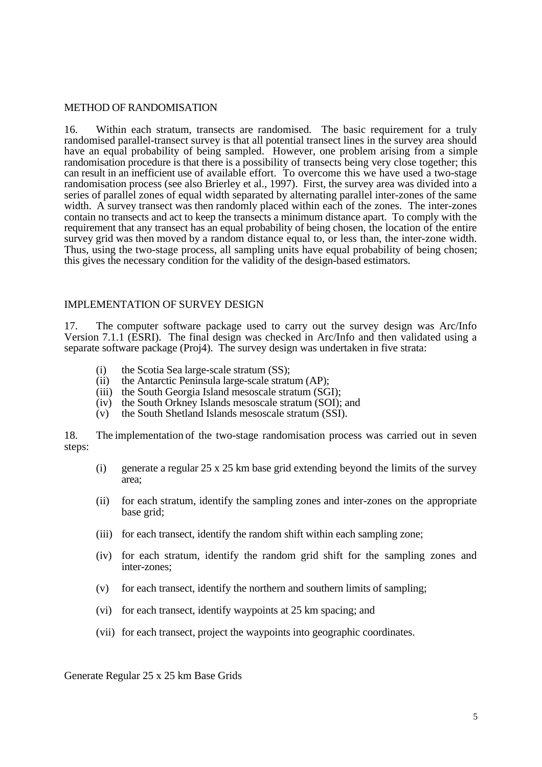#### METHOD OF RANDOMISATION

16. Within each stratum, transects are randomised. The basic requirement for a truly randomised parallel-transect survey is that all potential transect lines in the survey area should have an equal probability of being sampled. However, one problem arising from a simple randomisation procedure is that there is a possibility of transects being very close together; this can result in an inefficient use of available effort. To overcome this we have used a two-stage randomisation process (see also Brierley et al., 1997). First, the survey area was divided into a series of parallel zones of equal width separated by alternating parallel inter-zones of the same width. A survey transect was then randomly placed within each of the zones. The inter-zones contain no transects and act to keep the transects a minimum distance apart. To comply with the requirement that any transect has an equal probability of being chosen, the location of the entire survey grid was then moved by a random distance equal to, or less than, the inter-zone width. Thus, using the two-stage process, all sampling units have equal probability of being chosen; this gives the necessary condition for the validity of the design-based estimators.

#### IMPLEMENTATION OF SURVEY DESIGN

17. The computer software package used to carry out the survey design was Arc/Info Version 7.1.1 (ESRI). The final design was checked in Arc/Info and then validated using a separate software package (Proj4). The survey design was undertaken in five strata:

- (i) the Scotia Sea large-scale stratum (SS);
- (ii) the Antarctic Peninsula large-scale stratum (AP);
- (iii) the South Georgia Island mesoscale stratum (SGI);
- (iv) the South Orkney Islands mesoscale stratum (SOI); and
- (v) the South Shetland Islands mesoscale stratum (SSI).

18. The implementation of the two-stage randomisation process was carried out in seven steps:

- (i) generate a regular 25 x 25 km base grid extending beyond the limits of the survey area;
- (ii) for each stratum, identify the sampling zones and inter-zones on the appropriate base grid;
- (iii) for each transect, identify the random shift within each sampling zone;
- (iv) for each stratum, identify the random grid shift for the sampling zones and inter-zones;
- (v) for each transect, identify the northern and southern limits of sampling;
- (vi) for each transect, identify waypoints at 25 km spacing; and
- (vii) for each transect, project the waypoints into geographic coordinates.

Generate Regular 25 x 25 km Base Grids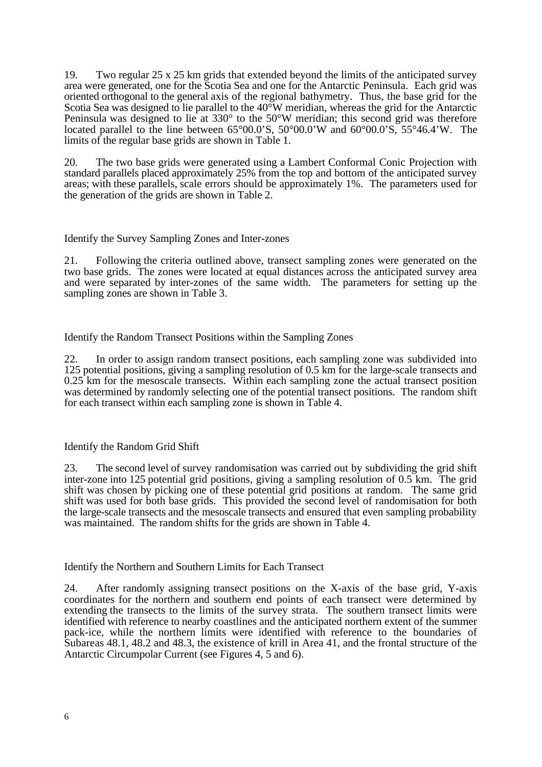19. Two regular 25 x 25 km grids that extended beyond the limits of the anticipated survey area were generated, one for the Scotia Sea and one for the Antarctic Peninsula. Each grid was oriented orthogonal to the general axis of the regional bathymetry. Thus, the base grid for the Scotia Sea was designed to lie parallel to the 40°W meridian, whereas the grid for the Antarctic Peninsula was designed to lie at 330° to the 50°W meridian; this second grid was therefore located parallel to the line between 65°00.0'S, 50°00.0'W and 60°00.0'S, 55°46.4'W. The limits of the regular base grids are shown in Table 1.

20. The two base grids were generated using a Lambert Conformal Conic Projection with standard parallels placed approximately 25% from the top and bottom of the anticipated survey areas; with these parallels, scale errors should be approximately 1%. The parameters used for the generation of the grids are shown in Table 2.

### Identify the Survey Sampling Zones and Inter-zones

21. Following the criteria outlined above, transect sampling zones were generated on the two base grids. The zones were located at equal distances across the anticipated survey area and were separated by inter-zones of the same width. The parameters for setting up the sampling zones are shown in Table 3.

Identify the Random Transect Positions within the Sampling Zones

22. In order to assign random transect positions, each sampling zone was subdivided into 125 potential positions, giving a sampling resolution of 0.5 km for the large-scale transects and 0.25 km for the mesoscale transects. Within each sampling zone the actual transect position was determined by randomly selecting one of the potential transect positions. The random shift for each transect within each sampling zone is shown in Table 4.

# Identify the Random Grid Shift

23. The second level of survey randomisation was carried out by subdividing the grid shift inter-zone into 125 potential grid positions, giving a sampling resolution of 0.5 km. The grid shift was chosen by picking one of these potential grid positions at random. The same grid shift was used for both base grids. This provided the second level of randomisation for both the large-scale transects and the mesoscale transects and ensured that even sampling probability was maintained. The random shifts for the grids are shown in Table 4.

Identify the Northern and Southern Limits for Each Transect

24. After randomly assigning transect positions on the X-axis of the base grid, Y-axis coordinates for the northern and southern end points of each transect were determined by extending the transects to the limits of the survey strata. The southern transect limits were identified with reference to nearby coastlines and the anticipated northern extent of the summer pack-ice, while the northern limits were identified with reference to the boundaries of Subareas 48.1, 48.2 and 48.3, the existence of krill in Area 41, and the frontal structure of the Antarctic Circumpolar Current (see Figures 4, 5 and 6).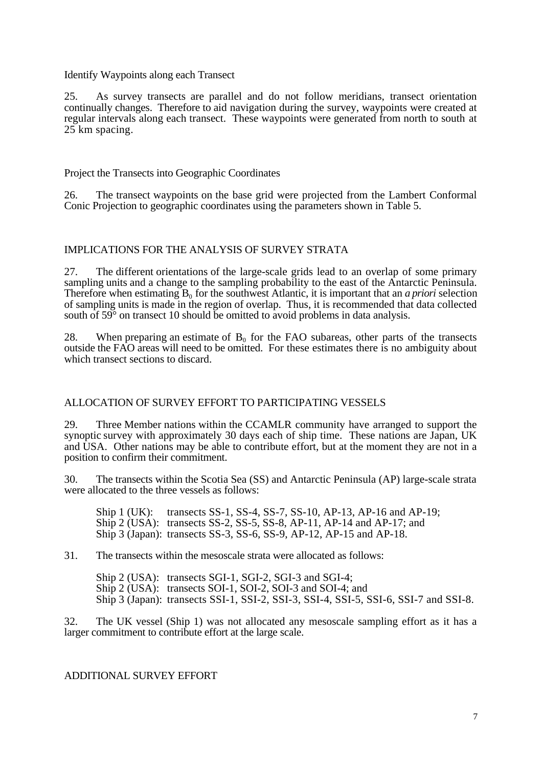#### Identify Waypoints along each Transect

25. As survey transects are parallel and do not follow meridians, transect orientation continually changes. Therefore to aid navigation during the survey, waypoints were created at regular intervals along each transect. These waypoints were generated from north to south at 25 km spacing.

Project the Transects into Geographic Coordinates

26. The transect waypoints on the base grid were projected from the Lambert Conformal Conic Projection to geographic coordinates using the parameters shown in Table 5.

### IMPLICATIONS FOR THE ANALYSIS OF SURVEY STRATA

27. The different orientations of the large-scale grids lead to an overlap of some primary sampling units and a change to the sampling probability to the east of the Antarctic Peninsula. Therefore when estimating  $B_0$  for the southwest Atlantic, it is important that an *a priori* selection of sampling units is made in the region of overlap. Thus, it is recommended that data collected south of  $59^{\circ}$  on transect 10 should be omitted to avoid problems in data analysis.

28. When preparing an estimate of  $B_0$  for the FAO subareas, other parts of the transects outside the FAO areas will need to be omitted. For these estimates there is no ambiguity about which transect sections to discard.

### ALLOCATION OF SURVEY EFFORT TO PARTICIPATING VESSELS

29. Three Member nations within the CCAMLR community have arranged to support the synoptic survey with approximately 30 days each of ship time. These nations are Japan, UK and USA. Other nations may be able to contribute effort, but at the moment they are not in a position to confirm their commitment.

30. The transects within the Scotia Sea (SS) and Antarctic Peninsula (AP) large-scale strata were allocated to the three vessels as follows:

Ship 1 (UK): transects SS-1, SS-4, SS-7, SS-10, AP-13, AP-16 and AP-19; Ship 2 (USA): transects SS-2, SS-5, SS-8, AP-11, AP-14 and AP-17; and Ship 3 (Japan): transects SS-3, SS-6, SS-9, AP-12, AP-15 and AP-18.

31. The transects within the mesoscale strata were allocated as follows:

Ship 2 (USA): transects SGI-1, SGI-2, SGI-3 and SGI-4; Ship 2 (USA): transects SOI-1, SOI-2, SOI-3 and SOI-4; and Ship 3 (Japan): transects SSI-1, SSI-2, SSI-3, SSI-4, SSI-5, SSI-6, SSI-7 and SSI-8.

32. The UK vessel (Ship 1) was not allocated any mesoscale sampling effort as it has a larger commitment to contribute effort at the large scale.

### ADDITIONAL SURVEY EFFORT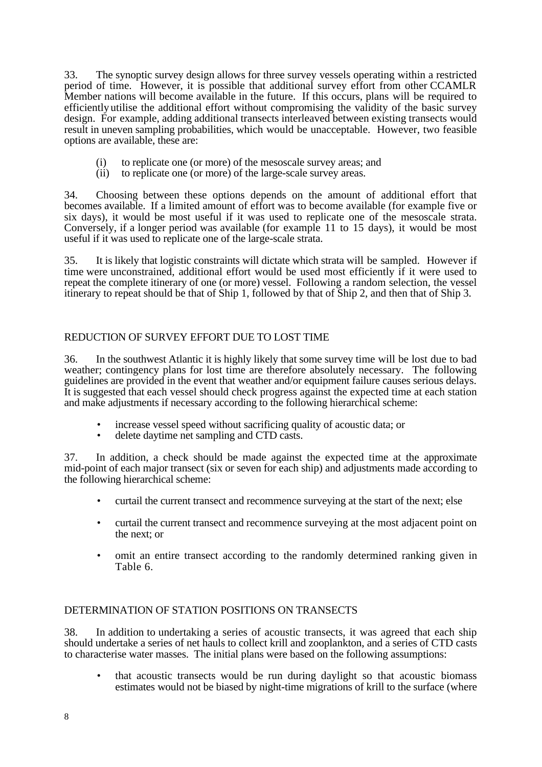33. The synoptic survey design allows for three survey vessels operating within a restricted period of time. However, it is possible that additional survey effort from other CCAMLR Member nations will become available in the future. If this occurs, plans will be required to efficiently utilise the additional effort without compromising the validity of the basic survey design. For example, adding additional transects interleaved between existing transects would result in uneven sampling probabilities, which would be unacceptable. However, two feasible options are available, these are:

- (i) to replicate one (or more) of the mesoscale survey areas; and
- (ii) to replicate one (or more) of the large-scale survey areas.

34. Choosing between these options depends on the amount of additional effort that becomes available. If a limited amount of effort was to become available (for example five or six days), it would be most useful if it was used to replicate one of the mesoscale strata. Conversely, if a longer period was available (for example 11 to 15 days), it would be most useful if it was used to replicate one of the large-scale strata.

35. It is likely that logistic constraints will dictate which strata will be sampled. However if time were unconstrained, additional effort would be used most efficiently if it were used to repeat the complete itinerary of one (or more) vessel. Following a random selection, the vessel itinerary to repeat should be that of Ship 1, followed by that of Ship 2, and then that of Ship 3.

# REDUCTION OF SURVEY EFFORT DUE TO LOST TIME

36. In the southwest Atlantic it is highly likely that some survey time will be lost due to bad weather; contingency plans for lost time are therefore absolutely necessary. The following guidelines are provided in the event that weather and/or equipment failure causes serious delays. It is suggested that each vessel should check progress against the expected time at each station and make adjustments if necessary according to the following hierarchical scheme:

- increase vessel speed without sacrificing quality of acoustic data; or delete daytime net sampling and CTD casts
- delete daytime net sampling and CTD casts.

37. In addition, a check should be made against the expected time at the approximate mid-point of each major transect (six or seven for each ship) and adjustments made according to the following hierarchical scheme:

- curtail the current transect and recommence surveying at the start of the next; else
- curtail the current transect and recommence surveying at the most adjacent point on the next; or
- omit an entire transect according to the randomly determined ranking given in Table 6.

### DETERMINATION OF STATION POSITIONS ON TRANSECTS

38. In addition to undertaking a series of acoustic transects, it was agreed that each ship should undertake a series of net hauls to collect krill and zooplankton, and a series of CTD casts to characterise water masses. The initial plans were based on the following assumptions:

that acoustic transects would be run during daylight so that acoustic biomass estimates would not be biased by night-time migrations of krill to the surface (where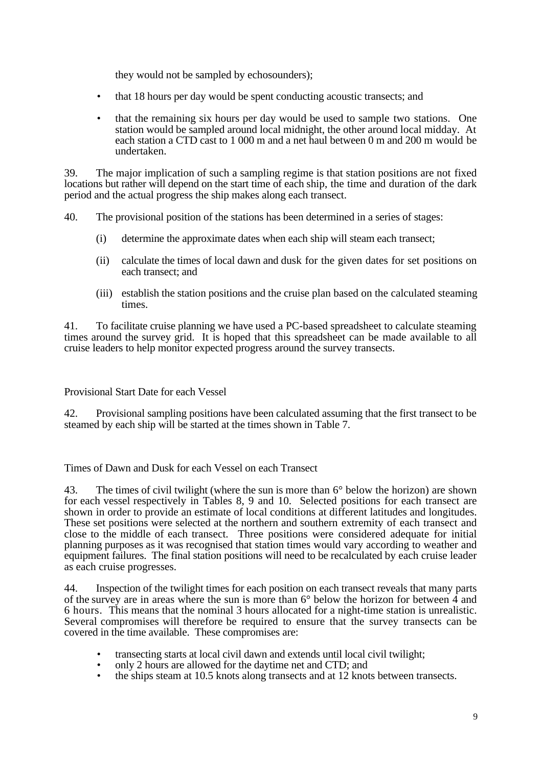they would not be sampled by echosounders);

- that 18 hours per day would be spent conducting acoustic transects; and
- that the remaining six hours per day would be used to sample two stations. One station would be sampled around local midnight, the other around local midday. At each station a CTD cast to 1 000 m and a net haul between 0 m and 200 m would be undertaken.

39. The major implication of such a sampling regime is that station positions are not fixed locations but rather will depend on the start time of each ship, the time and duration of the dark period and the actual progress the ship makes along each transect.

40. The provisional position of the stations has been determined in a series of stages:

- (i) determine the approximate dates when each ship will steam each transect;
- (ii) calculate the times of local dawn and dusk for the given dates for set positions on each transect; and
- (iii) establish the station positions and the cruise plan based on the calculated steaming times.

41. To facilitate cruise planning we have used a PC-based spreadsheet to calculate steaming times around the survey grid. It is hoped that this spreadsheet can be made available to all cruise leaders to help monitor expected progress around the survey transects.

Provisional Start Date for each Vessel

42. Provisional sampling positions have been calculated assuming that the first transect to be steamed by each ship will be started at the times shown in Table 7.

Times of Dawn and Dusk for each Vessel on each Transect

43. The times of civil twilight (where the sun is more than 6° below the horizon) are shown for each vessel respectively in Tables 8, 9 and 10. Selected positions for each transect are shown in order to provide an estimate of local conditions at different latitudes and longitudes. These set positions were selected at the northern and southern extremity of each transect and close to the middle of each transect. Three positions were considered adequate for initial planning purposes as it was recognised that station times would vary according to weather and equipment failures. The final station positions will need to be recalculated by each cruise leader as each cruise progresses.

44. Inspection of the twilight times for each position on each transect reveals that many parts of the survey are in areas where the sun is more than 6° below the horizon for between 4 and 6 hours. This means that the nominal 3 hours allocated for a night-time station is unrealistic. Several compromises will therefore be required to ensure that the survey transects can be covered in the time available. These compromises are:

- transecting starts at local civil dawn and extends until local civil twilight;
- only 2 hours are allowed for the daytime net and CTD; and<br>• the ships steam at 10.5 knots along transects and at 12 knot
- the ships steam at 10.5 knots along transects and at 12 knots between transects.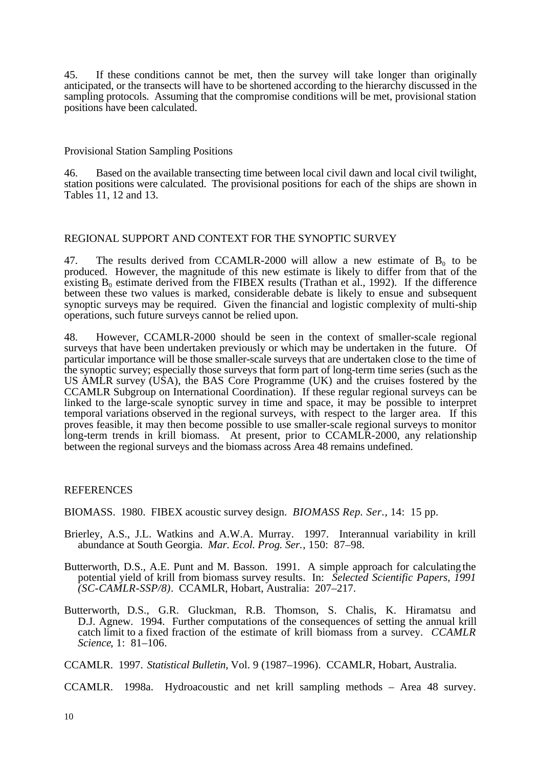45. If these conditions cannot be met, then the survey will take longer than originally anticipated, or the transects will have to be shortened according to the hierarchy discussed in the sampling protocols. Assuming that the compromise conditions will be met, provisional station positions have been calculated.

Provisional Station Sampling Positions

46. Based on the available transecting time between local civil dawn and local civil twilight, station positions were calculated. The provisional positions for each of the ships are shown in Tables 11, 12 and 13.

### REGIONAL SUPPORT AND CONTEXT FOR THE SYNOPTIC SURVEY

47. The results derived from CCAMLR-2000 will allow a new estimate of  $B_0$  to be produced. However, the magnitude of this new estimate is likely to differ from that of the existing  $B_0$  estimate derived from the FIBEX results (Trathan et al., 1992). If the difference between these two values is marked, considerable debate is likely to ensue and subsequent synoptic surveys may be required. Given the financial and logistic complexity of multi-ship operations, such future surveys cannot be relied upon.

48. However, CCAMLR-2000 should be seen in the context of smaller-scale regional surveys that have been undertaken previously or which may be undertaken in the future. Of particular importance will be those smaller-scale surveys that are undertaken close to the time of the synoptic survey; especially those surveys that form part of long-term time series (such as the US AMLR survey (USA), the BAS Core Programme (UK) and the cruises fostered by the CCAMLR Subgroup on International Coordination). If these regular regional surveys can be linked to the large-scale synoptic survey in time and space, it may be possible to interpret temporal variations observed in the regional surveys, with respect to the larger area. If this proves feasible, it may then become possible to use smaller-scale regional surveys to monitor long-term trends in krill biomass. At present, prior to CCAMLR-2000, any relationship between the regional surveys and the biomass across Area 48 remains undefined.

#### REFERENCES

BIOMASS. 1980. FIBEX acoustic survey design. *BIOMASS Rep. Ser.*, 14: 15 pp.

- Brierley, A.S., J.L. Watkins and A.W.A. Murray. 1997. Interannual variability in krill abundance at South Georgia. *Mar. Ecol. Prog. Ser.*, 150: 87–98.
- Butterworth, D.S., A.E. Punt and M. Basson. 1991. A simple approach for calculating the potential yield of krill from biomass survey results. In: *Selected Scientific Papers, 1991 (SC-CAMLR-SSP/8)*. CCAMLR, Hobart, Australia: 207–217.
- Butterworth, D.S., G.R. Gluckman, R.B. Thomson, S. Chalis, K. Hiramatsu and D.J. Agnew. 1994. Further computations of the consequences of setting the annual krill catch limit to a fixed fraction of the estimate of krill biomass from a survey. *CCAMLR Science*, 1: 81–106.

CCAMLR. 1997. *Statistical Bulletin,* Vol. 9 (1987–1996). CCAMLR, Hobart, Australia.

CCAMLR. 1998a. Hydroacoustic and net krill sampling methods – Area 48 survey.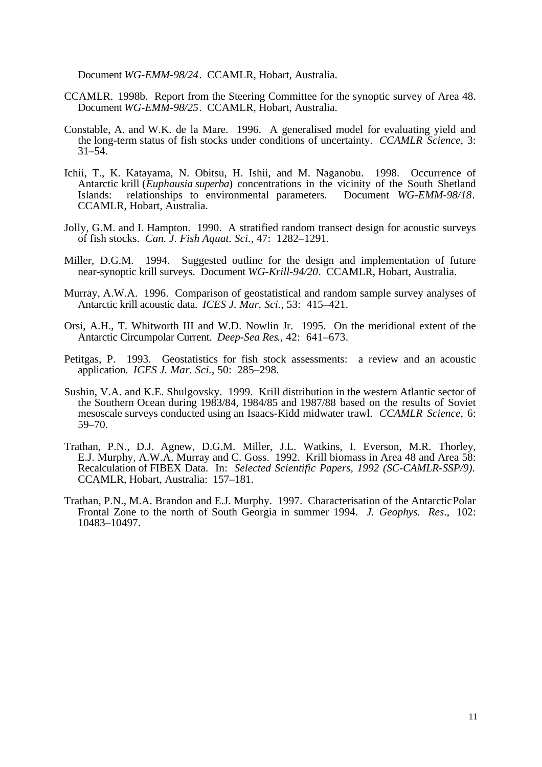Document *WG-EMM-98/24*. CCAMLR, Hobart, Australia.

- CCAMLR. 1998b. Report from the Steering Committee for the synoptic survey of Area 48. Document *WG-EMM-98/25*. CCAMLR, Hobart, Australia.
- Constable, A. and W.K. de la Mare. 1996. A generalised model for evaluating yield and the long-term status of fish stocks under conditions of uncertainty. *CCAMLR Science*, 3: 31–54.
- Ichii, T., K. Katayama, N. Obitsu, H. Ishii, and M. Naganobu. 1998. Occurrence of Antarctic krill (*Euphausia superba*) concentrations in the vicinity of the South Shetland Islands: relationships to environmental parameters. Document *WG-EMM-98/18*. relationships to environmental parameters. Document *WG-EMM-98/18*. CCAMLR, Hobart, Australia.
- Jolly, G.M. and I. Hampton. 1990. A stratified random transect design for acoustic surveys of fish stocks. *Can. J. Fish Aquat. Sci.*, 47: 1282–1291.
- Miller, D.G.M. 1994. Suggested outline for the design and implementation of future near-synoptic krill surveys. Document *WG-Krill-94/20*. CCAMLR, Hobart, Australia.
- Murray, A.W.A. 1996. Comparison of geostatistical and random sample survey analyses of Antarctic krill acoustic data. *ICES J. Mar. Sci.*, 53: 415–421.
- Orsi, A.H., T. Whitworth III and W.D. Nowlin Jr. 1995. On the meridional extent of the Antarctic Circumpolar Current. *Deep-Sea Res*., 42: 641–673.
- Petitgas, P. 1993. Geostatistics for fish stock assessments: a review and an acoustic application. *ICES J. Mar. Sci.*, 50: 285–298.
- Sushin, V.A. and K.E. Shulgovsky. 1999. Krill distribution in the western Atlantic sector of the Southern Ocean during 1983/84, 1984/85 and 1987/88 based on the results of Soviet mesoscale surveys conducted using an Isaacs-Kidd midwater trawl. *CCAMLR Science*, 6: 59–70.
- Trathan, P.N., D.J. Agnew, D.G.M. Miller, J.L. Watkins, I. Everson, M.R. Thorley, E.J. Murphy, A.W.A. Murray and C. Goss. 1992. Krill biomass in Area 48 and Area 58: Recalculation of FIBEX Data. In: *Selected Scientific Papers, 1992 (SC-CAMLR-SSP/9)*. CCAMLR, Hobart, Australia: 157–181.
- Trathan, P.N., M.A. Brandon and E.J. Murphy. 1997. Characterisation of the Antarctic Polar Frontal Zone to the north of South Georgia in summer 1994. *J. Geophys. Res*., 102: 10483–10497.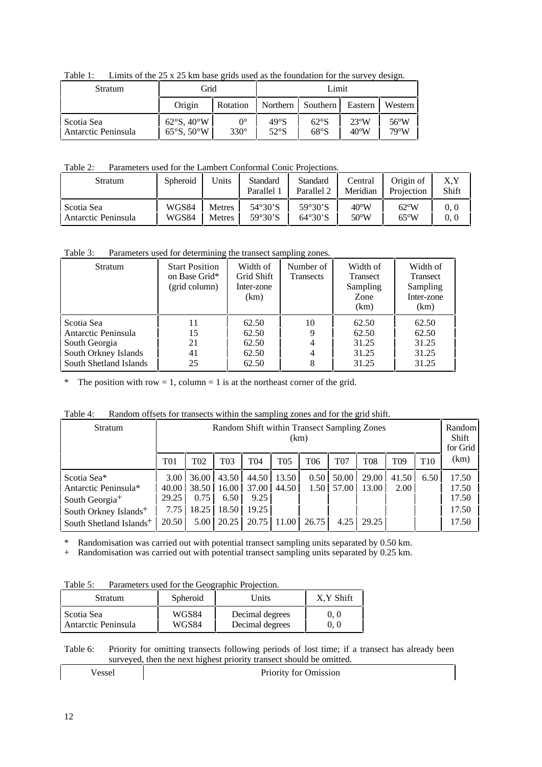|  | Table 1: Limits of the $25 \times 25$ km base grids used as the foundation for the survey design. |  |  |  |
|--|---------------------------------------------------------------------------------------------------|--|--|--|
|--|---------------------------------------------------------------------------------------------------|--|--|--|

| Stratum                           | Grid                                                             |                            |              | Limit        |                                 |                        |
|-----------------------------------|------------------------------------------------------------------|----------------------------|--------------|--------------|---------------------------------|------------------------|
|                                   | Origin                                                           | Rotation                   | Northern     | Southern     | Eastern                         | Western                |
| Scotia Sea<br>Antarctic Peninsula | $62^{\circ}$ S, $40^{\circ}$ W<br>$65^{\circ}$ S, $50^{\circ}$ W | $0^{\circ}$<br>$330^\circ$ | 49°S<br>52°S | 62°S<br>68°S | $23^{\circ}W$<br>$40^{\circ}$ W | $56^{\circ}$ W<br>79°W |

Table 2: Parameters used for the Lambert Conformal Conic Projections.

| <b>Stratum</b>      | Spheroid | Units         | Standard<br>Parallel 1 | <b>Standard</b><br>Parallel 2 | Central<br>Meridian | Origin of<br>Projection | X,Y<br>Shift |
|---------------------|----------|---------------|------------------------|-------------------------------|---------------------|-------------------------|--------------|
| l Scotia Sea        | WGS84    | <b>Metres</b> | $54^\circ 30^\circ S$  | $59°30'$ S                    | $40^{\circ}$ W      | $62^{\circ}$ W          | 0.0          |
| Antarctic Peninsula | WGS84    | <b>Metres</b> | 59°30'S                | $64^{\circ}30^{\circ}S$       | $50^{\circ}$ W      | $65^{\circ}$ W          | 0.0          |

Table 3: Parameters used for determining the transect sampling zones.

| <b>Stratum</b>         | <b>Start Position</b><br>on Base Grid*<br>(grid column) | Width of<br>Grid Shift<br>Inter-zone<br>(km) | Number of<br><b>Transects</b> | Width of<br><b>Transect</b><br>Sampling<br>Zone<br>(km) | Width of<br>Transect<br>Sampling<br>Inter-zone<br>(km) |
|------------------------|---------------------------------------------------------|----------------------------------------------|-------------------------------|---------------------------------------------------------|--------------------------------------------------------|
| Scotia Sea             | 11                                                      | 62.50                                        | 10                            | 62.50                                                   | 62.50                                                  |
| Antarctic Peninsula    | 15                                                      | 62.50                                        |                               | 62.50                                                   | 62.50                                                  |
| South Georgia          | 21                                                      | 62.50                                        |                               | 31.25                                                   | 31.25                                                  |
| South Orkney Islands   | 41                                                      | 62.50                                        |                               | 31.25                                                   | 31.25                                                  |
| South Shetland Islands | 25                                                      | 62.50                                        |                               | 31.25                                                   | 31.25                                                  |

\* The position with row = 1, column = 1 is at the northeast corner of the grid.

| Table 4: | Random offsets for transects within the sampling zones and for the grid shift. |
|----------|--------------------------------------------------------------------------------|
|          |                                                                                |

| Stratum                             |                 | Random Shift within Transect Sampling Zones<br>(km) |                        |                 |                |                 |                |                 |                 | Random<br>Shift<br>for Grid |                |
|-------------------------------------|-----------------|-----------------------------------------------------|------------------------|-----------------|----------------|-----------------|----------------|-----------------|-----------------|-----------------------------|----------------|
|                                     | T <sub>01</sub> | T <sub>02</sub>                                     | <b>T03</b>             | T <sub>04</sub> | T05            | T <sub>06</sub> | <b>T07</b>     | T <sub>08</sub> | T <sub>09</sub> | T <sub>10</sub>             | (km)           |
| Scotia Sea*<br>Antarctic Peninsula* | 3.00<br>40.00   | 36.00                                               | 43.50<br>38.50   16.00 | 44.50<br>37.00  | 13.50<br>44.50 | 0.50<br>1.50 L  | 50.00<br>57.00 | 29.00<br>13.00  | 41.50<br>2.00   | 6.50                        | 17.50<br>17.50 |
| South Georgia <sup>+</sup>          | 29.25           | 0.75                                                | 6.50                   | 9.25            |                |                 |                |                 |                 |                             | 17.50          |
| South Orkney Islands <sup>+</sup>   | 7.75            | 18.25                                               | 18.50                  | 19.25           |                |                 |                |                 |                 |                             | 17.50          |
| South Shetland Islands <sup>+</sup> | 20.50           | $5.00\text{ }$                                      | 20.25                  | 20.75           | 11.00          | 26.75           | 4.25           | 29.25           |                 |                             | 17.50          |

\* Randomisation was carried out with potential transect sampling units separated by 0.50 km.

+ Randomisation was carried out with potential transect sampling units separated by 0.25 km.

| Table 5: | Parameters used for the Geographic Projection. |
|----------|------------------------------------------------|
|          |                                                |

| Stratum             | Spheroid | Units           | X.Y Shift |  |
|---------------------|----------|-----------------|-----------|--|
| l Scotia Sea        | WGS84    | Decimal degrees | 0. 0      |  |
| Antarctic Peninsula | WGS84    | Decimal degrees | 0. 0      |  |

Table 6: Priority for omitting transects following periods of lost time; if a transect has already been surveyed, then the next highest priority transect should be omitted.

| <b>Priority for Omission</b> |
|------------------------------|
|                              |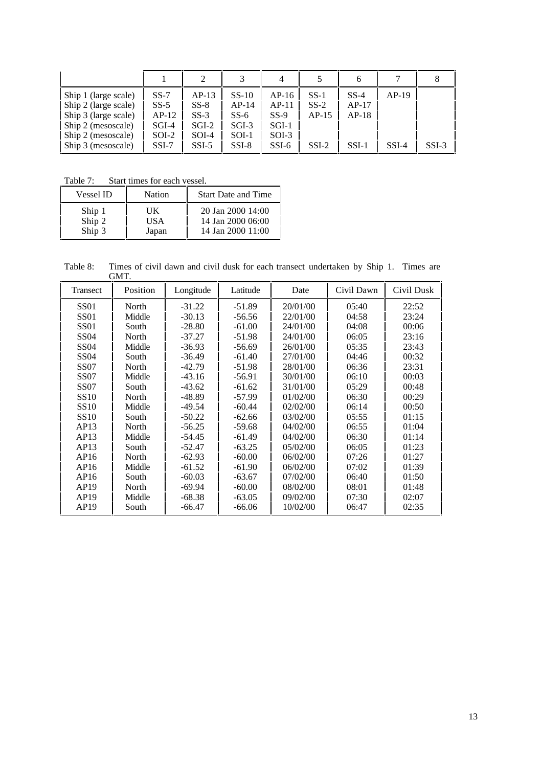|                                                                                                                                        |                                                            |                                                              |                                                             | 4                                                           |                                        | b                                       |                    |         |
|----------------------------------------------------------------------------------------------------------------------------------------|------------------------------------------------------------|--------------------------------------------------------------|-------------------------------------------------------------|-------------------------------------------------------------|----------------------------------------|-----------------------------------------|--------------------|---------|
| Ship 1 (large scale)<br>Ship 2 (large scale)<br>Ship 3 (large scale)<br>Ship 2 (mesoscale)<br>Ship 2 (mesoscale)<br>Ship 3 (mesoscale) | $SS-7$<br>$SS-5$<br>$AP-12$<br>$SGI-4$<br>SOI-2<br>$SSI-7$ | $AP-13$<br>$SS-8$<br>$SS-3$<br>$SGI-2$<br>$SOI-4$<br>$SSI-5$ | $SS-10$<br>AP-14<br>$SS-6$<br>$SGI-3$<br>$SOI-1$<br>$SSI-8$ | $AP-16$<br>$AP-11$<br>$SS-9$<br>$SGI-1$<br>SOI-3<br>$SSI-6$ | $SS-1$<br>$SS-2$<br>$AP-15$<br>$SSI-2$ | $SS-4$<br>$AP-17$<br>$AP-18$<br>$SSI-1$ | $AP-19$<br>$SSI-4$ | $SSI-3$ |

Table 7: Start times for each vessel.

| <b>Vessel ID</b> | Nation | <b>Start Date and Time</b> |
|------------------|--------|----------------------------|
| Ship 1           | UK     | 20 Jan 2000 14:00          |
| Ship 2           | USA    | 14 Jan 2000 06:00          |
| Ship 3           | Japan  | 14 Jan 2000 11:00          |

Table 8: Times of civil dawn and civil dusk for each transect undertaken by Ship 1. Times are GMT.

| Transect         | Position | Longitude | Latitude | Date     | Civil Dawn | Civil Dusk |
|------------------|----------|-----------|----------|----------|------------|------------|
| <b>SS01</b>      | North    | $-31.22$  | $-51.89$ | 20/01/00 | 05:40      | 22:52      |
| <b>SS01</b>      | Middle   | $-30.13$  | $-56.56$ | 22/01/00 | 04:58      | 23:24      |
| <b>SS01</b>      | South    | $-28.80$  | $-61.00$ | 24/01/00 | 04:08      | 00:06      |
| SS <sub>04</sub> | North    | $-37.27$  | $-51.98$ | 24/01/00 | 06:05      | 23:16      |
| SS <sub>04</sub> | Middle   | $-36.93$  | $-56.69$ | 26/01/00 | 05:35      | 23:43      |
| SS <sub>04</sub> | South    | $-36.49$  | $-61.40$ | 27/01/00 | 04:46      | 00:32      |
| <b>SS07</b>      | North    | $-42.79$  | $-51.98$ | 28/01/00 | 06:36      | 23:31      |
| <b>SS07</b>      | Middle   | $-43.16$  | $-56.91$ | 30/01/00 | 06:10      | 00:03      |
| <b>SS07</b>      | South    | $-43.62$  | $-61.62$ | 31/01/00 | 05:29      | 00:48      |
| <b>SS10</b>      | North    | $-48.89$  | $-57.99$ | 01/02/00 | 06:30      | 00:29      |
| <b>SS10</b>      | Middle   | $-49.54$  | $-60.44$ | 02/02/00 | 06:14      | 00:50      |
| <b>SS10</b>      | South    | $-50.22$  | $-62.66$ | 03/02/00 | 05:55      | 01:15      |
| AP13             | North    | $-56.25$  | $-59.68$ | 04/02/00 | 06:55      | 01:04      |
| AP13             | Middle   | $-54.45$  | $-61.49$ | 04/02/00 | 06:30      | 01:14      |
| AP13             | South    | $-52.47$  | $-63.25$ | 05/02/00 | 06:05      | 01:23      |
| AP16             | North    | $-62.93$  | $-60.00$ | 06/02/00 | 07:26      | 01:27      |
| AP16             | Middle   | $-61.52$  | $-61.90$ | 06/02/00 | 07:02      | 01:39      |
| AP16             | South    | $-60.03$  | $-63.67$ | 07/02/00 | 06:40      | 01:50      |
| AP19             | North    | $-69.94$  | $-60.00$ | 08/02/00 | 08:01      | 01:48      |
| AP19             | Middle   | $-68.38$  | $-63.05$ | 09/02/00 | 07:30      | 02:07      |
| AP19             | South    | $-66.47$  | $-66.06$ | 10/02/00 | 06:47      | 02:35      |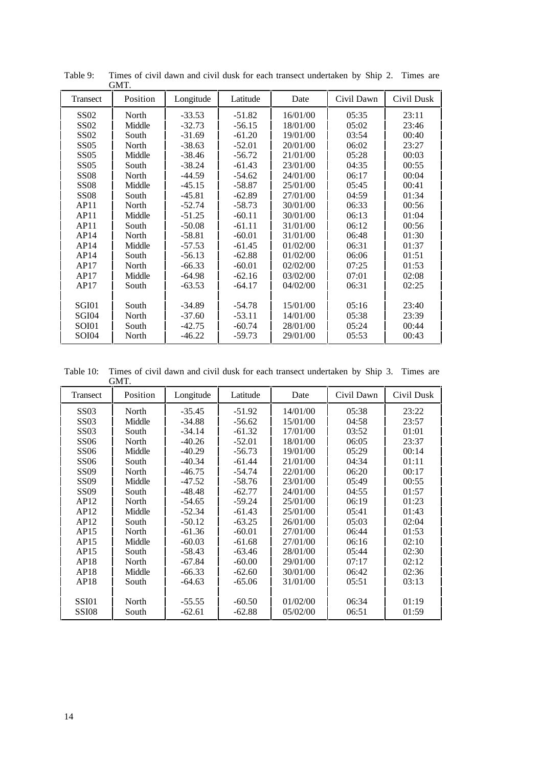|              | UIVLL.   |           |          |          |            |            |
|--------------|----------|-----------|----------|----------|------------|------------|
| Transect     | Position | Longitude | Latitude | Date     | Civil Dawn | Civil Dusk |
| <b>SS02</b>  | North    | $-33.53$  | $-51.82$ | 16/01/00 | 05:35      | 23:11      |
| <b>SS02</b>  | Middle   | $-32.73$  | $-56.15$ | 18/01/00 | 05:02      | 23:46      |
| <b>SS02</b>  | South    | $-31.69$  | $-61.20$ | 19/01/00 | 03:54      | 00:40      |
| <b>SS05</b>  | North    | $-38.63$  | $-52.01$ | 20/01/00 | 06:02      | 23:27      |
| <b>SS05</b>  | Middle   | $-38.46$  | $-56.72$ | 21/01/00 | 05:28      | 00:03      |
| <b>SS05</b>  | South    | $-38.24$  | $-61.43$ | 23/01/00 | 04:35      | 00:55      |
| <b>SS08</b>  | North    | $-44.59$  | $-54.62$ | 24/01/00 | 06:17      | 00:04      |
| <b>SS08</b>  | Middle   | $-45.15$  | $-58.87$ | 25/01/00 | 05:45      | 00:41      |
| <b>SS08</b>  | South    | $-45.81$  | $-62.89$ | 27/01/00 | 04:59      | 01:34      |
| AP11         | North    | $-52.74$  | $-58.73$ | 30/01/00 | 06:33      | 00:56      |
| AP11         | Middle   | $-51.25$  | $-60.11$ | 30/01/00 | 06:13      | 01:04      |
| AP11         | South    | $-50.08$  | $-61.11$ | 31/01/00 | 06:12      | 00:56      |
| AP14         | North    | $-58.81$  | $-60.01$ | 31/01/00 | 06:48      | 01:30      |
| AP14         | Middle   | $-57.53$  | $-61.45$ | 01/02/00 | 06:31      | 01:37      |
| AP14         | South    | $-56.13$  | $-62.88$ | 01/02/00 | 06:06      | 01:51      |
| AP17         | North    | $-66.33$  | $-60.01$ | 02/02/00 | 07:25      | 01:53      |
| AP17         | Middle   | $-64.98$  | $-62.16$ | 03/02/00 | 07:01      | 02:08      |
| AP17         | South    | $-63.53$  | $-64.17$ | 04/02/00 | 06:31      | 02:25      |
|              |          |           |          |          |            |            |
| SGI01        | South    | $-34.89$  | $-54.78$ | 15/01/00 | 05:16      | 23:40      |
| SGI04        | North    | $-37.60$  | $-53.11$ | 14/01/00 | 05:38      | 23:39      |
| SOI01        | South    | $-42.75$  | $-60.74$ | 28/01/00 | 05:24      | 00:44      |
| <b>SOI04</b> | North    | $-46.22$  | $-59.73$ | 29/01/00 | 05:53      | 00:43      |

Table 9: Times of civil dawn and civil dusk for each transect undertaken by Ship 2. Times are GMT.

Table 10: Times of civil dawn and civil dusk for each transect undertaken by Ship 3. Times are GMT.

| Transect     | Position | Longitude | Latitude | Date     | Civil Dawn | Civil Dusk |
|--------------|----------|-----------|----------|----------|------------|------------|
| <b>SS03</b>  | North    | $-35.45$  | $-51.92$ | 14/01/00 | 05:38      | 23:22      |
| <b>SS03</b>  | Middle   | $-34.88$  | $-56.62$ | 15/01/00 | 04:58      | 23:57      |
| <b>SS03</b>  | South    | $-34.14$  | $-61.32$ | 17/01/00 | 03:52      | 01:01      |
| <b>SS06</b>  | North    | $-40.26$  | $-52.01$ | 18/01/00 | 06:05      | 23:37      |
| <b>SS06</b>  | Middle   | $-40.29$  | $-56.73$ | 19/01/00 | 05:29      | 00:14      |
| <b>SS06</b>  | South    | $-40.34$  | $-61.44$ | 21/01/00 | 04:34      | 01:11      |
| <b>SS09</b>  | North    | $-46.75$  | $-54.74$ | 22/01/00 | 06:20      | 00:17      |
| <b>SS09</b>  | Middle   | $-47.52$  | $-58.76$ | 23/01/00 | 05:49      | 00:55      |
| <b>SS09</b>  | South    | $-48.48$  | $-62.77$ | 24/01/00 | 04:55      | 01:57      |
| AP12         | North    | $-54.65$  | $-59.24$ | 25/01/00 | 06:19      | 01:23      |
| AP12         | Middle   | $-52.34$  | $-61.43$ | 25/01/00 | 0.5:41     | 01:43      |
| AP12         | South    | $-50.12$  | $-63.25$ | 26/01/00 | 05:03      | 02:04      |
| AP15         | North    | $-61.36$  | $-60.01$ | 27/01/00 | 06:44      | 01:53      |
| AP15         | Middle   | $-60.03$  | $-61.68$ | 27/01/00 | 06:16      | 02:10      |
| AP15         | South    | $-58.43$  | $-63.46$ | 28/01/00 | 05:44      | 02:30      |
| AP18         | North    | $-67.84$  | $-60.00$ | 29/01/00 | 07:17      | 02:12      |
| AP18         | Middle   | $-66.33$  | $-62.60$ | 30/01/00 | 06:42      | 02:36      |
| AP18         | South    | -64.63    | $-65.06$ | 31/01/00 | 05:51      | 03:13      |
|              |          |           |          |          |            |            |
| <b>SSI01</b> | North    | $-55.55$  | $-60.50$ | 01/02/00 | 06:34      | 01:19      |
| SSI08        | South    | $-62.61$  | $-62.88$ | 05/02/00 | 06:51      | 01:59      |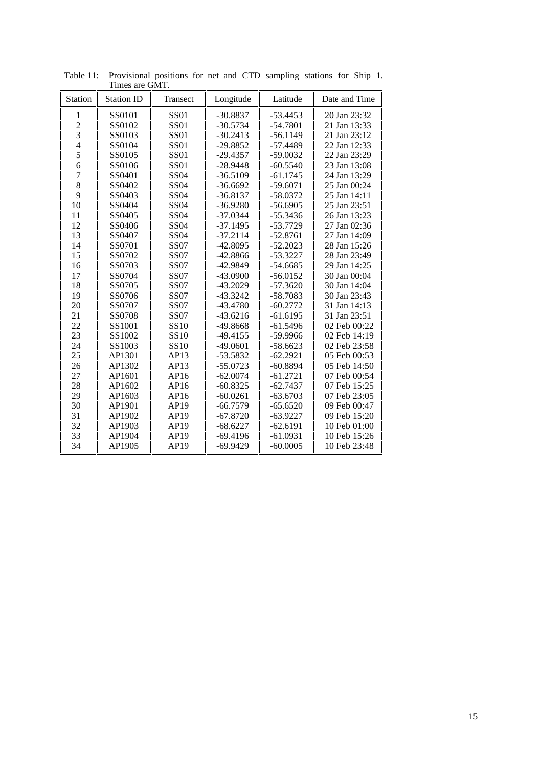| <b>Station</b> | THING ALV OINT.<br><b>Station ID</b> | Transect    | Longitude  | Latitude   | Date and Time |
|----------------|--------------------------------------|-------------|------------|------------|---------------|
| 1              | SS0101                               | <b>SS01</b> | $-30.8837$ | $-53.4453$ | 20 Jan 23:32  |
| $\overline{c}$ | SS0102                               | <b>SS01</b> | $-30.5734$ | $-54.7801$ | 21 Jan 13:33  |
| 3              | SS0103                               | <b>SS01</b> | $-30.2413$ | $-56.1149$ | 21 Jan 23:12  |
| $\overline{4}$ | SS0104                               | <b>SS01</b> | $-29.8852$ | $-57.4489$ | 22 Jan 12:33  |
| 5              | SS0105                               | <b>SS01</b> | $-29.4357$ | $-59.0032$ | 22 Jan 23:29  |
| 6              | SS0106                               | <b>SS01</b> | $-28.9448$ | $-60.5540$ | 23 Jan 13:08  |
| $\overline{7}$ | SS0401                               | <b>SS04</b> | $-36.5109$ | $-61.1745$ | 24 Jan 13:29  |
| 8              | SS0402                               | <b>SS04</b> | $-36.6692$ | $-59.6071$ | 25 Jan 00:24  |
| 9              | SS0403                               | <b>SS04</b> | $-36.8137$ | $-58.0372$ | 25 Jan 14:11  |
| 10             | SS0404                               | <b>SS04</b> | $-36.9280$ | $-56.6905$ | 25 Jan 23:51  |
| 11             | SS0405                               | <b>SS04</b> | $-37.0344$ | $-55.3436$ | 26 Jan 13:23  |
| 12             | SS0406                               | <b>SS04</b> | $-37.1495$ | $-53.7729$ | 27 Jan 02:36  |
| 13             | SS0407                               | <b>SS04</b> | $-37.2114$ | $-52.8761$ | 27 Jan 14:09  |
| 14             | SS0701                               | <b>SS07</b> | $-42.8095$ | $-52.2023$ | 28 Jan 15:26  |
| 15             | SS0702                               | <b>SS07</b> | $-42.8866$ | $-53.3227$ | 28 Jan 23:49  |
| 16             | SS0703                               | <b>SS07</b> | $-42.9849$ | $-54.6685$ | 29 Jan 14:25  |
| 17             | SS0704                               | <b>SS07</b> | $-43.0900$ | $-56.0152$ | 30 Jan 00:04  |
| 18             | SS0705                               | <b>SS07</b> | $-43.2029$ | $-57.3620$ | 30 Jan 14:04  |
| 19             | SS0706                               | <b>SS07</b> | $-43.3242$ | $-58.7083$ | 30 Jan 23:43  |
| 20             | SS0707                               | <b>SS07</b> | $-43.4780$ | $-60.2772$ | 31 Jan 14:13  |
| 21             | SS0708                               | <b>SS07</b> | $-43.6216$ | $-61.6195$ | 31 Jan 23:51  |
| 22             | SS1001                               | SS10        | $-49.8668$ | $-61.5496$ | 02 Feb 00:22  |
| 23             | SS1002                               | SS10        | $-49.4155$ | -59.9966   | 02 Feb 14:19  |
| 24             | SS1003                               | <b>SS10</b> | $-49.0601$ | $-58.6623$ | 02 Feb 23:58  |
| 25             | AP1301                               | AP13        | $-53.5832$ | $-62.2921$ | 05 Feb 00:53  |
| 26             | AP1302                               | AP13        | $-55.0723$ | $-60.8894$ | 05 Feb 14:50  |
| 27             | AP1601                               | AP16        | $-62.0074$ | $-61.2721$ | 07 Feb 00:54  |
| 28             | AP1602                               | AP16        | $-60.8325$ | $-62.7437$ | 07 Feb 15:25  |
| 29             | AP1603                               | AP16        | $-60.0261$ | $-63.6703$ | 07 Feb 23:05  |
| 30             | AP1901                               | AP19        | $-66.7579$ | $-65.6520$ | 09 Feb 00:47  |
| 31             | AP1902                               | AP19        | $-67.8720$ | $-63.9227$ | 09 Feb 15:20  |
| 32             | AP1903                               | AP19        | $-68.6227$ | $-62.6191$ | 10 Feb 01:00  |
| 33             | AP1904                               | AP19        | $-69.4196$ | $-61.0931$ | 10 Feb 15:26  |
| 34             | AP1905                               | AP19        | $-69.9429$ | $-60.0005$ | 10 Feb 23:48  |

Table 11: Provisional positions for net and CTD sampling stations for Ship 1. Times are GMT.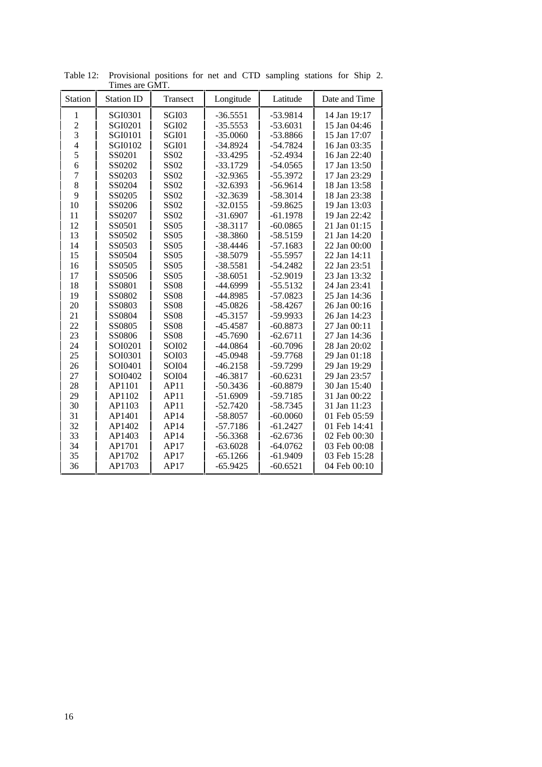| Station        | <b>Station ID</b> | Transect     | Longitude  | Latitude   | Date and Time |
|----------------|-------------------|--------------|------------|------------|---------------|
|                |                   |              |            |            |               |
| 1              | SGI0301           | SGI03        | $-36.5551$ | $-53.9814$ | 14 Jan 19:17  |
| $\overline{c}$ | SGI0201           | <b>SGI02</b> | $-35.5553$ | $-53.6031$ | 15 Jan 04:46  |
| $\overline{3}$ | SGI0101           | SGI01        | $-35.0060$ | -53.8866   | 15 Jan 17:07  |
| $\overline{4}$ | SGI0102           | SGI01        | $-34.8924$ | $-54.7824$ | 16 Jan 03:35  |
| 5              | SS0201            | SS02         | $-33.4295$ | $-52.4934$ | 16 Jan 22:40  |
| 6              | SS0202            | SS02         | $-33.1729$ | $-54.0565$ | 17 Jan 13:50  |
| $\overline{7}$ | SS0203            | SS02         | $-32.9365$ | $-55.3972$ | 17 Jan 23:29  |
| 8              | SS0204            | SS02         | $-32.6393$ | $-56.9614$ | 18 Jan 13:58  |
| 9              | SS0205            | <b>SS02</b>  | $-32.3639$ | $-58.3014$ | 18 Jan 23:38  |
| 10             | SS0206            | <b>SS02</b>  | $-32.0155$ | $-59.8625$ | 19 Jan 13:03  |
| 11             | SS0207            | SS02         | $-31.6907$ | $-61.1978$ | 19 Jan 22:42  |
| 12             | SS0501            | <b>SS05</b>  | $-38.3117$ | $-60.0865$ | 21 Jan 01:15  |
| 13             | SS0502            | <b>SS05</b>  | $-38.3860$ | $-58.5159$ | 21 Jan 14:20  |
| 14             | SS0503            | <b>SS05</b>  | $-38.4446$ | $-57.1683$ | 22 Jan 00:00  |
| 15             | SS0504            | <b>SS05</b>  | $-38.5079$ | $-55.5957$ | 22 Jan 14:11  |
| 16             | SS0505            | <b>SS05</b>  | $-38.5581$ | $-54.2482$ | 22 Jan 23:51  |
| 17             | SS0506            | <b>SS05</b>  | $-38.6051$ | $-52.9019$ | 23 Jan 13:32  |
| 18             | SS0801            | <b>SS08</b>  | $-44.6999$ | $-55.5132$ | 24 Jan 23:41  |
| 19             | SS0802            | <b>SS08</b>  | -44.8985   | $-57.0823$ | 25 Jan 14:36  |
| 20             | SS0803            | <b>SS08</b>  | $-45.0826$ | $-58.4267$ | 26 Jan 00:16  |
| 21             | SS0804            | <b>SS08</b>  | $-45.3157$ | -59.9933   | 26 Jan 14:23  |
| 22             | SS0805            | <b>SS08</b>  | $-45.4587$ | $-60.8873$ | 27 Jan 00:11  |
| 23             | SS0806            | <b>SS08</b>  | $-45.7690$ | $-62.6711$ | 27 Jan 14:36  |
| 24             | SOI0201           | <b>SOI02</b> | $-44.0864$ | $-60.7096$ | 28 Jan 20:02  |
| 25             | SOI0301           | <b>SOI03</b> | $-45.0948$ | $-59.7768$ | 29 Jan 01:18  |
| 26             | SOI0401           | <b>SOI04</b> | $-46.2158$ | -59.7299   | 29 Jan 19:29  |
| 27             | SOI0402           | <b>SOI04</b> | $-46.3817$ | $-60.6231$ | 29 Jan 23:57  |
| 28             | AP1101            | AP11         | $-50.3436$ | $-60.8879$ | 30 Jan 15:40  |
| 29             | AP1102            | AP11         | $-51.6909$ | $-59.7185$ | 31 Jan 00:22  |
| 30             | AP1103            | AP11         | $-52.7420$ | $-58.7345$ | 31 Jan 11:23  |
| 31             | AP1401            | AP14         | $-58.8057$ | $-60.0060$ | 01 Feb 05:59  |
| 32             | AP1402            | AP14         | $-57.7186$ | $-61.2427$ | 01 Feb 14:41  |
| 33             | AP1403            | AP14         | $-56.3368$ | $-62.6736$ | 02 Feb 00:30  |
| 34             | AP1701            | AP17         | $-63.6028$ | $-64.0762$ | 03 Feb 00:08  |
| 35             | AP1702            | AP17         | $-65.1266$ | $-61.9409$ | 03 Feb 15:28  |
| 36             | AP1703            | AP17         | $-65.9425$ | $-60.6521$ | 04 Feb 00:10  |

Table 12: Provisional positions for net and CTD sampling stations for Ship 2. Times are GMT.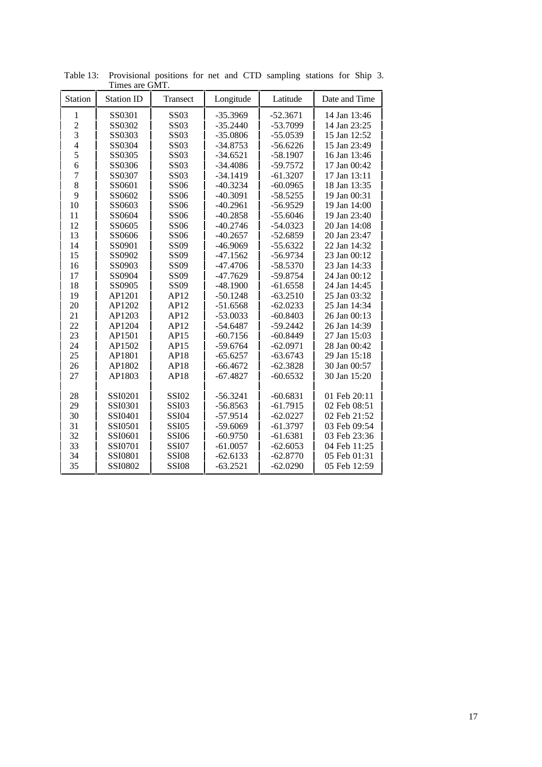| Station        | <b>Station ID</b>  | Transect                     | Longitude                | Latitude                 | Date and Time                |
|----------------|--------------------|------------------------------|--------------------------|--------------------------|------------------------------|
| 1              | SS0301             | <b>SS03</b>                  | $-35.3969$               | $-52.3671$               | 14 Jan 13:46                 |
|                | SS0302             | <b>SS03</b>                  | $-35.2440$               | $-53.7099$               | 14 Jan 23:25                 |
| $\frac{2}{3}$  | SS0303             | <b>SS03</b>                  | $-35.0806$               | $-55.0539$               | 15 Jan 12:52                 |
| $\overline{4}$ | SS0304             | <b>SS03</b>                  | $-34.8753$               | $-56.6226$               | 15 Jan 23:49                 |
| 5              | SS0305             | <b>SS03</b>                  | $-34.6521$               | $-58.1907$               | 16 Jan 13:46                 |
| 6              | SS0306             | <b>SS03</b>                  | $-34.4086$               | $-59.7572$               | 17 Jan 00:42                 |
| $\overline{7}$ | SS0307             | <b>SS03</b>                  | $-34.1419$               | $-61.3207$               | 17 Jan 13:11                 |
| 8              | SS0601             | <b>SS06</b>                  | $-40.3234$               | $-60.0965$               | 18 Jan 13:35                 |
| 9              | SS0602             | <b>SS06</b>                  | $-40.3091$               | $-58.5255$               | 19 Jan 00:31                 |
| 10             | SS0603             | <b>SS06</b>                  | $-40.2961$               | $-56.9529$               | 19 Jan 14:00                 |
| 11             | SS0604             | <b>SS06</b>                  | $-40.2858$               | $-55.6046$               | 19 Jan 23:40                 |
| 12             | SS0605             | <b>SS06</b>                  | $-40.2746$               | $-54.0323$               | 20 Jan 14:08                 |
| 13             | SS0606             | <b>SS06</b>                  | $-40.2657$               | $-52.6859$               | 20 Jan 23:47                 |
| 14             | SS0901             | SS09                         | $-46.9069$               | $-55.6322$               | 22 Jan 14:32                 |
| 15             | SS0902             | SS09                         | $-47.1562$               | $-56.9734$               | 23 Jan 00:12                 |
| 16             | SS0903             | <b>SS09</b>                  | $-47.4706$               | $-58.5370$               | 23 Jan 14:33                 |
| 17             | SS0904             | SS09                         | $-47.7629$               | $-59.8754$               | 24 Jan 00:12                 |
| 18             | SS0905             | SS09                         | $-48.1900$               | $-61.6558$               | 24 Jan 14:45                 |
| 19             | AP1201             | AP12                         | $-50.1248$               | $-63.2510$               | 25 Jan 03:32                 |
| 20             | AP1202             | AP12                         | $-51.6568$               | $-62.0233$               | 25 Jan 14:34                 |
| 21             | AP1203             | AP12                         | $-53.0033$               | $-60.8403$               | 26 Jan 00:13                 |
| 22             | AP1204             | AP12                         | $-54.6487$               | $-59.2442$               | 26 Jan 14:39                 |
| 23             | AP1501             | AP15                         | $-60.7156$               | $-60.8449$               | 27 Jan 15:03                 |
| 24             | AP1502             | AP15                         | $-59.6764$               | $-62.0971$               | 28 Jan 00:42                 |
| 25             | AP1801             | AP18                         | $-65.6257$               | $-63.6743$               | 29 Jan 15:18                 |
| 26             | AP1802             | AP18                         | $-66.4672$               | $-62.3828$               | 30 Jan 00:57                 |
| 27             | AP1803             | AP18                         | $-67.4827$               | $-60.6532$               | 30 Jan 15:20                 |
|                |                    |                              |                          |                          |                              |
| 28<br>29       | SSI0201            | <b>SSI02</b><br><b>SSI03</b> | $-56.3241$               | $-60.6831$<br>$-61.7915$ | 01 Feb 20:11<br>02 Feb 08:51 |
|                | SSI0301            |                              | $-56.8563$               |                          |                              |
| 30<br>31       | SSI0401            | <b>SSI04</b>                 | $-57.9514$               | $-62.0227$<br>$-61.3797$ | 02 Feb 21:52<br>03 Feb 09:54 |
| 32             | SSI0501            | <b>SSI05</b>                 | $-59.6069$               |                          |                              |
| 33             | SSI0601<br>SSI0701 | <b>SSI06</b><br><b>SSI07</b> | $-60.9750$<br>$-61.0057$ | $-61.6381$<br>$-62.6053$ | 03 Feb 23:36<br>04 Feb 11:25 |
| 34             | SSI0801            | <b>SSI08</b>                 |                          |                          | 05 Feb 01:31                 |
| 35             |                    |                              | $-62.6133$               | $-62.8770$               |                              |
|                | SSI0802            | <b>SSI08</b>                 | $-63.2521$               | $-62.0290$               | 05 Feb 12:59                 |

Table 13: Provisional positions for net and CTD sampling stations for Ship 3. Times are GMT.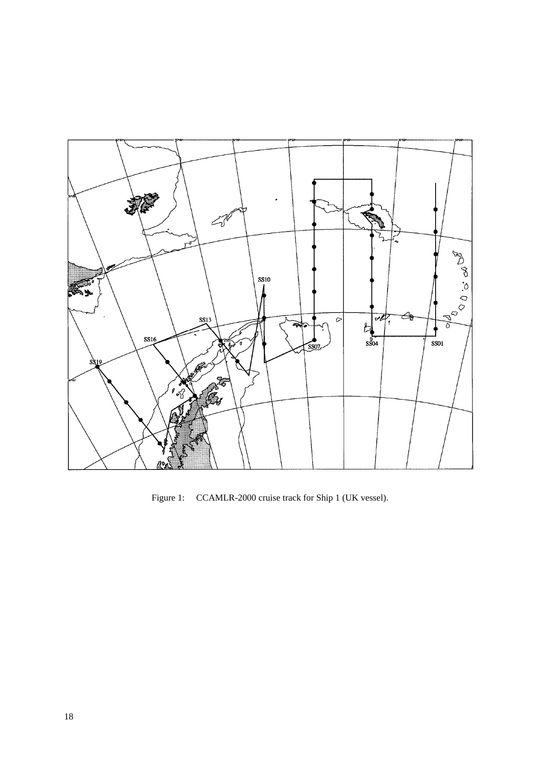

Figure 1: CCAMLR-2000 cruise track for Ship 1 (UK vessel).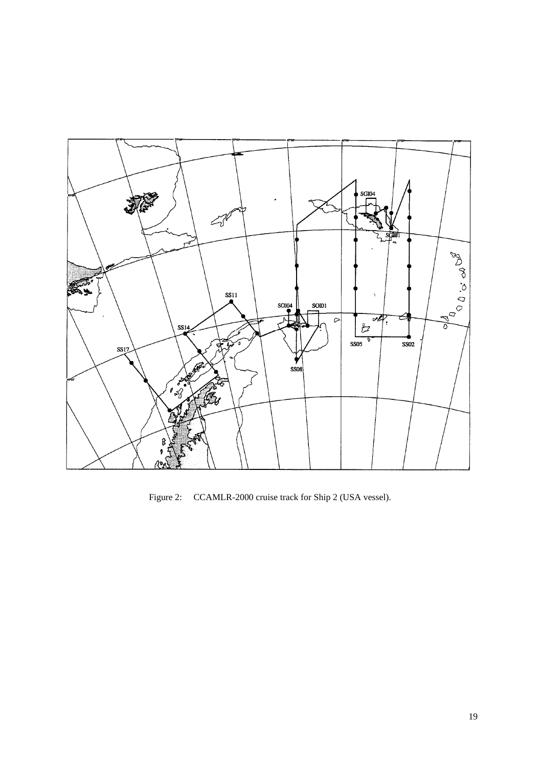

Figure 2: CCAMLR-2000 cruise track for Ship 2 (USA vessel).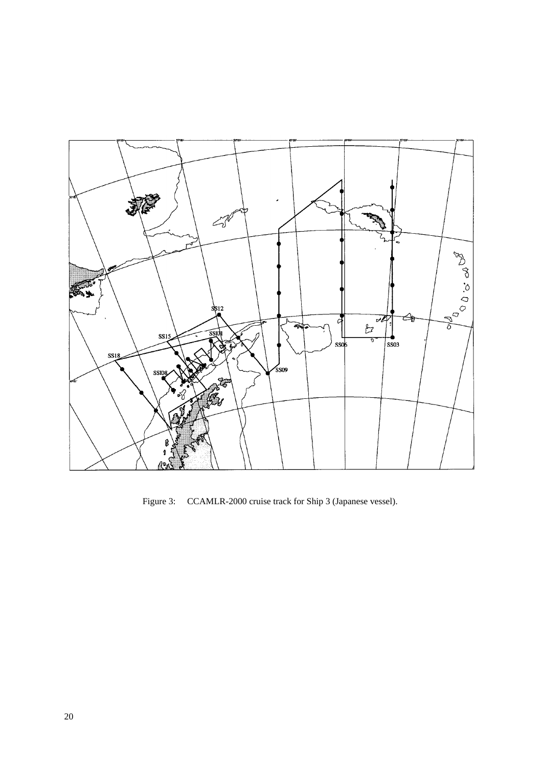

Figure 3: CCAMLR-2000 cruise track for Ship 3 (Japanese vessel).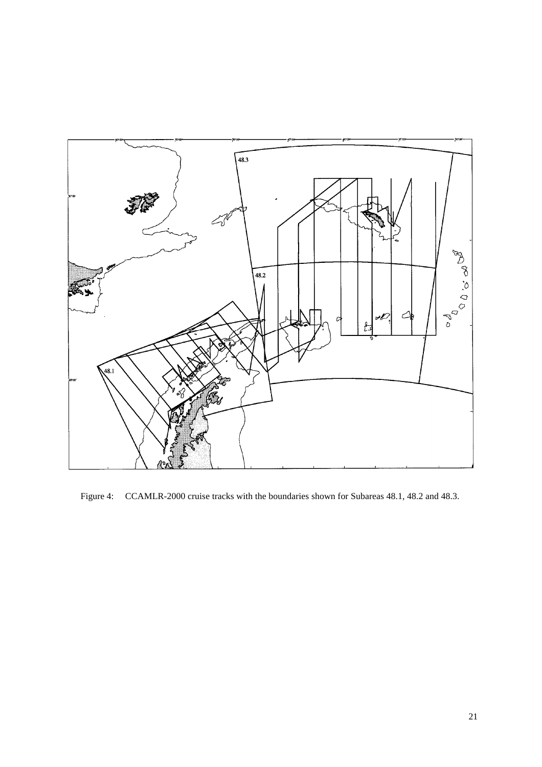

Figure 4: CCAMLR-2000 cruise tracks with the boundaries shown for Subareas 48.1, 48.2 and 48.3.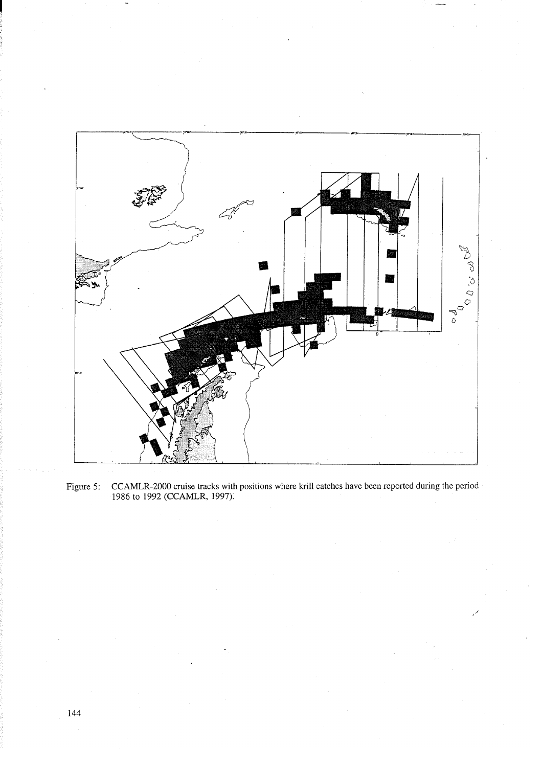

CCAMLR-2000 cruise tracks with positions where krill catches have been reported during the period 1986 to 1992 (CCAMLR, 1997). Figure 5: